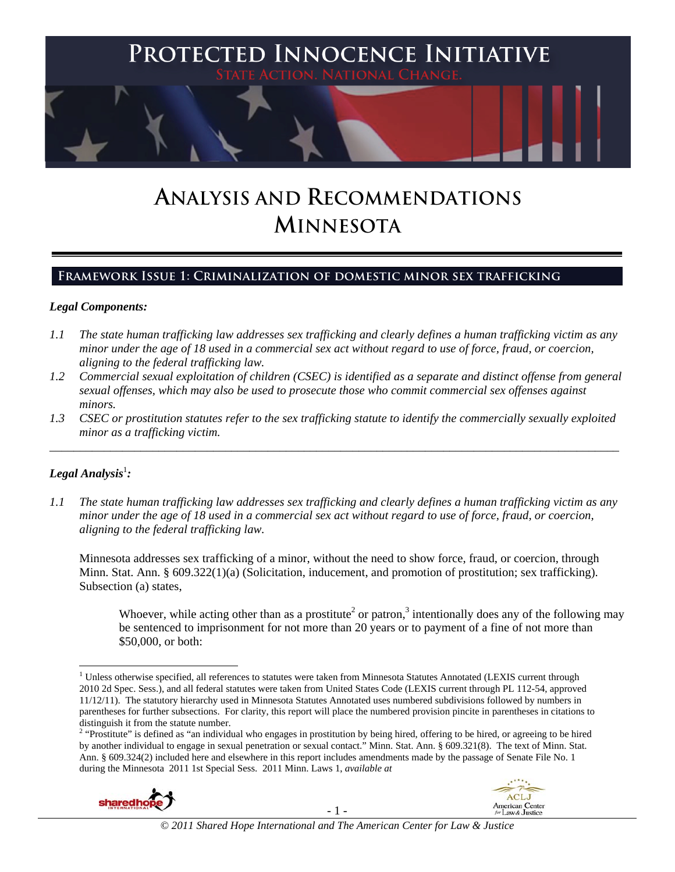

# **ANALYSIS AND RECOMMENDATIONS MINNESOTA**

### **Framework Issue 1: Criminalization of domestic minor sex trafficking**

#### *Legal Components:*

- *1.1 The state human trafficking law addresses sex trafficking and clearly defines a human trafficking victim as any minor under the age of 18 used in a commercial sex act without regard to use of force, fraud, or coercion, aligning to the federal trafficking law.*
- *1.2 Commercial sexual exploitation of children (CSEC) is identified as a separate and distinct offense from general sexual offenses, which may also be used to prosecute those who commit commercial sex offenses against minors.*
- *1.3 CSEC or prostitution statutes refer to the sex trafficking statute to identify the commercially sexually exploited minor as a trafficking victim.*

\_\_\_\_\_\_\_\_\_\_\_\_\_\_\_\_\_\_\_\_\_\_\_\_\_\_\_\_\_\_\_\_\_\_\_\_\_\_\_\_\_\_\_\_\_\_\_\_\_\_\_\_\_\_\_\_\_\_\_\_\_\_\_\_\_\_\_\_\_\_\_\_\_\_\_\_\_\_\_\_\_\_\_\_\_\_\_\_\_\_\_\_\_\_

### $\bm{L}$ egal Analysis $^{\rm l}$ :

*1.1 The state human trafficking law addresses sex trafficking and clearly defines a human trafficking victim as any minor under the age of 18 used in a commercial sex act without regard to use of force, fraud, or coercion, aligning to the federal trafficking law.*

Minnesota addresses sex trafficking of a minor, without the need to show force, fraud, or coercion, through Minn. Stat. Ann. § 609.322(1)(a) (Solicitation, inducement, and promotion of prostitution; sex trafficking). Subsection (a) states,

Whoever, while acting other than as a prostitute<sup>2</sup> or patron,<sup>3</sup> intentionally does any of the following may be sentenced to imprisonment for not more than 20 years or to payment of a fine of not more than \$50,000, or both:

by another individual to engage in sexual penetration or sexual contact." Minn. Stat. Ann. § 609.321(8). The text of Minn. Stat. Ann. § 609.324(2) included here and elsewhere in this report includes amendments made by the passage of Senate File No. 1 during the Minnesota 2011 1st Special Sess. 2011 Minn. Laws 1, *available at* 





 <sup>1</sup> Unless otherwise specified, all references to statutes were taken from Minnesota Statutes Annotated (LEXIS current through 2010 2d Spec. Sess.), and all federal statutes were taken from United States Code (LEXIS current through PL 112-54, approved 11/12/11). The statutory hierarchy used in Minnesota Statutes Annotated uses numbered subdivisions followed by numbers in parentheses for further subsections. For clarity, this report will place the numbered provision pincite in parentheses in citations to distinguish it from the statute number.<br><sup>2</sup> "Prostitute" is defined as "an individual who engages in prostitution by being hired, offering to be hired, or agreeing to be hired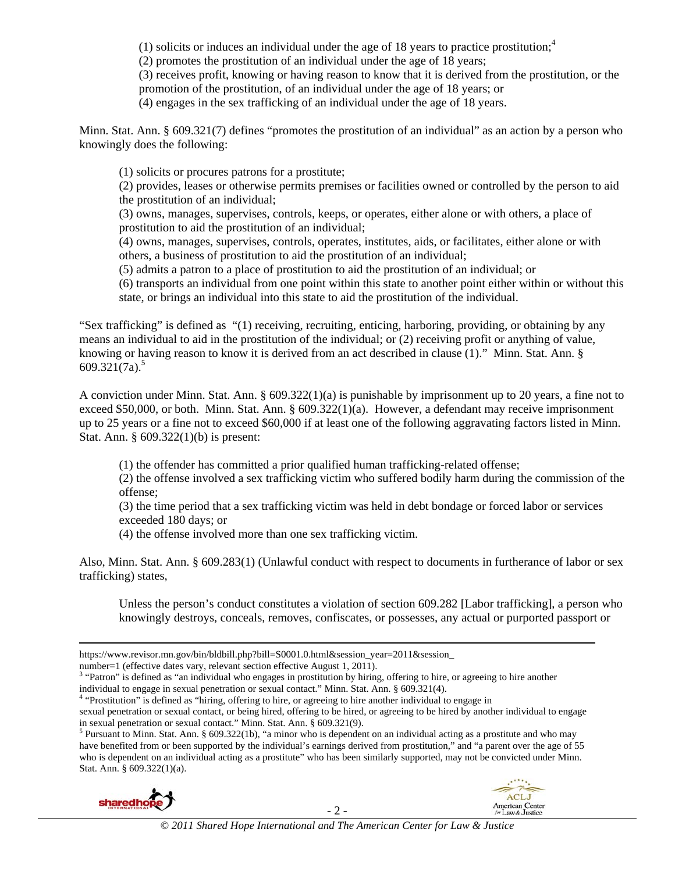(1) solicits or induces an individual under the age of 18 years to practice prostitution;<sup>4</sup>

(2) promotes the prostitution of an individual under the age of 18 years;

(3) receives profit, knowing or having reason to know that it is derived from the prostitution, or the promotion of the prostitution, of an individual under the age of 18 years; or

(4) engages in the sex trafficking of an individual under the age of 18 years.

Minn. Stat. Ann. § 609.321(7) defines "promotes the prostitution of an individual" as an action by a person who knowingly does the following:

(1) solicits or procures patrons for a prostitute;

(2) provides, leases or otherwise permits premises or facilities owned or controlled by the person to aid the prostitution of an individual;

(3) owns, manages, supervises, controls, keeps, or operates, either alone or with others, a place of prostitution to aid the prostitution of an individual;

(4) owns, manages, supervises, controls, operates, institutes, aids, or facilitates, either alone or with others, a business of prostitution to aid the prostitution of an individual;

(5) admits a patron to a place of prostitution to aid the prostitution of an individual; or

(6) transports an individual from one point within this state to another point either within or without this state, or brings an individual into this state to aid the prostitution of the individual.

"Sex trafficking" is defined as "(1) receiving, recruiting, enticing, harboring, providing, or obtaining by any means an individual to aid in the prostitution of the individual; or (2) receiving profit or anything of value, knowing or having reason to know it is derived from an act described in clause (1)." Minn. Stat. Ann. § 609.321 $(7a)^5$ 

A conviction under Minn. Stat. Ann. § 609.322(1)(a) is punishable by imprisonment up to 20 years, a fine not to exceed \$50,000, or both. Minn. Stat. Ann. § 609.322(1)(a). However, a defendant may receive imprisonment up to 25 years or a fine not to exceed \$60,000 if at least one of the following aggravating factors listed in Minn. Stat. Ann. § 609.322(1)(b) is present:

(1) the offender has committed a prior qualified human trafficking-related offense;

(2) the offense involved a sex trafficking victim who suffered bodily harm during the commission of the offense;

(3) the time period that a sex trafficking victim was held in debt bondage or forced labor or services exceeded 180 days; or

(4) the offense involved more than one sex trafficking victim.

Also, Minn. Stat. Ann. § 609.283(1) (Unlawful conduct with respect to documents in furtherance of labor or sex trafficking) states,

Unless the person's conduct constitutes a violation of section 609.282 [Labor trafficking], a person who knowingly destroys, conceals, removes, confiscates, or possesses, any actual or purported passport or

sexual penetration or sexual contact, or being hired, offering to be hired, or agreeing to be hired by another individual to engage in sexual penetration or sexual contact." Minn. Stat. Ann. § 609.321(9).

<sup>&</sup>lt;sup>5</sup> Pursuant to Minn. Stat. Ann. § 609.322(1b), "a minor who is dependent on an individual acting as a prostitute and who may have benefited from or been supported by the individual's earnings derived from prostitution," and "a parent over the age of 55 who is dependent on an individual acting as a prostitute" who has been similarly supported, may not be convicted under Minn. Stat. Ann. § 609.322(1)(a).





<sup>&</sup>lt;u> 1989 - Johann Stoff, fransk politik (d. 1989)</u> https://www.revisor.mn.gov/bin/bldbill.php?bill=S0001.0.html&session\_year=2011&session\_

number=1 (effective dates vary, relevant section effective August 1, 2011).

<sup>&</sup>lt;sup>3</sup> "Patron" is defined as "an individual who engages in prostitution by hiring, offering to hire, or agreeing to hire another individual to engage in sexual penetration or sexual contact." Minn. Stat. Ann. § 609.321(4). 4

<sup>&</sup>lt;sup>4</sup> "Prostitution" is defined as "hiring, offering to hire, or agreeing to hire another individual to engage in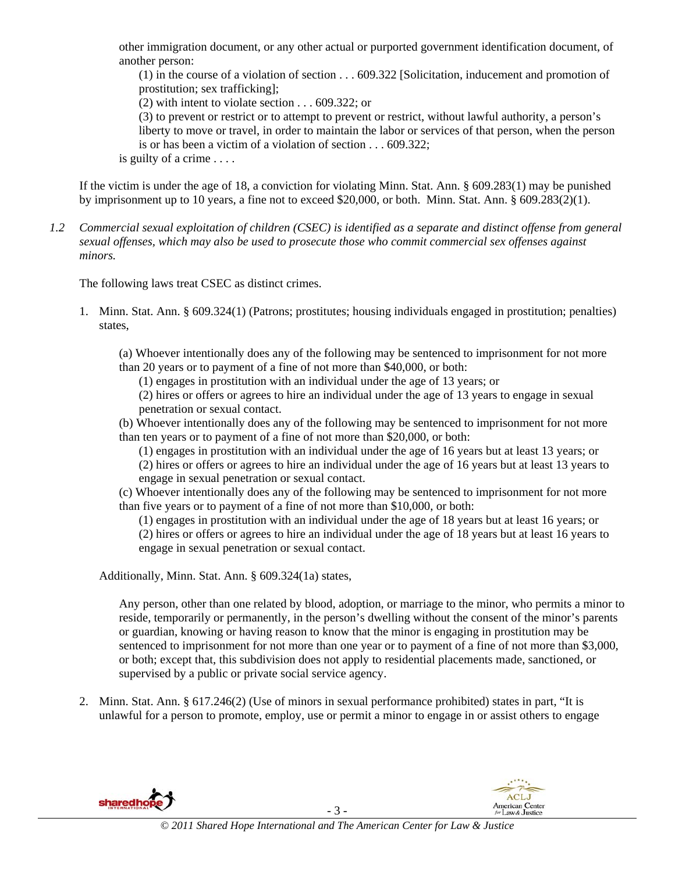other immigration document, or any other actual or purported government identification document, of another person:

(1) in the course of a violation of section . . . 609.322 [Solicitation, inducement and promotion of prostitution; sex trafficking];

(2) with intent to violate section . . . 609.322; or

(3) to prevent or restrict or to attempt to prevent or restrict, without lawful authority, a person's liberty to move or travel, in order to maintain the labor or services of that person, when the person is or has been a victim of a violation of section . . . 609.322;

is guilty of a crime . . . .

If the victim is under the age of 18, a conviction for violating Minn. Stat. Ann. § 609.283(1) may be punished by imprisonment up to 10 years, a fine not to exceed \$20,000, or both. Minn. Stat. Ann. § 609.283(2)(1).

*1.2 Commercial sexual exploitation of children (CSEC) is identified as a separate and distinct offense from general sexual offenses, which may also be used to prosecute those who commit commercial sex offenses against minors.*

The following laws treat CSEC as distinct crimes.

1. Minn. Stat. Ann. § 609.324(1) (Patrons; prostitutes; housing individuals engaged in prostitution; penalties) states,

(a) Whoever intentionally does any of the following may be sentenced to imprisonment for not more than 20 years or to payment of a fine of not more than \$40,000, or both:

(1) engages in prostitution with an individual under the age of 13 years; or

(2) hires or offers or agrees to hire an individual under the age of 13 years to engage in sexual penetration or sexual contact.

(b) Whoever intentionally does any of the following may be sentenced to imprisonment for not more than ten years or to payment of a fine of not more than \$20,000, or both:

(1) engages in prostitution with an individual under the age of 16 years but at least 13 years; or

(2) hires or offers or agrees to hire an individual under the age of 16 years but at least 13 years to engage in sexual penetration or sexual contact.

(c) Whoever intentionally does any of the following may be sentenced to imprisonment for not more than five years or to payment of a fine of not more than \$10,000, or both:

(1) engages in prostitution with an individual under the age of 18 years but at least 16 years; or (2) hires or offers or agrees to hire an individual under the age of 18 years but at least 16 years to engage in sexual penetration or sexual contact.

Additionally, Minn. Stat. Ann. § 609.324(1a) states,

Any person, other than one related by blood, adoption, or marriage to the minor, who permits a minor to reside, temporarily or permanently, in the person's dwelling without the consent of the minor's parents or guardian, knowing or having reason to know that the minor is engaging in prostitution may be sentenced to imprisonment for not more than one year or to payment of a fine of not more than \$3,000, or both; except that, this subdivision does not apply to residential placements made, sanctioned, or supervised by a public or private social service agency.

2. Minn. Stat. Ann. § 617.246(2) (Use of minors in sexual performance prohibited) states in part, "It is unlawful for a person to promote, employ, use or permit a minor to engage in or assist others to engage

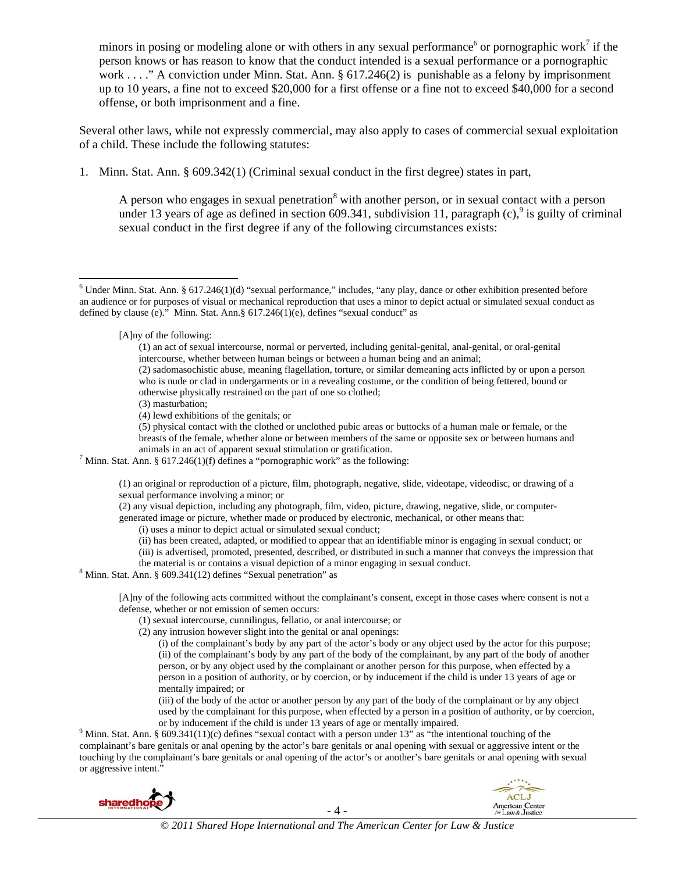minors in posing or modeling alone or with others in any sexual performance<sup>6</sup> or pornographic work<sup>7</sup> if the person knows or has reason to know that the conduct intended is a sexual performance or a pornographic work . . . ." A conviction under Minn. Stat. Ann. § 617.246(2) is punishable as a felony by imprisonment up to 10 years, a fine not to exceed \$20,000 for a first offense or a fine not to exceed \$40,000 for a second offense, or both imprisonment and a fine.

Several other laws, while not expressly commercial, may also apply to cases of commercial sexual exploitation of a child. These include the following statutes:

1. Minn. Stat. Ann. § 609.342(1) (Criminal sexual conduct in the first degree) states in part,

A person who engages in sexual penetration<sup>8</sup> with another person, or in sexual contact with a person under 13 years of age as defined in section 609.341, subdivision 11, paragraph  $(c)$ ,  $\frac{9}{9}$  is guilty of criminal sexual conduct in the first degree if any of the following circumstances exists:

[A]ny of the following:

(3) masturbation;

(i) uses a minor to depict actual or simulated sexual conduct;

- (ii) has been created, adapted, or modified to appear that an identifiable minor is engaging in sexual conduct; or
- (iii) is advertised, promoted, presented, described, or distributed in such a manner that conveys the impression that the material is or contains a visual depiction of a minor engaging in sexual conduct. 8

 $8$  Minn. Stat. Ann. § 609.341(12) defines "Sexual penetration" as

[A]ny of the following acts committed without the complainant's consent, except in those cases where consent is not a defense, whether or not emission of semen occurs:

- (1) sexual intercourse, cunnilingus, fellatio, or anal intercourse; or
- (2) any intrusion however slight into the genital or anal openings:

(i) of the complainant's body by any part of the actor's body or any object used by the actor for this purpose; (ii) of the complainant's body by any part of the body of the complainant, by any part of the body of another person, or by any object used by the complainant or another person for this purpose, when effected by a person in a position of authority, or by coercion, or by inducement if the child is under 13 years of age or mentally impaired; or

(iii) of the body of the actor or another person by any part of the body of the complainant or by any object used by the complainant for this purpose, when effected by a person in a position of authority, or by coercion, or by inducement if the child is under 13 years of age or mentally impaired.

 $9$  Minn. Stat. Ann. § 609.341(11)(c) defines "sexual contact with a person under 13" as "the intentional touching of the complainant's bare genitals or anal opening by the actor's bare genitals or anal opening with sexual or aggressive intent or the touching by the complainant's bare genitals or anal opening of the actor's or another's bare genitals or anal opening with sexual or aggressive intent."





 $6$  Under Minn. Stat. Ann. § 617.246(1)(d) "sexual performance," includes, "any play, dance or other exhibition presented before an audience or for purposes of visual or mechanical reproduction that uses a minor to depict actual or simulated sexual conduct as defined by clause (e)." Minn. Stat. Ann.§ 617.246(1)(e), defines "sexual conduct" as

<sup>(1)</sup> an act of sexual intercourse, normal or perverted, including genital-genital, anal-genital, or oral-genital intercourse, whether between human beings or between a human being and an animal;

<sup>(2)</sup> sadomasochistic abuse, meaning flagellation, torture, or similar demeaning acts inflicted by or upon a person who is nude or clad in undergarments or in a revealing costume, or the condition of being fettered, bound or otherwise physically restrained on the part of one so clothed;

<sup>(4)</sup> lewd exhibitions of the genitals; or

<sup>(5)</sup> physical contact with the clothed or unclothed pubic areas or buttocks of a human male or female, or the breasts of the female, whether alone or between members of the same or opposite sex or between humans and animals in an act of apparent sexual stimulation or gratification. 7

<sup>&</sup>lt;sup>7</sup> Minn. Stat. Ann. § 617.246(1)(f) defines a "pornographic work" as the following:

<sup>(1)</sup> an original or reproduction of a picture, film, photograph, negative, slide, videotape, videodisc, or drawing of a sexual performance involving a minor; or

<sup>(2)</sup> any visual depiction, including any photograph, film, video, picture, drawing, negative, slide, or computergenerated image or picture, whether made or produced by electronic, mechanical, or other means that: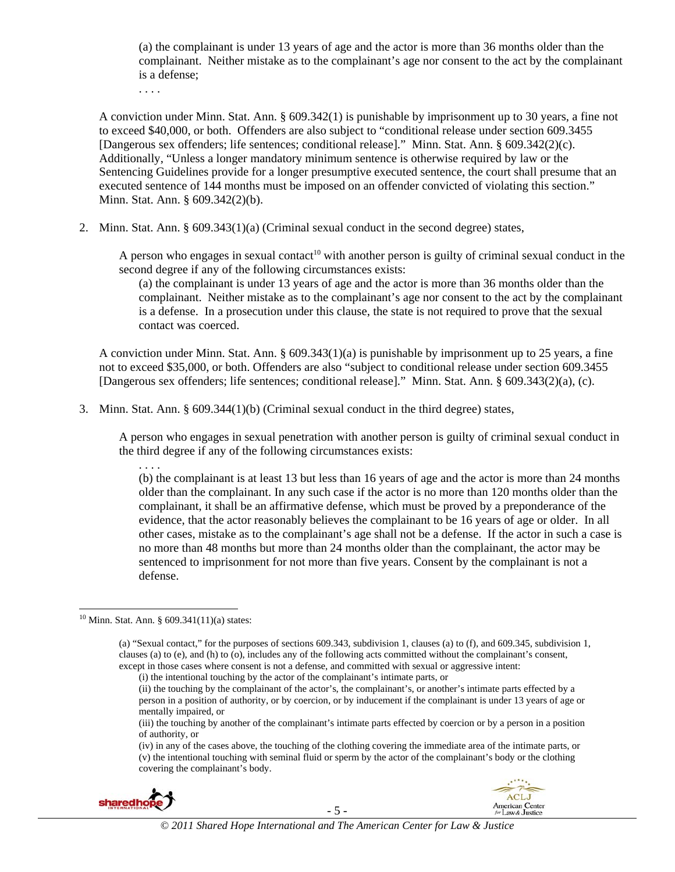(a) the complainant is under 13 years of age and the actor is more than 36 months older than the complainant. Neither mistake as to the complainant's age nor consent to the act by the complainant is a defense;

. . . .

A conviction under Minn. Stat. Ann. § 609.342(1) is punishable by imprisonment up to 30 years, a fine not to exceed \$40,000, or both. Offenders are also subject to "conditional release under section 609.3455 [Dangerous sex offenders; life sentences; conditional release]." Minn. Stat. Ann. § 609.342(2)(c). Additionally, "Unless a longer mandatory minimum sentence is otherwise required by law or the Sentencing Guidelines provide for a longer presumptive executed sentence, the court shall presume that an executed sentence of 144 months must be imposed on an offender convicted of violating this section." Minn. Stat. Ann. § 609.342(2)(b).

2. Minn. Stat. Ann. § 609.343(1)(a) (Criminal sexual conduct in the second degree) states,

A person who engages in sexual contact<sup>10</sup> with another person is guilty of criminal sexual conduct in the second degree if any of the following circumstances exists:

(a) the complainant is under 13 years of age and the actor is more than 36 months older than the complainant. Neither mistake as to the complainant's age nor consent to the act by the complainant is a defense. In a prosecution under this clause, the state is not required to prove that the sexual contact was coerced.

A conviction under Minn. Stat. Ann.  $\S 609.343(1)(a)$  is punishable by imprisonment up to 25 years, a fine not to exceed \$35,000, or both. Offenders are also "subject to conditional release under section 609.3455 [Dangerous sex offenders; life sentences; conditional release]." Minn. Stat. Ann. § 609.343(2)(a), (c).

3. Minn. Stat. Ann. § 609.344(1)(b) (Criminal sexual conduct in the third degree) states,

A person who engages in sexual penetration with another person is guilty of criminal sexual conduct in the third degree if any of the following circumstances exists:

. . . . (b) the complainant is at least 13 but less than 16 years of age and the actor is more than 24 months older than the complainant. In any such case if the actor is no more than 120 months older than the complainant, it shall be an affirmative defense, which must be proved by a preponderance of the evidence, that the actor reasonably believes the complainant to be 16 years of age or older. In all other cases, mistake as to the complainant's age shall not be a defense. If the actor in such a case is no more than 48 months but more than 24 months older than the complainant, the actor may be sentenced to imprisonment for not more than five years. Consent by the complainant is not a defense.

<sup>(</sup>iv) in any of the cases above, the touching of the clothing covering the immediate area of the intimate parts, or (v) the intentional touching with seminal fluid or sperm by the actor of the complainant's body or the clothing covering the complainant's body.





  $10$  Minn. Stat. Ann. § 609.341(11)(a) states:

<sup>(</sup>a) "Sexual contact," for the purposes of sections 609.343, subdivision 1, clauses (a) to (f), and 609.345, subdivision 1, clauses (a) to (e), and (h) to (o), includes any of the following acts committed without the complainant's consent, except in those cases where consent is not a defense, and committed with sexual or aggressive intent:

<sup>(</sup>i) the intentional touching by the actor of the complainant's intimate parts, or

<sup>(</sup>ii) the touching by the complainant of the actor's, the complainant's, or another's intimate parts effected by a person in a position of authority, or by coercion, or by inducement if the complainant is under 13 years of age or mentally impaired, or

<sup>(</sup>iii) the touching by another of the complainant's intimate parts effected by coercion or by a person in a position of authority, or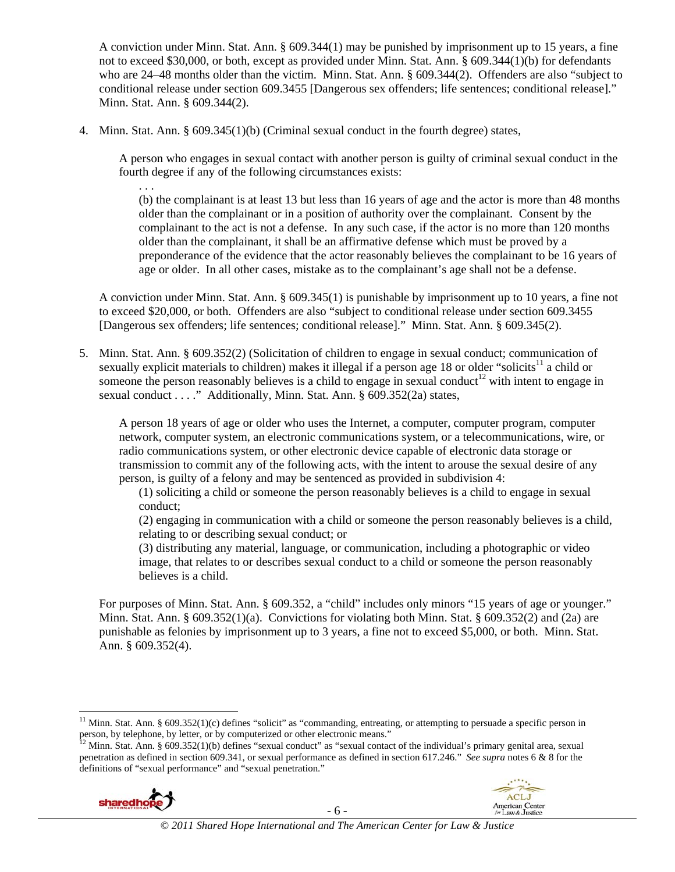A conviction under Minn. Stat. Ann. § 609.344(1) may be punished by imprisonment up to 15 years, a fine not to exceed \$30,000, or both, except as provided under Minn. Stat. Ann. § 609.344(1)(b) for defendants who are 24–48 months older than the victim. Minn. Stat. Ann. § 609.344(2). Offenders are also "subject to conditional release under section 609.3455 [Dangerous sex offenders; life sentences; conditional release]." Minn. Stat. Ann. § 609.344(2).

4. Minn. Stat. Ann. § 609.345(1)(b) (Criminal sexual conduct in the fourth degree) states,

A person who engages in sexual contact with another person is guilty of criminal sexual conduct in the fourth degree if any of the following circumstances exists:

(b) the complainant is at least 13 but less than 16 years of age and the actor is more than 48 months older than the complainant or in a position of authority over the complainant. Consent by the complainant to the act is not a defense. In any such case, if the actor is no more than 120 months older than the complainant, it shall be an affirmative defense which must be proved by a preponderance of the evidence that the actor reasonably believes the complainant to be 16 years of age or older. In all other cases, mistake as to the complainant's age shall not be a defense.

A conviction under Minn. Stat. Ann. § 609.345(1) is punishable by imprisonment up to 10 years, a fine not to exceed \$20,000, or both. Offenders are also "subject to conditional release under section 609.3455 [Dangerous sex offenders; life sentences; conditional release]." Minn. Stat. Ann. § 609.345(2).

5. Minn. Stat. Ann. § 609.352(2) (Solicitation of children to engage in sexual conduct; communication of sexually explicit materials to children) makes it illegal if a person age 18 or older "solicits<sup>11</sup> a child or someone the person reasonably believes is a child to engage in sexual conduct<sup>12</sup> with intent to engage in sexual conduct . . . ." Additionally, Minn. Stat. Ann. § 609.352(2a) states,

A person 18 years of age or older who uses the Internet, a computer, computer program, computer network, computer system, an electronic communications system, or a telecommunications, wire, or radio communications system, or other electronic device capable of electronic data storage or transmission to commit any of the following acts, with the intent to arouse the sexual desire of any person, is guilty of a felony and may be sentenced as provided in subdivision 4:

(1) soliciting a child or someone the person reasonably believes is a child to engage in sexual conduct;

(2) engaging in communication with a child or someone the person reasonably believes is a child, relating to or describing sexual conduct; or

(3) distributing any material, language, or communication, including a photographic or video image, that relates to or describes sexual conduct to a child or someone the person reasonably believes is a child.

For purposes of Minn. Stat. Ann. § 609.352, a "child" includes only minors "15 years of age or younger." Minn. Stat. Ann. § 609.352(1)(a). Convictions for violating both Minn. Stat. § 609.352(2) and (2a) are punishable as felonies by imprisonment up to 3 years, a fine not to exceed \$5,000, or both. Minn. Stat. Ann. § 609.352(4).

penetration as defined in section 609.341, or sexual performance as defined in section 617.246." *See supra* notes 6 & 8 for the definitions of "sexual performance" and "sexual penetration."



. . .



 $11$  Minn. Stat. Ann. § 609.352(1)(c) defines "solicit" as "commanding, entreating, or attempting to persuade a specific person in person, by telephone, by letter, or by computerized or other electronic means."<br><sup>12</sup> Minn. Stat. Ann. § 609.352(1)(b) defines "sexual conduct" as "sexual contact of the individual's primary genital area, sexual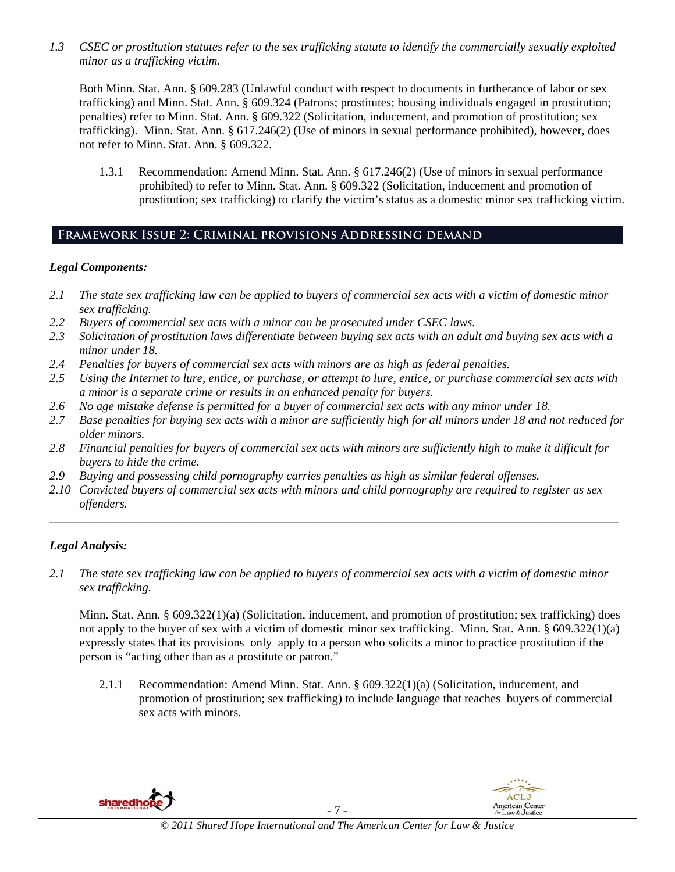*1.3 CSEC or prostitution statutes refer to the sex trafficking statute to identify the commercially sexually exploited minor as a trafficking victim.*

Both Minn. Stat. Ann. § 609.283 (Unlawful conduct with respect to documents in furtherance of labor or sex trafficking) and Minn. Stat. Ann. § 609.324 (Patrons; prostitutes; housing individuals engaged in prostitution; penalties) refer to Minn. Stat. Ann. § 609.322 (Solicitation, inducement, and promotion of prostitution; sex trafficking). Minn. Stat. Ann. § 617.246(2) (Use of minors in sexual performance prohibited), however, does not refer to Minn. Stat. Ann. § 609.322.

1.3.1 Recommendation: Amend Minn. Stat. Ann. § 617.246(2) (Use of minors in sexual performance prohibited) to refer to Minn. Stat. Ann. § 609.322 (Solicitation, inducement and promotion of prostitution; sex trafficking) to clarify the victim's status as a domestic minor sex trafficking victim.

# **Framework Issue 2: Criminal provisions Addressing demand**

#### *Legal Components:*

- *2.1 The state sex trafficking law can be applied to buyers of commercial sex acts with a victim of domestic minor sex trafficking.*
- *2.2 Buyers of commercial sex acts with a minor can be prosecuted under CSEC laws.*
- *2.3 Solicitation of prostitution laws differentiate between buying sex acts with an adult and buying sex acts with a minor under 18.*
- *2.4 Penalties for buyers of commercial sex acts with minors are as high as federal penalties.*
- *2.5 Using the Internet to lure, entice, or purchase, or attempt to lure, entice, or purchase commercial sex acts with a minor is a separate crime or results in an enhanced penalty for buyers.*
- *2.6 No age mistake defense is permitted for a buyer of commercial sex acts with any minor under 18.*
- *2.7 Base penalties for buying sex acts with a minor are sufficiently high for all minors under 18 and not reduced for older minors.*
- *2.8 Financial penalties for buyers of commercial sex acts with minors are sufficiently high to make it difficult for buyers to hide the crime.*
- *2.9 Buying and possessing child pornography carries penalties as high as similar federal offenses.*
- *2.10 Convicted buyers of commercial sex acts with minors and child pornography are required to register as sex offenders.*

\_\_\_\_\_\_\_\_\_\_\_\_\_\_\_\_\_\_\_\_\_\_\_\_\_\_\_\_\_\_\_\_\_\_\_\_\_\_\_\_\_\_\_\_\_\_\_\_\_\_\_\_\_\_\_\_\_\_\_\_\_\_\_\_\_\_\_\_\_\_\_\_\_\_\_\_\_\_\_\_\_\_\_\_\_\_\_\_\_\_\_\_\_\_

### *Legal Analysis:*

*2.1 The state sex trafficking law can be applied to buyers of commercial sex acts with a victim of domestic minor sex trafficking.*

Minn. Stat. Ann.  $\S 609.322(1)(a)$  (Solicitation, inducement, and promotion of prostitution; sex trafficking) does not apply to the buyer of sex with a victim of domestic minor sex trafficking. Minn. Stat. Ann. § 609.322(1)(a) expressly states that its provisions only apply to a person who solicits a minor to practice prostitution if the person is "acting other than as a prostitute or patron."

2.1.1 Recommendation: Amend Minn. Stat. Ann. § 609.322(1)(a) (Solicitation, inducement, and promotion of prostitution; sex trafficking) to include language that reaches buyers of commercial sex acts with minors.





1000 - San Angeles, Angeles, Angeles, Angeles, Angeles, Angeles, Angeles, Angeles, Angeles, Angeles, Angeles,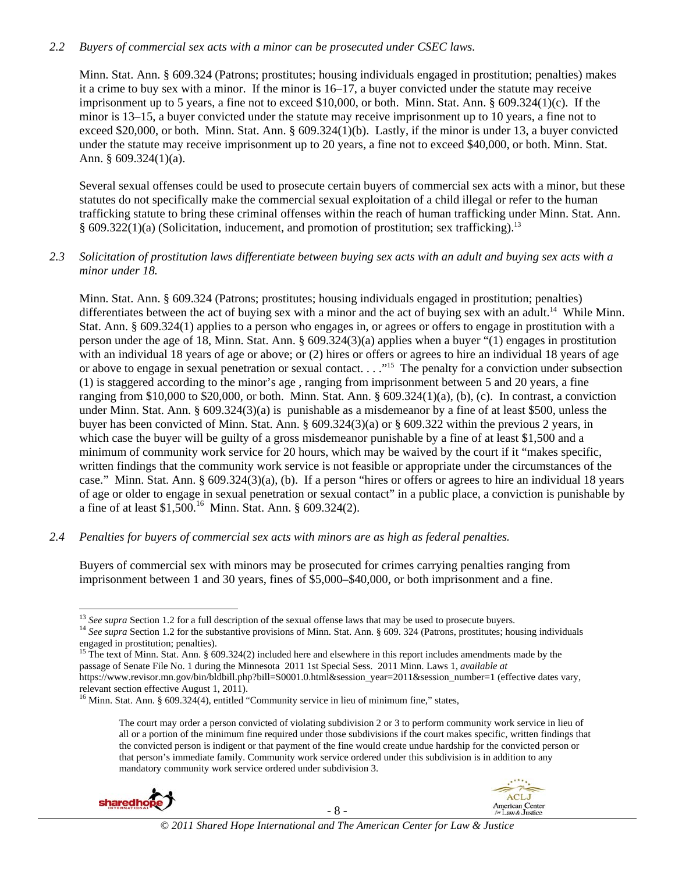#### *2.2 Buyers of commercial sex acts with a minor can be prosecuted under CSEC laws.*

Minn. Stat. Ann. § 609.324 (Patrons; prostitutes; housing individuals engaged in prostitution; penalties) makes it a crime to buy sex with a minor. If the minor is 16–17, a buyer convicted under the statute may receive imprisonment up to 5 years, a fine not to exceed \$10,000, or both. Minn. Stat. Ann. § 609.324(1)(c). If the minor is 13–15, a buyer convicted under the statute may receive imprisonment up to 10 years, a fine not to exceed \$20,000, or both. Minn. Stat. Ann. § 609.324(1)(b). Lastly, if the minor is under 13, a buyer convicted under the statute may receive imprisonment up to 20 years, a fine not to exceed \$40,000, or both. Minn. Stat. Ann. § 609.324(1)(a).

Several sexual offenses could be used to prosecute certain buyers of commercial sex acts with a minor, but these statutes do not specifically make the commercial sexual exploitation of a child illegal or refer to the human trafficking statute to bring these criminal offenses within the reach of human trafficking under Minn. Stat. Ann. § 609.322(1)(a) (Solicitation, inducement, and promotion of prostitution; sex trafficking).<sup>13</sup>

#### *2.3 Solicitation of prostitution laws differentiate between buying sex acts with an adult and buying sex acts with a minor under 18.*

Minn. Stat. Ann. § 609.324 (Patrons; prostitutes; housing individuals engaged in prostitution; penalties) differentiates between the act of buying sex with a minor and the act of buying sex with an adult.<sup>14</sup> While Minn. Stat. Ann. § 609.324(1) applies to a person who engages in, or agrees or offers to engage in prostitution with a person under the age of 18, Minn. Stat. Ann. § 609.324(3)(a) applies when a buyer "(1) engages in prostitution with an individual 18 years of age or above; or (2) hires or offers or agrees to hire an individual 18 years of age or above to engage in sexual penetration or sexual contact. . . ."15 The penalty for a conviction under subsection (1) is staggered according to the minor's age , ranging from imprisonment between 5 and 20 years, a fine ranging from \$10,000 to \$20,000, or both. Minn. Stat. Ann.  $\S 609.324(1)(a)$ , (b), (c). In contrast, a conviction under Minn. Stat. Ann. § 609.324(3)(a) is punishable as a misdemeanor by a fine of at least \$500, unless the buyer has been convicted of Minn. Stat. Ann. § 609.324(3)(a) or § 609.322 within the previous 2 years, in which case the buyer will be guilty of a gross misdemeanor punishable by a fine of at least \$1,500 and a minimum of community work service for 20 hours, which may be waived by the court if it "makes specific, written findings that the community work service is not feasible or appropriate under the circumstances of the case." Minn. Stat. Ann. § 609.324(3)(a), (b). If a person "hires or offers or agrees to hire an individual 18 years of age or older to engage in sexual penetration or sexual contact" in a public place, a conviction is punishable by a fine of at least \$1,500.16 Minn. Stat. Ann. § 609.324(2).

#### *2.4 Penalties for buyers of commercial sex acts with minors are as high as federal penalties.*

Buyers of commercial sex with minors may be prosecuted for crimes carrying penalties ranging from imprisonment between 1 and 30 years, fines of \$5,000–\$40,000, or both imprisonment and a fine.

The court may order a person convicted of violating subdivision 2 or 3 to perform community work service in lieu of all or a portion of the minimum fine required under those subdivisions if the court makes specific, written findings that the convicted person is indigent or that payment of the fine would create undue hardship for the convicted person or that person's immediate family. Community work service ordered under this subdivision is in addition to any mandatory community work service ordered under subdivision 3.





 $13$  See supra Section 1.2 for a full description of the sexual offense laws that may be used to prosecute buyers.

<sup>&</sup>lt;sup>14</sup> See supra Section 1.2 for the substantive provisions of Minn. Stat. Ann. § 609. 324 (Patrons, prostitutes; housing individuals engaged in prostitution; penalties).

<sup>&</sup>lt;sup>15</sup> The text of Minn. Stat. Ann. § 609.324(2) included here and elsewhere in this report includes amendments made by the passage of Senate File No. 1 during the Minnesota 2011 1st Special Sess. 2011 Minn. Laws 1, *available at*  https://www.revisor.mn.gov/bin/bldbill.php?bill=S0001.0.html&session\_year=2011&session\_number=1 (effective dates vary, relevant section effective August 1, 2011).

<sup>&</sup>lt;sup>16</sup> Minn. Stat. Ann. § 609.324(4), entitled "Community service in lieu of minimum fine," states,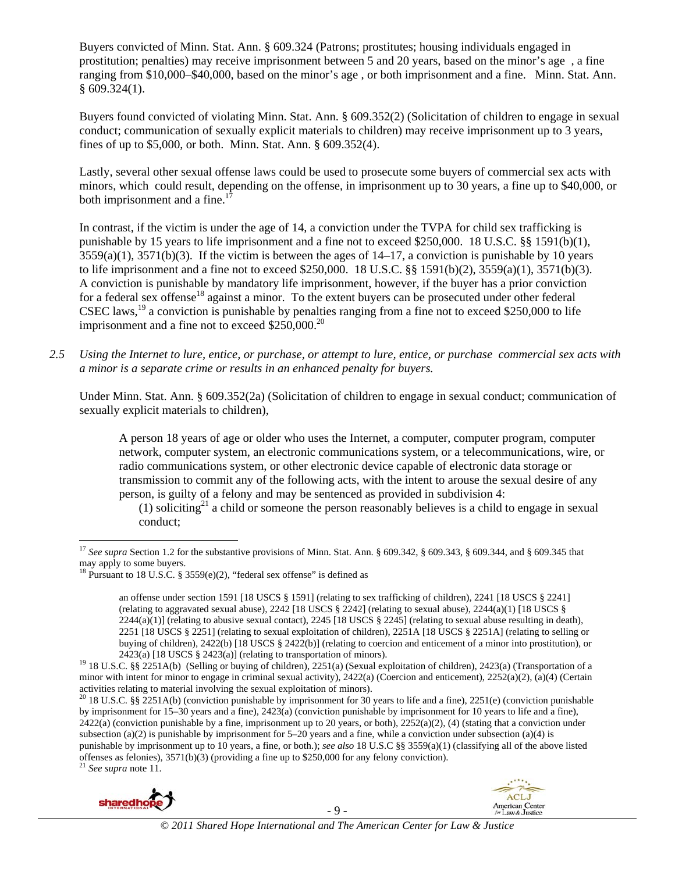Buyers convicted of Minn. Stat. Ann. § 609.324 (Patrons; prostitutes; housing individuals engaged in prostitution; penalties) may receive imprisonment between 5 and 20 years, based on the minor's age , a fine ranging from \$10,000–\$40,000, based on the minor's age , or both imprisonment and a fine. Minn. Stat. Ann.  $§$  609.324(1).

Buyers found convicted of violating Minn. Stat. Ann. § 609.352(2) (Solicitation of children to engage in sexual conduct; communication of sexually explicit materials to children) may receive imprisonment up to 3 years, fines of up to \$5,000, or both. Minn. Stat. Ann. § 609.352(4).

Lastly, several other sexual offense laws could be used to prosecute some buyers of commercial sex acts with minors, which could result, depending on the offense, in imprisonment up to 30 years, a fine up to \$40,000, or both imprisonment and a fine.<sup>1</sup>

In contrast, if the victim is under the age of 14, a conviction under the TVPA for child sex trafficking is punishable by 15 years to life imprisonment and a fine not to exceed \$250,000. 18 U.S.C. §§ 1591(b)(1),  $3559(a)(1)$ ,  $3571(b)(3)$ . If the victim is between the ages of  $14-17$ , a conviction is punishable by 10 years to life imprisonment and a fine not to exceed \$250,000. 18 U.S.C. §§ 1591(b)(2), 3559(a)(1), 3571(b)(3). A conviction is punishable by mandatory life imprisonment, however, if the buyer has a prior conviction for a federal sex offense<sup>18</sup> against a minor. To the extent buyers can be prosecuted under other federal CSEC laws,<sup>19</sup> a conviction is punishable by penalties ranging from a fine not to exceed \$250,000 to life imprisonment and a fine not to exceed  $$250,000.<sup>20</sup>$ 

*2.5 Using the Internet to lure, entice, or purchase, or attempt to lure, entice, or purchase commercial sex acts with a minor is a separate crime or results in an enhanced penalty for buyers.* 

Under Minn. Stat. Ann. § 609.352(2a) (Solicitation of children to engage in sexual conduct; communication of sexually explicit materials to children),

A person 18 years of age or older who uses the Internet, a computer, computer program, computer network, computer system, an electronic communications system, or a telecommunications, wire, or radio communications system, or other electronic device capable of electronic data storage or transmission to commit any of the following acts, with the intent to arouse the sexual desire of any person, is guilty of a felony and may be sentenced as provided in subdivision 4:

(1) soliciting<sup>21</sup> a child or someone the person reasonably believes is a child to engage in sexual conduct;

<sup>&</sup>lt;sup>20</sup> 18 U.S.C. §§ 2251A(b) (conviction punishable by imprisonment for 30 years to life and a fine), 2251(e) (conviction punishable by imprisonment for 15–30 years and a fine), 2423(a) (conviction punishable by imprisonment for 10 years to life and a fine),  $2422(a)$  (conviction punishable by a fine, imprisonment up to 20 years, or both),  $2252(a)(2)$ , (4) (stating that a conviction under subsection (a)(2) is punishable by imprisonment for 5–20 years and a fine, while a conviction under subsection (a)(4) is punishable by imprisonment up to 10 years, a fine, or both.); *see also* 18 U.S.C §§ 3559(a)(1) (classifying all of the above listed offenses as felonies),  $3571(b)(3)$  (providing a fine up to \$250,000 for any felony conviction). <sup>21</sup> *See supra* note 11.



<sup>17</sup> *See supra* Section 1.2 for the substantive provisions of Minn. Stat. Ann. § 609.342, § 609.343, § 609.344, and § 609.345 that may apply to some buyers.

<sup>&</sup>lt;sup>18</sup> Pursuant to 18 U.S.C. § 3559(e)(2), "federal sex offense" is defined as

an offense under section 1591 [18 USCS § 1591] (relating to sex trafficking of children), 2241 [18 USCS § 2241] (relating to aggravated sexual abuse),  $2242$  [18 USCS § 2242] (relating to sexual abuse),  $2244(a)(1)$  [18 USCS §  $2244(a)(1)$  (relating to abusive sexual contact),  $2245$  [18 USCS § 2245] (relating to sexual abuse resulting in death), 2251 [18 USCS § 2251] (relating to sexual exploitation of children), 2251A [18 USCS § 2251A] (relating to selling or buying of children), 2422(b) [18 USCS § 2422(b)] (relating to coercion and enticement of a minor into prostitution), or

<sup>2423(</sup>a) [18 USCS § 2423(a)] (relating to transportation of minors). 19 18 U.S.C. §§ 2251A(b) (Selling or buying of children), 2251(a) (Sexual exploitation of children), 2423(a) (Transportation of a minor with intent for minor to engage in criminal sexual activity), 2422(a) (Coercion and enticement), 2252(a)(2), (a)(4) (Certain activities relating to material involving the sexual exploitation of minors).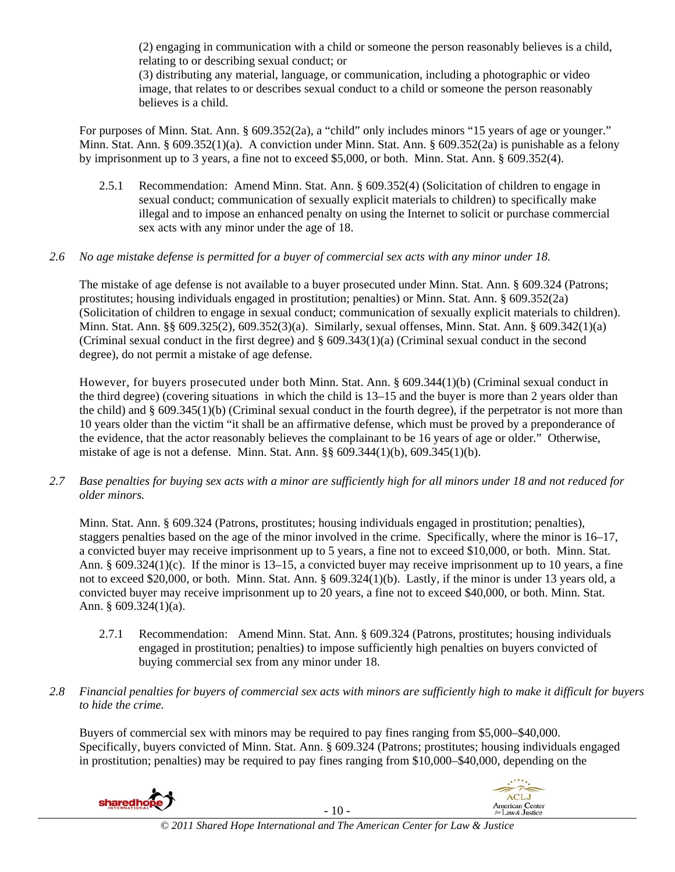(2) engaging in communication with a child or someone the person reasonably believes is a child, relating to or describing sexual conduct; or

(3) distributing any material, language, or communication, including a photographic or video image, that relates to or describes sexual conduct to a child or someone the person reasonably believes is a child.

For purposes of Minn. Stat. Ann. § 609.352(2a), a "child" only includes minors "15 years of age or younger." Minn. Stat. Ann. § 609.352(1)(a). A conviction under Minn. Stat. Ann. § 609.352(2a) is punishable as a felony by imprisonment up to 3 years, a fine not to exceed \$5,000, or both. Minn. Stat. Ann. § 609.352(4).

2.5.1 Recommendation: Amend Minn. Stat. Ann. § 609.352(4) (Solicitation of children to engage in sexual conduct; communication of sexually explicit materials to children) to specifically make illegal and to impose an enhanced penalty on using the Internet to solicit or purchase commercial sex acts with any minor under the age of 18.

### *2.6 No age mistake defense is permitted for a buyer of commercial sex acts with any minor under 18.*

The mistake of age defense is not available to a buyer prosecuted under Minn. Stat. Ann. § 609.324 (Patrons; prostitutes; housing individuals engaged in prostitution; penalties) or Minn. Stat. Ann. § 609.352(2a) (Solicitation of children to engage in sexual conduct; communication of sexually explicit materials to children). Minn. Stat. Ann. §§ 609.325(2), 609.352(3)(a). Similarly, sexual offenses, Minn. Stat. Ann. § 609.342(1)(a) (Criminal sexual conduct in the first degree) and  $\S$  609.343(1)(a) (Criminal sexual conduct in the second degree), do not permit a mistake of age defense.

However, for buyers prosecuted under both Minn. Stat. Ann. § 609.344(1)(b) (Criminal sexual conduct in the third degree) (covering situations in which the child is 13–15 and the buyer is more than 2 years older than the child) and § 609.345(1)(b) (Criminal sexual conduct in the fourth degree), if the perpetrator is not more than 10 years older than the victim "it shall be an affirmative defense, which must be proved by a preponderance of the evidence, that the actor reasonably believes the complainant to be 16 years of age or older." Otherwise, mistake of age is not a defense. Minn. Stat. Ann. §§ 609.344(1)(b), 609.345(1)(b).

*2.7 Base penalties for buying sex acts with a minor are sufficiently high for all minors under 18 and not reduced for older minors.* 

Minn. Stat. Ann. § 609.324 (Patrons, prostitutes; housing individuals engaged in prostitution; penalties), staggers penalties based on the age of the minor involved in the crime. Specifically, where the minor is 16–17, a convicted buyer may receive imprisonment up to 5 years, a fine not to exceed \$10,000, or both. Minn. Stat. Ann. § 609.324(1)(c). If the minor is 13–15, a convicted buyer may receive imprisonment up to 10 years, a fine not to exceed \$20,000, or both. Minn. Stat. Ann. § 609.324(1)(b). Lastly, if the minor is under 13 years old, a convicted buyer may receive imprisonment up to 20 years, a fine not to exceed \$40,000, or both. Minn. Stat. Ann. § 609.324(1)(a).

- 2.7.1 Recommendation: Amend Minn. Stat. Ann. § 609.324 (Patrons, prostitutes; housing individuals engaged in prostitution; penalties) to impose sufficiently high penalties on buyers convicted of buying commercial sex from any minor under 18.
- *2.8 Financial penalties for buyers of commercial sex acts with minors are sufficiently high to make it difficult for buyers to hide the crime.*

Buyers of commercial sex with minors may be required to pay fines ranging from \$5,000–\$40,000. Specifically, buyers convicted of Minn. Stat. Ann. § 609.324 (Patrons; prostitutes; housing individuals engaged in prostitution; penalties) may be required to pay fines ranging from \$10,000–\$40,000, depending on the



- 10 -

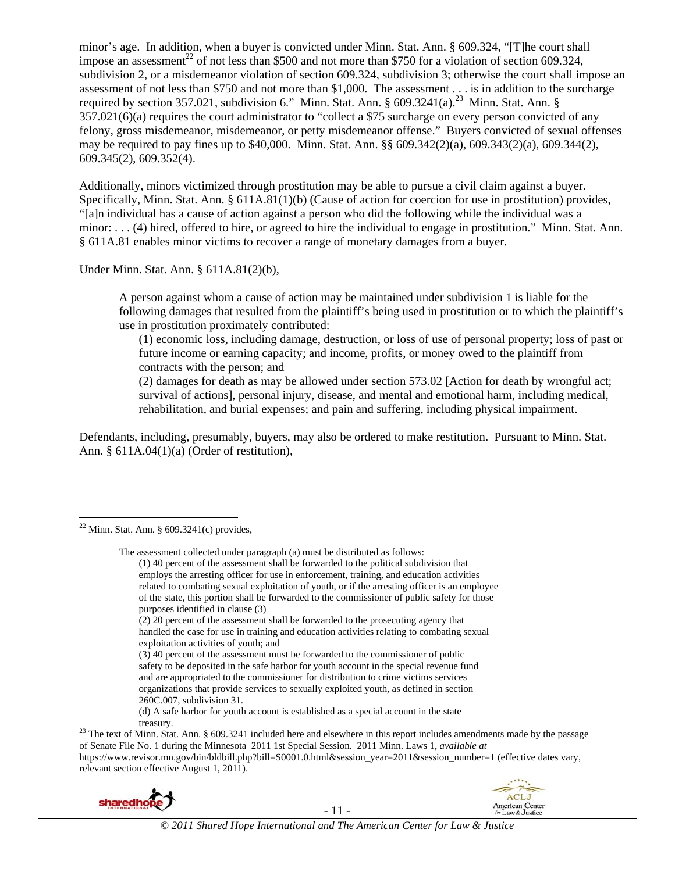minor's age. In addition, when a buyer is convicted under Minn. Stat. Ann. § 609.324, "[T]he court shall impose an assessment<sup>22</sup> of not less than \$500 and not more than \$750 for a violation of section 609.324, subdivision 2, or a misdemeanor violation of section 609.324, subdivision 3; otherwise the court shall impose an assessment of not less than \$750 and not more than \$1,000. The assessment . . . is in addition to the surcharge required by section 357.021, subdivision 6." Minn. Stat. Ann. § 609.3241(a).<sup>23</sup> Minn. Stat. Ann. § 357.021(6)(a) requires the court administrator to "collect a \$75 surcharge on every person convicted of any felony, gross misdemeanor, misdemeanor, or petty misdemeanor offense." Buyers convicted of sexual offenses may be required to pay fines up to \$40,000. Minn. Stat. Ann. §§ 609.342(2)(a), 609.343(2)(a), 609.344(2), 609.345(2), 609.352(4).

Additionally, minors victimized through prostitution may be able to pursue a civil claim against a buyer. Specifically, Minn. Stat. Ann. § 611A.81(1)(b) (Cause of action for coercion for use in prostitution) provides, "[a]n individual has a cause of action against a person who did the following while the individual was a minor: . . . (4) hired, offered to hire, or agreed to hire the individual to engage in prostitution." Minn. Stat. Ann. § 611A.81 enables minor victims to recover a range of monetary damages from a buyer.

Under Minn. Stat. Ann. § 611A.81(2)(b),

A person against whom a cause of action may be maintained under subdivision 1 is liable for the following damages that resulted from the plaintiff's being used in prostitution or to which the plaintiff's use in prostitution proximately contributed:

(1) economic loss, including damage, destruction, or loss of use of personal property; loss of past or future income or earning capacity; and income, profits, or money owed to the plaintiff from contracts with the person; and

(2) damages for death as may be allowed under section 573.02 [Action for death by wrongful act; survival of actions], personal injury, disease, and mental and emotional harm, including medical, rehabilitation, and burial expenses; and pain and suffering, including physical impairment.

Defendants, including, presumably, buyers, may also be ordered to make restitution. Pursuant to Minn. Stat. Ann. § 611A.04(1)(a) (Order of restitution),

(d) A safe harbor for youth account is established as a special account in the state

treasury.<br><sup>23</sup> The text of Minn. Stat. Ann. § 609.3241 included here and elsewhere in this report includes amendments made by the passage of Senate File No. 1 during the Minnesota 2011 1st Special Session. 2011 Minn. Laws 1, *available at*  https://www.revisor.mn.gov/bin/bldbill.php?bill=S0001.0.html&session\_year=2011&session\_number=1 (effective dates vary, relevant section effective August 1, 2011).





  $22$  Minn. Stat. Ann. § 609.3241(c) provides,

The assessment collected under paragraph (a) must be distributed as follows: (1) 40 percent of the assessment shall be forwarded to the political subdivision that employs the arresting officer for use in enforcement, training, and education activities related to combating sexual exploitation of youth, or if the arresting officer is an employee of the state, this portion shall be forwarded to the commissioner of public safety for those purposes identified in clause (3)

<sup>(2) 20</sup> percent of the assessment shall be forwarded to the prosecuting agency that handled the case for use in training and education activities relating to combating sexual exploitation activities of youth; and

<sup>(3) 40</sup> percent of the assessment must be forwarded to the commissioner of public safety to be deposited in the safe harbor for youth account in the special revenue fund and are appropriated to the commissioner for distribution to crime victims services organizations that provide services to sexually exploited youth, as defined in section 260C.007, subdivision 31.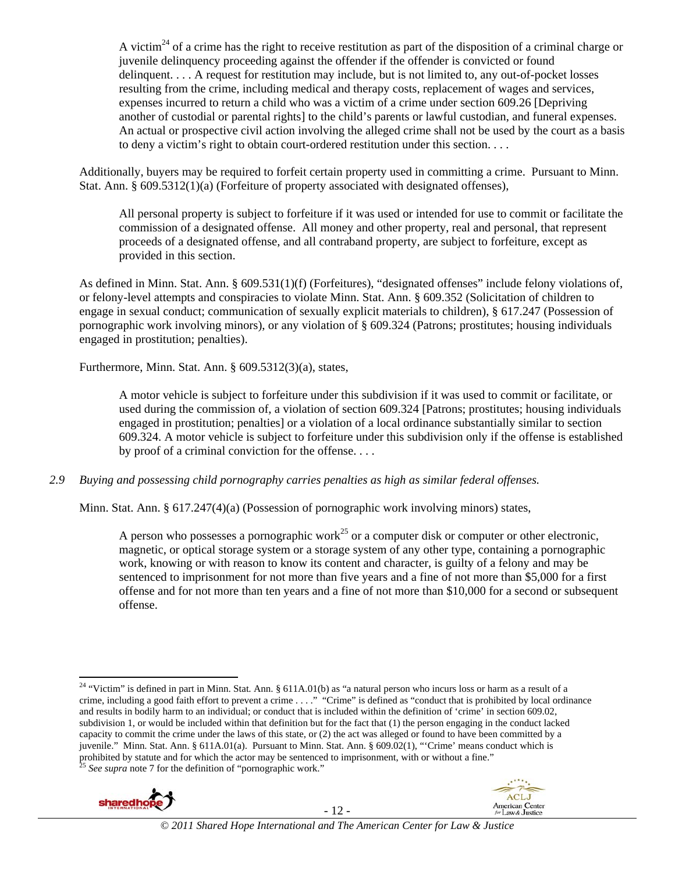A victim<sup>24</sup> of a crime has the right to receive restitution as part of the disposition of a criminal charge or juvenile delinquency proceeding against the offender if the offender is convicted or found delinquent. . . . A request for restitution may include, but is not limited to, any out-of-pocket losses resulting from the crime, including medical and therapy costs, replacement of wages and services, expenses incurred to return a child who was a victim of a crime under section 609.26 [Depriving another of custodial or parental rights] to the child's parents or lawful custodian, and funeral expenses. An actual or prospective civil action involving the alleged crime shall not be used by the court as a basis to deny a victim's right to obtain court-ordered restitution under this section. . . .

Additionally, buyers may be required to forfeit certain property used in committing a crime. Pursuant to Minn. Stat. Ann. § 609.5312(1)(a) (Forfeiture of property associated with designated offenses),

All personal property is subject to forfeiture if it was used or intended for use to commit or facilitate the commission of a designated offense. All money and other property, real and personal, that represent proceeds of a designated offense, and all contraband property, are subject to forfeiture, except as provided in this section.

As defined in Minn. Stat. Ann. § 609.531(1)(f) (Forfeitures), "designated offenses" include felony violations of, or felony-level attempts and conspiracies to violate Minn. Stat. Ann. § 609.352 (Solicitation of children to engage in sexual conduct; communication of sexually explicit materials to children), § 617.247 (Possession of pornographic work involving minors), or any violation of § 609.324 (Patrons; prostitutes; housing individuals engaged in prostitution; penalties).

Furthermore, Minn. Stat. Ann. § 609.5312(3)(a), states,

A motor vehicle is subject to forfeiture under this subdivision if it was used to commit or facilitate, or used during the commission of, a violation of section 609.324 [Patrons; prostitutes; housing individuals engaged in prostitution; penalties] or a violation of a local ordinance substantially similar to section 609.324. A motor vehicle is subject to forfeiture under this subdivision only if the offense is established by proof of a criminal conviction for the offense. . . .

*2.9 Buying and possessing child pornography carries penalties as high as similar federal offenses.* 

Minn. Stat. Ann. § 617.247(4)(a) (Possession of pornographic work involving minors) states,

A person who possesses a pornographic work<sup>25</sup> or a computer disk or computer or other electronic, magnetic, or optical storage system or a storage system of any other type, containing a pornographic work, knowing or with reason to know its content and character, is guilty of a felony and may be sentenced to imprisonment for not more than five years and a fine of not more than \$5,000 for a first offense and for not more than ten years and a fine of not more than \$10,000 for a second or subsequent offense.

 <sup>24</sup> "Victim" is defined in part in Minn. Stat. Ann. § 611A.01(b) as "a natural person who incurs loss or harm as a result of a crime, including a good faith effort to prevent a crime . . . ." "Crime" is defined as "conduct that is prohibited by local ordinance and results in bodily harm to an individual; or conduct that is included within the definition of 'crime' in section 609.02, subdivision 1, or would be included within that definition but for the fact that (1) the person engaging in the conduct lacked capacity to commit the crime under the laws of this state, or (2) the act was alleged or found to have been committed by a juvenile." Minn. Stat. Ann. § 611A.01(a). Pursuant to Minn. Stat. Ann. § 609.02(1), "'Crime' means conduct which is prohibited by statute and for which the actor may be sentenced to imprisonment, with or without a fine."<br><sup>25</sup> *See supra* note 7 for the definition of "pornographic work."



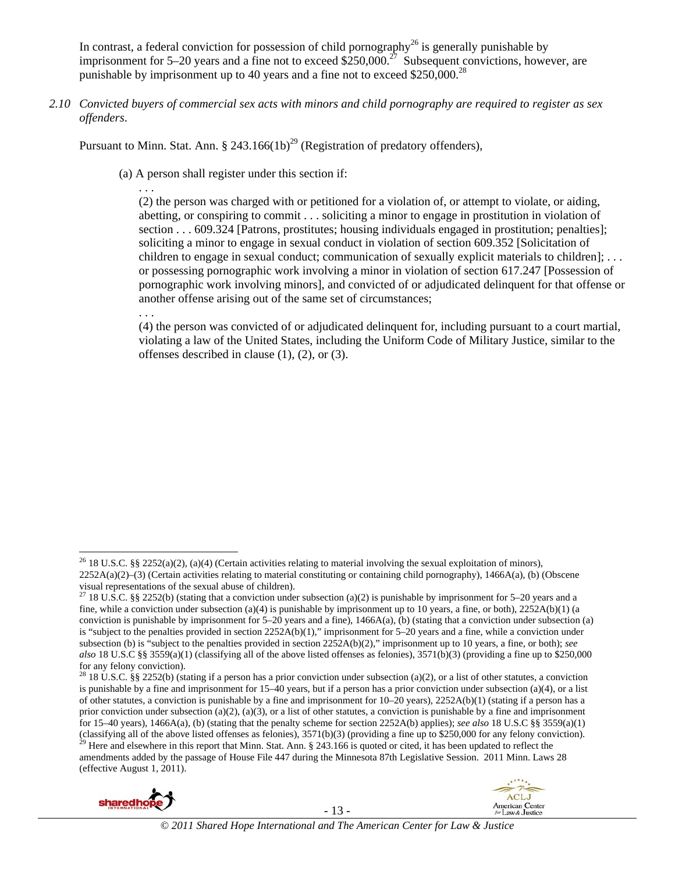In contrast, a federal conviction for possession of child pornography<sup>26</sup> is generally punishable by imprisonment for 5–20 years and a fine not to exceed  $$250,000.<sup>27</sup>$  Subsequent convictions, however, are punishable by imprisonment up to 40 years and a fine not to exceed  $$250,000.<sup>28</sup>$ 

*2.10 Convicted buyers of commercial sex acts with minors and child pornography are required to register as sex offenders*.

Pursuant to Minn. Stat. Ann. § 243.166(1b)<sup>29</sup> (Registration of predatory offenders),

(a) A person shall register under this section if:

. . . (2) the person was charged with or petitioned for a violation of, or attempt to violate, or aiding, abetting, or conspiring to commit . . . soliciting a minor to engage in prostitution in violation of section . . . 609.324 [Patrons, prostitutes; housing individuals engaged in prostitution; penalties]; soliciting a minor to engage in sexual conduct in violation of section 609.352 [Solicitation of children to engage in sexual conduct; communication of sexually explicit materials to children]; ... or possessing pornographic work involving a minor in violation of section 617.247 [Possession of pornographic work involving minors], and convicted of or adjudicated delinquent for that offense or another offense arising out of the same set of circumstances;

. . .

(4) the person was convicted of or adjudicated delinquent for, including pursuant to a court martial, violating a law of the United States, including the Uniform Code of Military Justice, similar to the offenses described in clause (1), (2), or (3).

(effective August 1, 2011).





 <sup>26</sup> 18 U.S.C. §§ 2252(a)(2), (a)(4) (Certain activities relating to material involving the sexual exploitation of minors), 2252A(a)(2)–(3) (Certain activities relating to material constituting or containing child pornography), 1466A(a), (b) (Obscene visual representations of the sexual abuse of children).

<sup>&</sup>lt;sup>27</sup> 18 U.S.C. §§ 2252(b) (stating that a conviction under subsection (a)(2) is punishable by imprisonment for 5–20 years and a fine, while a conviction under subsection (a)(4) is punishable by imprisonment up to 10 years, a fine, or both), 2252A(b)(1) (a conviction is punishable by imprisonment for  $5-20$  years and a fine),  $1466A(a)$ , (b) (stating that a conviction under subsection (a) is "subject to the penalties provided in section 2252A(b)(1)," imprisonment for 5–20 years and a fine, while a conviction under subsection (b) is "subject to the penalties provided in section 2252A(b)(2)," imprisonment up to 10 years, a fine, or both); *see also* 18 U.S.C §§ 3559(a)(1) (classifying all of the above listed offenses as felonies), 3571(b)(3) (providing a fine up to \$250,000 for any felony conviction).

<sup>&</sup>lt;sup>28</sup> 18 U.S.C. §§ 2252(b) (stating if a person has a prior conviction under subsection (a)(2), or a list of other statutes, a conviction is punishable by a fine and imprisonment for  $15-40$  years, but if a person has a prior conviction under subsection (a)(4), or a list of other statutes, a conviction is punishable by a fine and imprisonment for  $10-20$  years),  $2252A(b)(1)$  (stating if a person has a prior conviction under subsection (a)(2), (a)(3), or a list of other statutes, a conviction is punishable by a fine and imprisonment for 15–40 years), 1466A(a), (b) (stating that the penalty scheme for section 2252A(b) applies); *see also* 18 U.S.C §§ 3559(a)(1) (classifying all of the above listed offenses as felonies),  $3571(b)(3)$  (providing a fine up to \$250,000 for any felony conviction).<br><sup>29</sup> Here and elsewhere in this report that Minn. Stat. Ann. § 243.166 is quoted or cited amendments added by the passage of House File 447 during the Minnesota 87th Legislative Session. 2011 Minn. Laws 28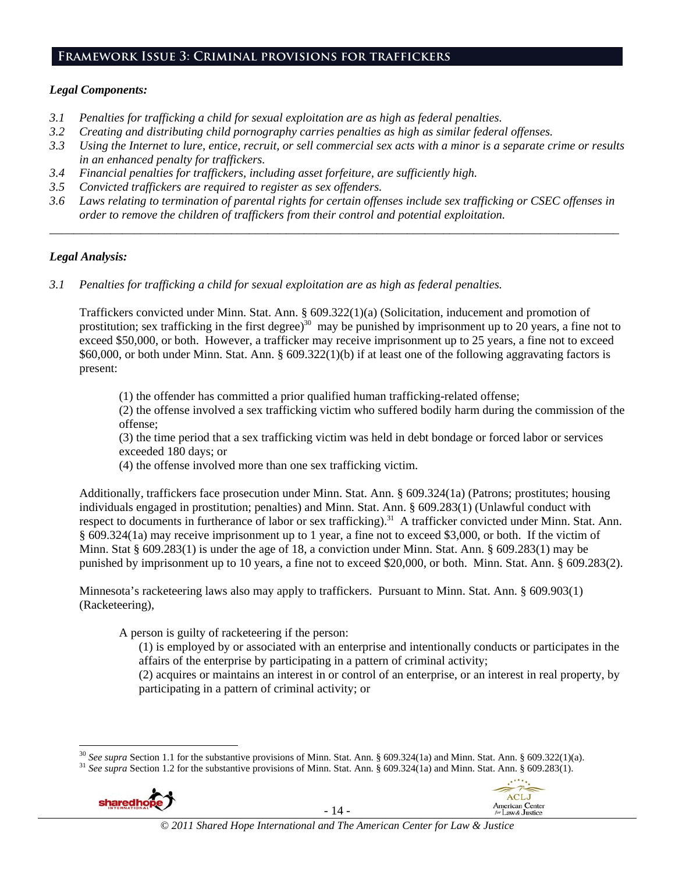#### **Framework Issue 3: Criminal provisions for traffickers**

#### *Legal Components:*

- *3.1 Penalties for trafficking a child for sexual exploitation are as high as federal penalties.*
- *3.2 Creating and distributing child pornography carries penalties as high as similar federal offenses.*
- *3.3 Using the Internet to lure, entice, recruit, or sell commercial sex acts with a minor is a separate crime or results in an enhanced penalty for traffickers.*
- *3.4 Financial penalties for traffickers, including asset forfeiture, are sufficiently high.*
- *3.5 Convicted traffickers are required to register as sex offenders.*
- *3.6 Laws relating to termination of parental rights for certain offenses include sex trafficking or CSEC offenses in order to remove the children of traffickers from their control and potential exploitation.*

*\_\_\_\_\_\_\_\_\_\_\_\_\_\_\_\_\_\_\_\_\_\_\_\_\_\_\_\_\_\_\_\_\_\_\_\_\_\_\_\_\_\_\_\_\_\_\_\_\_\_\_\_\_\_\_\_\_\_\_\_\_\_\_\_\_\_\_\_\_\_\_\_\_\_\_\_\_\_\_\_\_\_\_\_\_\_\_\_\_\_\_\_\_\_* 

#### *Legal Analysis:*

*3.1 Penalties for trafficking a child for sexual exploitation are as high as federal penalties.* 

Traffickers convicted under Minn. Stat. Ann. § 609.322(1)(a) (Solicitation, inducement and promotion of prostitution; sex trafficking in the first degree)<sup>30</sup> may be punished by imprisonment up to 20 years, a fine not to exceed \$50,000, or both. However, a trafficker may receive imprisonment up to 25 years, a fine not to exceed \$60,000, or both under Minn. Stat. Ann. § 609.322(1)(b) if at least one of the following aggravating factors is present:

(1) the offender has committed a prior qualified human trafficking-related offense;

(2) the offense involved a sex trafficking victim who suffered bodily harm during the commission of the offense;

(3) the time period that a sex trafficking victim was held in debt bondage or forced labor or services exceeded 180 days; or

(4) the offense involved more than one sex trafficking victim.

Additionally, traffickers face prosecution under Minn. Stat. Ann. § 609.324(1a) (Patrons; prostitutes; housing individuals engaged in prostitution; penalties) and Minn. Stat. Ann. § 609.283(1) (Unlawful conduct with respect to documents in furtherance of labor or sex trafficking).<sup>31</sup> A trafficker convicted under Minn. Stat. Ann. § 609.324(1a) may receive imprisonment up to 1 year, a fine not to exceed \$3,000, or both. If the victim of Minn. Stat  $\S 609.283(1)$  is under the age of 18, a conviction under Minn. Stat. Ann.  $\S 609.283(1)$  may be punished by imprisonment up to 10 years, a fine not to exceed \$20,000, or both. Minn. Stat. Ann. § 609.283(2).

Minnesota's racketeering laws also may apply to traffickers. Pursuant to Minn. Stat. Ann. § 609.903(1) (Racketeering),

A person is guilty of racketeering if the person:

(1) is employed by or associated with an enterprise and intentionally conducts or participates in the affairs of the enterprise by participating in a pattern of criminal activity;

(2) acquires or maintains an interest in or control of an enterprise, or an interest in real property, by participating in a pattern of criminal activity; or

 $31$  See supra Section 1.2 for the substantive provisions of Minn. Stat. Ann. § 609.324(1a) and Minn. Stat. Ann. § 609.283(1).



- 14 -



<sup>&</sup>lt;sup>30</sup> See supra Section 1.1 for the substantive provisions of Minn. Stat. Ann. § 609.324(1a) and Minn. Stat. Ann. § 609.322(1)(a).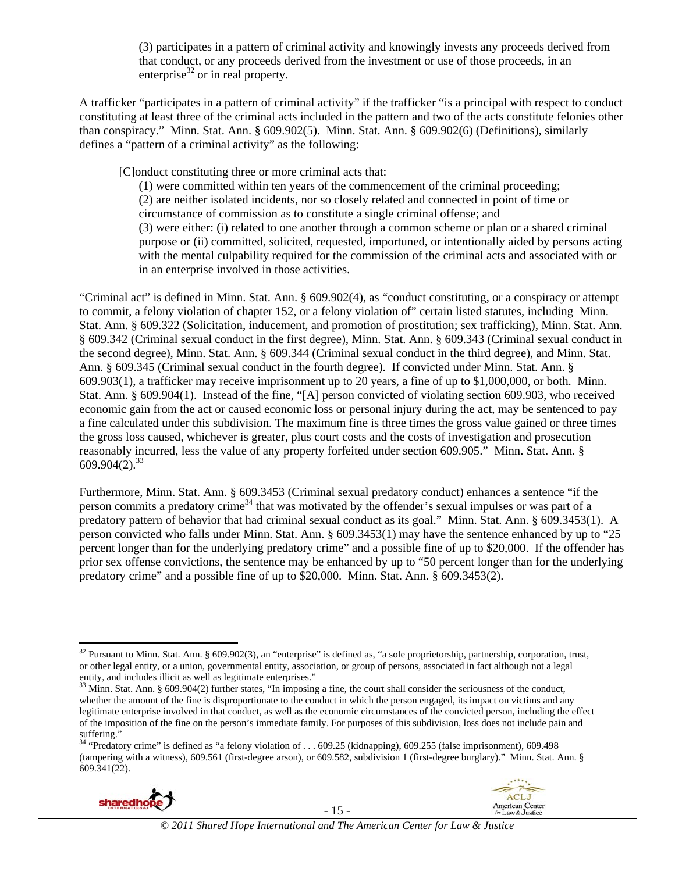(3) participates in a pattern of criminal activity and knowingly invests any proceeds derived from that conduct, or any proceeds derived from the investment or use of those proceeds, in an enterprise $32$  or in real property.

A trafficker "participates in a pattern of criminal activity" if the trafficker "is a principal with respect to conduct constituting at least three of the criminal acts included in the pattern and two of the acts constitute felonies other than conspiracy." Minn. Stat. Ann. § 609.902(5). Minn. Stat. Ann. § 609.902(6) (Definitions), similarly defines a "pattern of a criminal activity" as the following:

[C]onduct constituting three or more criminal acts that:

(1) were committed within ten years of the commencement of the criminal proceeding; (2) are neither isolated incidents, nor so closely related and connected in point of time or circumstance of commission as to constitute a single criminal offense; and (3) were either: (i) related to one another through a common scheme or plan or a shared criminal purpose or (ii) committed, solicited, requested, importuned, or intentionally aided by persons acting with the mental culpability required for the commission of the criminal acts and associated with or in an enterprise involved in those activities.

"Criminal act" is defined in Minn. Stat. Ann. § 609.902(4), as "conduct constituting, or a conspiracy or attempt to commit, a felony violation of chapter 152, or a felony violation of" certain listed statutes, including Minn. Stat. Ann. § 609.322 (Solicitation, inducement, and promotion of prostitution; sex trafficking), Minn. Stat. Ann. § 609.342 (Criminal sexual conduct in the first degree), Minn. Stat. Ann. § 609.343 (Criminal sexual conduct in the second degree), Minn. Stat. Ann. § 609.344 (Criminal sexual conduct in the third degree), and Minn. Stat. Ann. § 609.345 (Criminal sexual conduct in the fourth degree). If convicted under Minn. Stat. Ann. § 609.903(1), a trafficker may receive imprisonment up to 20 years, a fine of up to \$1,000,000, or both. Minn. Stat. Ann. § 609.904(1). Instead of the fine, "[A] person convicted of violating section 609.903, who received economic gain from the act or caused economic loss or personal injury during the act, may be sentenced to pay a fine calculated under this subdivision. The maximum fine is three times the gross value gained or three times the gross loss caused, whichever is greater, plus court costs and the costs of investigation and prosecution reasonably incurred, less the value of any property forfeited under section 609.905." Minn. Stat. Ann. §  $609.904(2).^{33}$ 

Furthermore, Minn. Stat. Ann. § 609.3453 (Criminal sexual predatory conduct) enhances a sentence "if the person commits a predatory crime<sup>34</sup> that was motivated by the offender's sexual impulses or was part of a predatory pattern of behavior that had criminal sexual conduct as its goal." Minn. Stat. Ann. § 609.3453(1). A person convicted who falls under Minn. Stat. Ann. § 609.3453(1) may have the sentence enhanced by up to "25 percent longer than for the underlying predatory crime" and a possible fine of up to \$20,000. If the offender has prior sex offense convictions, the sentence may be enhanced by up to "50 percent longer than for the underlying predatory crime" and a possible fine of up to \$20,000. Minn. Stat. Ann. § 609.3453(2).

<sup>34 &</sup>quot;Predatory crime" is defined as "a felony violation of . . . 609.25 (kidnapping), 609.255 (false imprisonment), 609.498 (tampering with a witness), 609.561 (first-degree arson), or 609.582, subdivision 1 (first-degree burglary)." Minn. Stat. Ann. § 609.341(22).





<sup>&</sup>lt;sup>32</sup> Pursuant to Minn. Stat. Ann. § 609.902(3), an "enterprise" is defined as, "a sole proprietorship, partnership, corporation, trust, or other legal entity, or a union, governmental entity, association, or group of persons, associated in fact although not a legal entity, and includes illicit as well as legitimate enterprises."

<sup>&</sup>lt;sup>33</sup> Minn. Stat. Ann. § 609.904(2) further states, "In imposing a fine, the court shall consider the seriousness of the conduct, whether the amount of the fine is disproportionate to the conduct in which the person engaged, its impact on victims and any legitimate enterprise involved in that conduct, as well as the economic circumstances of the convicted person, including the effect of the imposition of the fine on the person's immediate family. For purposes of this subdivision, loss does not include pain and suffering."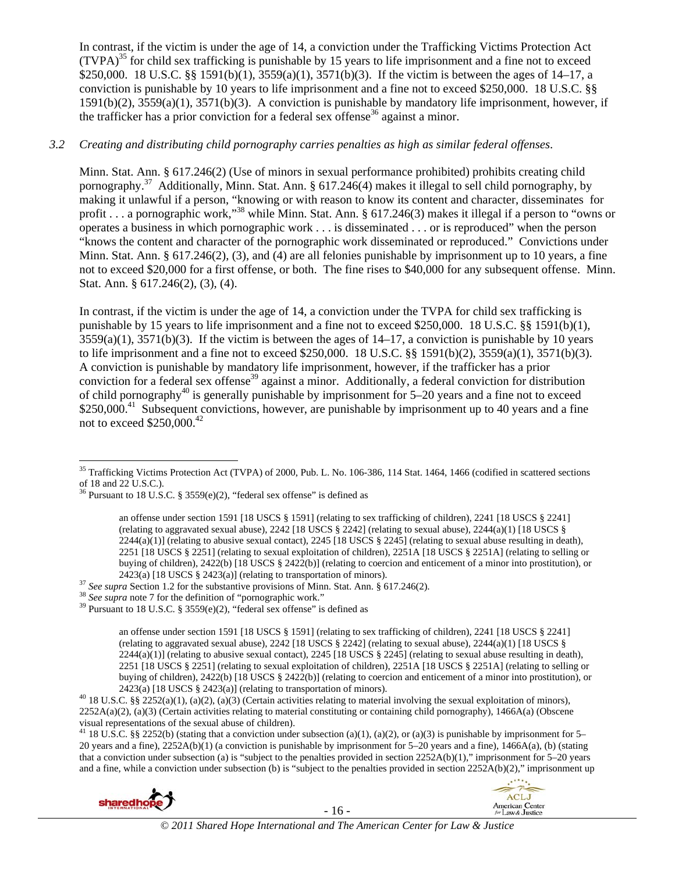In contrast, if the victim is under the age of 14, a conviction under the Trafficking Victims Protection Act (TVPA)35 for child sex trafficking is punishable by 15 years to life imprisonment and a fine not to exceed \$250,000. 18 U.S.C. §§ 1591(b)(1), 3559(a)(1), 3571(b)(3). If the victim is between the ages of 14–17, a conviction is punishable by 10 years to life imprisonment and a fine not to exceed \$250,000. 18 U.S.C. §§ 1591(b)(2), 3559(a)(1), 3571(b)(3). A conviction is punishable by mandatory life imprisonment, however, if the trafficker has a prior conviction for a federal sex offense<sup>36</sup> against a minor.

### *3.2 Creating and distributing child pornography carries penalties as high as similar federal offenses*.

Minn. Stat. Ann. § 617.246(2) (Use of minors in sexual performance prohibited) prohibits creating child pornography.37 Additionally, Minn. Stat. Ann. § 617.246(4) makes it illegal to sell child pornography, by making it unlawful if a person, "knowing or with reason to know its content and character, disseminates for profit . . . a pornographic work,"<sup>38</sup> while Minn. Stat. Ann. § 617.246(3) makes it illegal if a person to "owns or operates a business in which pornographic work . . . is disseminated . . . or is reproduced" when the person "knows the content and character of the pornographic work disseminated or reproduced." Convictions under Minn. Stat. Ann. § 617.246(2), (3), and (4) are all felonies punishable by imprisonment up to 10 years, a fine not to exceed \$20,000 for a first offense, or both. The fine rises to \$40,000 for any subsequent offense. Minn. Stat. Ann. § 617.246(2), (3), (4).

In contrast, if the victim is under the age of 14, a conviction under the TVPA for child sex trafficking is punishable by 15 years to life imprisonment and a fine not to exceed \$250,000. 18 U.S.C. §§ 1591(b)(1),  $3559(a)(1)$ ,  $3571(b)(3)$ . If the victim is between the ages of 14–17, a conviction is punishable by 10 years to life imprisonment and a fine not to exceed \$250,000. 18 U.S.C. §§ 1591(b)(2), 3559(a)(1), 3571(b)(3). A conviction is punishable by mandatory life imprisonment, however, if the trafficker has a prior conviction for a federal sex offense<sup>39</sup> against a minor. Additionally, a federal conviction for distribution of child pornography<sup>40</sup> is generally punishable by imprisonment for  $5-20$  years and a fine not to exceed \$250,000.<sup>41</sup> Subsequent convictions, however, are punishable by imprisonment up to 40 years and a fine not to exceed \$250,000.42

<sup>&</sup>lt;sup>41</sup> 18 U.S.C. §§ 2252(b) (stating that a conviction under subsection (a)(1), (a)(2), or (a)(3) is punishable by imprisonment for 5– 20 years and a fine), 2252A(b)(1) (a conviction is punishable by imprisonment for 5–20 years and a fine), 1466A(a), (b) (stating that a conviction under subsection (a) is "subject to the penalties provided in section 2252A(b)(1)," imprisonment for 5–20 years and a fine, while a conviction under subsection (b) is "subject to the penalties provided in section 2252A(b)(2)," imprisonment up





 $35$  Trafficking Victims Protection Act (TVPA) of 2000, Pub. L. No. 106-386, 114 Stat. 1464, 1466 (codified in scattered sections of 18 and 22 U.S.C.).

<sup>&</sup>lt;sup>36</sup> Pursuant to 18 U.S.C. § 3559 $(e)(2)$ , "federal sex offense" is defined as

an offense under section 1591 [18 USCS § 1591] (relating to sex trafficking of children), 2241 [18 USCS § 2241] (relating to aggravated sexual abuse),  $2242$  [18 USCS  $\S$  2242] (relating to sexual abuse),  $2244(a)(1)$  [18 USCS  $\S$  $2244(a)(1)$  (relating to abusive sexual contact),  $2245$  [18 USCS § 2245] (relating to sexual abuse resulting in death), 2251 [18 USCS § 2251] (relating to sexual exploitation of children), 2251A [18 USCS § 2251A] (relating to selling or buying of children), 2422(b) [18 USCS § 2422(b)] (relating to coercion and enticement of a minor into prostitution), or 2423(a) [18 USCS § 2423(a)] (relating to transportation of minors).

<sup>&</sup>lt;sup>37</sup> See supra Section 1.2 for the substantive provisions of Minn. Stat. Ann. § 617.246(2).<br><sup>38</sup> See supra note 7 for the definition of "pornographic work."<br><sup>39</sup> Pursuant to 18 U.S.C. § 3559(e)(2), "federal sex offense" i

an offense under section 1591 [18 USCS § 1591] (relating to sex trafficking of children), 2241 [18 USCS § 2241] (relating to aggravated sexual abuse),  $2242$  [18 USCS § 2242] (relating to sexual abuse),  $2244(a)(1)$  [18 USCS §  $2244(a)(1)$  (relating to abusive sexual contact),  $2245$  [18 USCS § 2245] (relating to sexual abuse resulting in death), 2251 [18 USCS § 2251] (relating to sexual exploitation of children), 2251A [18 USCS § 2251A] (relating to selling or buying of children), 2422(b) [18 USCS § 2422(b)] (relating to coercion and enticement of a minor into prostitution), or 2423(a) [18 USCS § 2423(a)] (relating to transportation of minors).<br><sup>40</sup> 18 U.S.C. §§ 2252(a)(1), (a)(2), (a)(3) (Certain activities relating to material involving the sexual exploitation of minors),

 $2252A(a)(2)$ , (a)(3) (Certain activities relating to material constituting or containing child pornography), 1466A(a) (Obscene visual representations of the sexual abuse of children).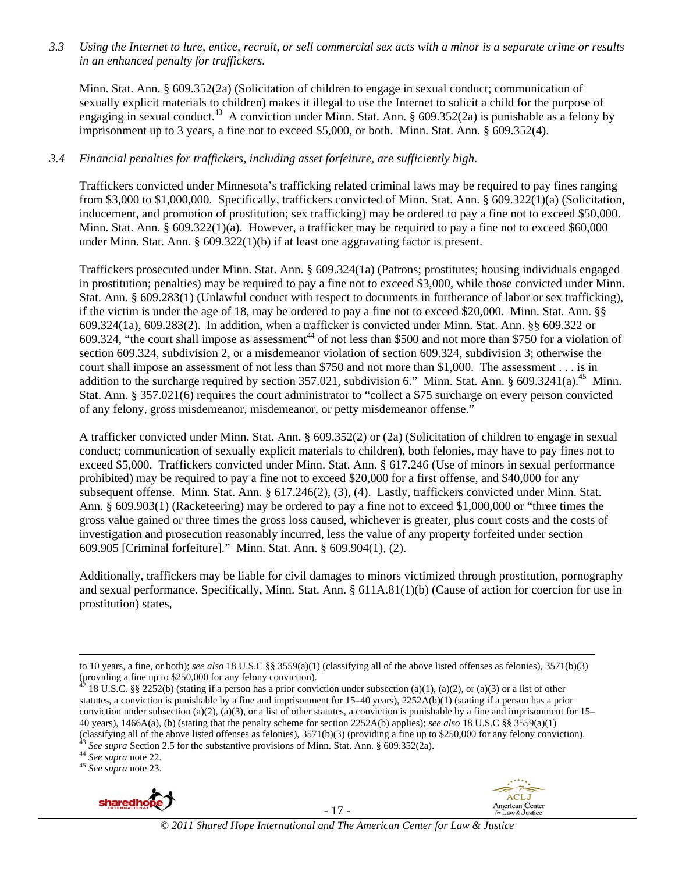*3.3 Using the Internet to lure, entice, recruit, or sell commercial sex acts with a minor is a separate crime or results in an enhanced penalty for traffickers.* 

Minn. Stat. Ann. § 609.352(2a) (Solicitation of children to engage in sexual conduct; communication of sexually explicit materials to children) makes it illegal to use the Internet to solicit a child for the purpose of engaging in sexual conduct.<sup>43</sup> A conviction under Minn. Stat. Ann. § 609.352(2a) is punishable as a felony by imprisonment up to 3 years, a fine not to exceed \$5,000, or both. Minn. Stat. Ann. § 609.352(4).

#### *3.4 Financial penalties for traffickers, including asset forfeiture, are sufficiently high*.

Traffickers convicted under Minnesota's trafficking related criminal laws may be required to pay fines ranging from \$3,000 to \$1,000,000. Specifically, traffickers convicted of Minn. Stat. Ann. § 609.322(1)(a) (Solicitation, inducement, and promotion of prostitution; sex trafficking) may be ordered to pay a fine not to exceed \$50,000. Minn. Stat. Ann.  $\S 609.322(1)(a)$ . However, a trafficker may be required to pay a fine not to exceed \$60,000 under Minn. Stat. Ann. § 609.322(1)(b) if at least one aggravating factor is present.

Traffickers prosecuted under Minn. Stat. Ann. § 609.324(1a) (Patrons; prostitutes; housing individuals engaged in prostitution; penalties) may be required to pay a fine not to exceed \$3,000, while those convicted under Minn. Stat. Ann. § 609.283(1) (Unlawful conduct with respect to documents in furtherance of labor or sex trafficking), if the victim is under the age of 18, may be ordered to pay a fine not to exceed \$20,000. Minn. Stat. Ann. §§ 609.324(1a), 609.283(2). In addition, when a trafficker is convicted under Minn. Stat. Ann. §§ 609.322 or 609.324, "the court shall impose as assessment<sup>44</sup> of not less than \$500 and not more than \$750 for a violation of section 609.324, subdivision 2, or a misdemeanor violation of section 609.324, subdivision 3; otherwise the court shall impose an assessment of not less than \$750 and not more than \$1,000. The assessment . . . is in addition to the surcharge required by section 357.021, subdivision 6." Minn. Stat. Ann. § 609.3241(a).<sup>45</sup> Minn. Stat. Ann. § 357.021(6) requires the court administrator to "collect a \$75 surcharge on every person convicted of any felony, gross misdemeanor, misdemeanor, or petty misdemeanor offense."

A trafficker convicted under Minn. Stat. Ann. § 609.352(2) or (2a) (Solicitation of children to engage in sexual conduct; communication of sexually explicit materials to children), both felonies, may have to pay fines not to exceed \$5,000. Traffickers convicted under Minn. Stat. Ann. § 617.246 (Use of minors in sexual performance prohibited) may be required to pay a fine not to exceed \$20,000 for a first offense, and \$40,000 for any subsequent offense. Minn. Stat. Ann. § 617.246(2), (3), (4). Lastly, traffickers convicted under Minn. Stat. Ann. § 609.903(1) (Racketeering) may be ordered to pay a fine not to exceed \$1,000,000 or "three times the gross value gained or three times the gross loss caused, whichever is greater, plus court costs and the costs of investigation and prosecution reasonably incurred, less the value of any property forfeited under section 609.905 [Criminal forfeiture]." Minn. Stat. Ann. § 609.904(1), (2).

Additionally, traffickers may be liable for civil damages to minors victimized through prostitution, pornography and sexual performance. Specifically, Minn. Stat. Ann. § 611A.81(1)(b) (Cause of action for coercion for use in prostitution) states,



- 17 -



<sup>&</sup>lt;u> 1989 - Johann Stoff, fransk politik (d. 1989)</u> to 10 years, a fine, or both); *see also* 18 U.S.C §§ 3559(a)(1) (classifying all of the above listed offenses as felonies), 3571(b)(3) (providing a fine up to \$250,000 for any felony conviction).

 $42$  18 U.S.C. §§ 2252(b) (stating if a person has a prior conviction under subsection (a)(1), (a)(2), or (a)(3) or a list of other statutes, a conviction is punishable by a fine and imprisonment for 15–40 years), 2252A(b)(1) (stating if a person has a prior conviction under subsection (a)(2), (a)(3), or a list of other statutes, a conviction is punishable by a fine and imprisonment for  $15-$ 40 years), 1466A(a), (b) (stating that the penalty scheme for section 2252A(b) applies); *see also* 18 U.S.C §§ 3559(a)(1) (classifying all of the above listed offenses as felonies), 3571(b)(3) (providing a fine up to \$250,000 for any felony conviction).<br><sup>43</sup> See supra Section 2.5 for the substantive provisions of Minn. Stat. Ann. § 609.352(2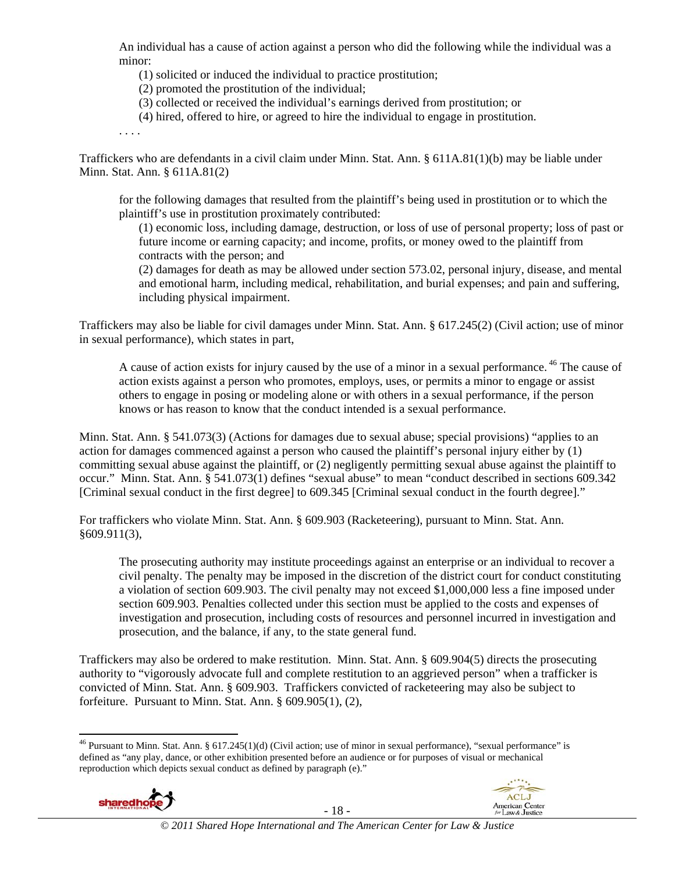An individual has a cause of action against a person who did the following while the individual was a minor:

(1) solicited or induced the individual to practice prostitution;

(2) promoted the prostitution of the individual;

- (3) collected or received the individual's earnings derived from prostitution; or
- (4) hired, offered to hire, or agreed to hire the individual to engage in prostitution.

. . . .

Traffickers who are defendants in a civil claim under Minn. Stat. Ann. § 611A.81(1)(b) may be liable under Minn. Stat. Ann. § 611A.81(2)

for the following damages that resulted from the plaintiff's being used in prostitution or to which the plaintiff's use in prostitution proximately contributed:

(1) economic loss, including damage, destruction, or loss of use of personal property; loss of past or future income or earning capacity; and income, profits, or money owed to the plaintiff from contracts with the person; and

(2) damages for death as may be allowed under section 573.02, personal injury, disease, and mental and emotional harm, including medical, rehabilitation, and burial expenses; and pain and suffering, including physical impairment.

Traffickers may also be liable for civil damages under Minn. Stat. Ann. § 617.245(2) (Civil action; use of minor in sexual performance), which states in part,

A cause of action exists for injury caused by the use of a minor in a sexual performance.<sup>46</sup> The cause of action exists against a person who promotes, employs, uses, or permits a minor to engage or assist others to engage in posing or modeling alone or with others in a sexual performance, if the person knows or has reason to know that the conduct intended is a sexual performance.

Minn. Stat. Ann. § 541.073(3) (Actions for damages due to sexual abuse; special provisions) "applies to an action for damages commenced against a person who caused the plaintiff's personal injury either by (1) committing sexual abuse against the plaintiff, or (2) negligently permitting sexual abuse against the plaintiff to occur." Minn. Stat. Ann. § 541.073(1) defines "sexual abuse" to mean "conduct described in sections 609.342 [Criminal sexual conduct in the first degree] to 609.345 [Criminal sexual conduct in the fourth degree]."

For traffickers who violate Minn. Stat. Ann. § 609.903 (Racketeering), pursuant to Minn. Stat. Ann. §609.911(3),

The prosecuting authority may institute proceedings against an enterprise or an individual to recover a civil penalty. The penalty may be imposed in the discretion of the district court for conduct constituting a violation of section 609.903. The civil penalty may not exceed \$1,000,000 less a fine imposed under section 609.903. Penalties collected under this section must be applied to the costs and expenses of investigation and prosecution, including costs of resources and personnel incurred in investigation and prosecution, and the balance, if any, to the state general fund.

Traffickers may also be ordered to make restitution. Minn. Stat. Ann. § 609.904(5) directs the prosecuting authority to "vigorously advocate full and complete restitution to an aggrieved person" when a trafficker is convicted of Minn. Stat. Ann. § 609.903. Traffickers convicted of racketeering may also be subject to forfeiture. Pursuant to Minn. Stat. Ann. § 609.905(1), (2),

 <sup>46</sup> Pursuant to Minn. Stat. Ann. § 617.245(1)(d) (Civil action; use of minor in sexual performance), "sexual performance" is defined as "any play, dance, or other exhibition presented before an audience or for purposes of visual or mechanical reproduction which depicts sexual conduct as defined by paragraph (e)."



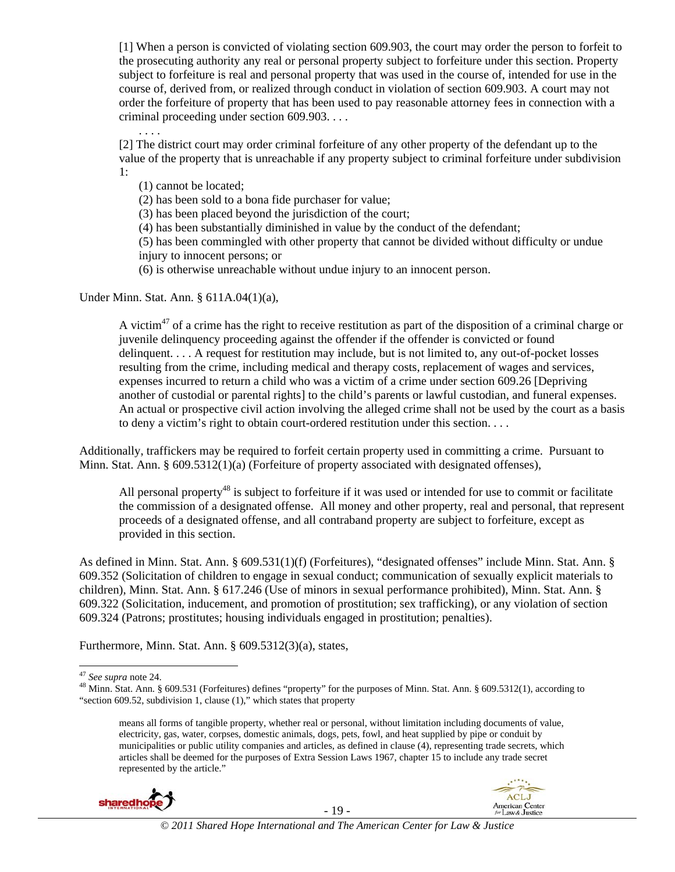[1] When a person is convicted of violating section 609.903, the court may order the person to forfeit to the prosecuting authority any real or personal property subject to forfeiture under this section. Property subject to forfeiture is real and personal property that was used in the course of, intended for use in the course of, derived from, or realized through conduct in violation of section 609.903. A court may not order the forfeiture of property that has been used to pay reasonable attorney fees in connection with a criminal proceeding under section 609.903. . . .

[2] The district court may order criminal forfeiture of any other property of the defendant up to the value of the property that is unreachable if any property subject to criminal forfeiture under subdivision 1:

(1) cannot be located;

. . . .

(2) has been sold to a bona fide purchaser for value;

(3) has been placed beyond the jurisdiction of the court;

(4) has been substantially diminished in value by the conduct of the defendant;

(5) has been commingled with other property that cannot be divided without difficulty or undue injury to innocent persons; or

(6) is otherwise unreachable without undue injury to an innocent person.

Under Minn. Stat. Ann. § 611A.04(1)(a),

A victim<sup>47</sup> of a crime has the right to receive restitution as part of the disposition of a criminal charge or juvenile delinquency proceeding against the offender if the offender is convicted or found delinquent. . . . A request for restitution may include, but is not limited to, any out-of-pocket losses resulting from the crime, including medical and therapy costs, replacement of wages and services, expenses incurred to return a child who was a victim of a crime under section 609.26 [Depriving another of custodial or parental rights] to the child's parents or lawful custodian, and funeral expenses. An actual or prospective civil action involving the alleged crime shall not be used by the court as a basis to deny a victim's right to obtain court-ordered restitution under this section. . . .

Additionally, traffickers may be required to forfeit certain property used in committing a crime. Pursuant to Minn. Stat. Ann. § 609.5312(1)(a) (Forfeiture of property associated with designated offenses),

All personal property<sup>48</sup> is subject to forfeiture if it was used or intended for use to commit or facilitate the commission of a designated offense. All money and other property, real and personal, that represent proceeds of a designated offense, and all contraband property are subject to forfeiture, except as provided in this section.

As defined in Minn. Stat. Ann. § 609.531(1)(f) (Forfeitures), "designated offenses" include Minn. Stat. Ann. § 609.352 (Solicitation of children to engage in sexual conduct; communication of sexually explicit materials to children), Minn. Stat. Ann. § 617.246 (Use of minors in sexual performance prohibited), Minn. Stat. Ann. § 609.322 (Solicitation, inducement, and promotion of prostitution; sex trafficking), or any violation of section 609.324 (Patrons; prostitutes; housing individuals engaged in prostitution; penalties).

Furthermore, Minn. Stat. Ann. § 609.5312(3)(a), states,

means all forms of tangible property, whether real or personal, without limitation including documents of value, electricity, gas, water, corpses, domestic animals, dogs, pets, fowl, and heat supplied by pipe or conduit by municipalities or public utility companies and articles, as defined in clause (4), representing trade secrets, which articles shall be deemed for the purposes of Extra Session Laws 1967, chapter 15 to include any trade secret represented by the article."





<sup>&</sup>lt;sup>47</sup> *See supra* note 24.<br><sup>48</sup> Minn. Stat. Ann. § 609.531 (Forfeitures) defines "property" for the purposes of Minn. Stat. Ann. § 609.5312(1), according to "section 609.52, subdivision 1, clause (1)," which states that property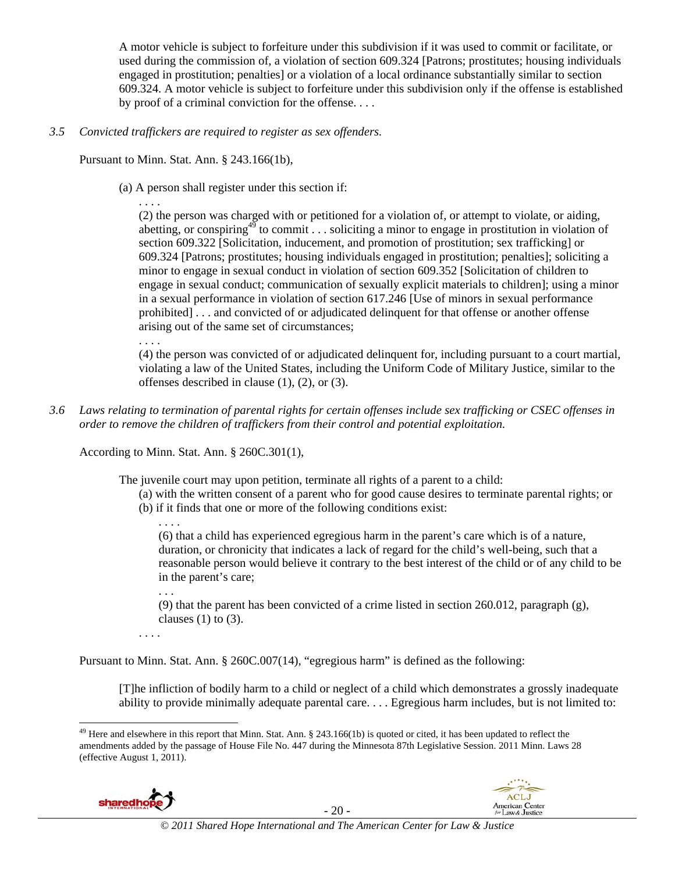A motor vehicle is subject to forfeiture under this subdivision if it was used to commit or facilitate, or used during the commission of, a violation of section 609.324 [Patrons; prostitutes; housing individuals engaged in prostitution; penalties] or a violation of a local ordinance substantially similar to section 609.324. A motor vehicle is subject to forfeiture under this subdivision only if the offense is established by proof of a criminal conviction for the offense. . . .

#### *3.5 Convicted traffickers are required to register as sex offenders.*

Pursuant to Minn. Stat. Ann. § 243.166(1b),

(a) A person shall register under this section if:

. . . . (2) the person was charged with or petitioned for a violation of, or attempt to violate, or aiding, abetting, or conspiring<sup>49</sup> to commit... soliciting a minor to engage in prostitution in violation of section 609.322 [Solicitation, inducement, and promotion of prostitution; sex trafficking] or 609.324 [Patrons; prostitutes; housing individuals engaged in prostitution; penalties]; soliciting a minor to engage in sexual conduct in violation of section 609.352 [Solicitation of children to engage in sexual conduct; communication of sexually explicit materials to children]; using a minor in a sexual performance in violation of section 617.246 [Use of minors in sexual performance prohibited] . . . and convicted of or adjudicated delinquent for that offense or another offense arising out of the same set of circumstances;

. . . .

(4) the person was convicted of or adjudicated delinquent for, including pursuant to a court martial, violating a law of the United States, including the Uniform Code of Military Justice, similar to the offenses described in clause (1), (2), or (3).

*3.6 Laws relating to termination of parental rights for certain offenses include sex trafficking or CSEC offenses in order to remove the children of traffickers from their control and potential exploitation.*

According to Minn. Stat. Ann. § 260C.301(1),

The juvenile court may upon petition, terminate all rights of a parent to a child:

(a) with the written consent of a parent who for good cause desires to terminate parental rights; or (b) if it finds that one or more of the following conditions exist:

. . . . (6) that a child has experienced egregious harm in the parent's care which is of a nature, duration, or chronicity that indicates a lack of regard for the child's well-being, such that a reasonable person would believe it contrary to the best interest of the child or of any child to be in the parent's care;

. . .

(9) that the parent has been convicted of a crime listed in section 260.012, paragraph (g), clauses  $(1)$  to  $(3)$ .

. . . .

Pursuant to Minn. Stat. Ann. § 260C.007(14), "egregious harm" is defined as the following:

[T]he infliction of bodily harm to a child or neglect of a child which demonstrates a grossly inadequate ability to provide minimally adequate parental care. . . . Egregious harm includes, but is not limited to:

  $49$  Here and elsewhere in this report that Minn. Stat. Ann. § 243.166(1b) is quoted or cited, it has been updated to reflect the amendments added by the passage of House File No. 447 during the Minnesota 87th Legislative Session. 2011 Minn. Laws 28 (effective August 1, 2011).



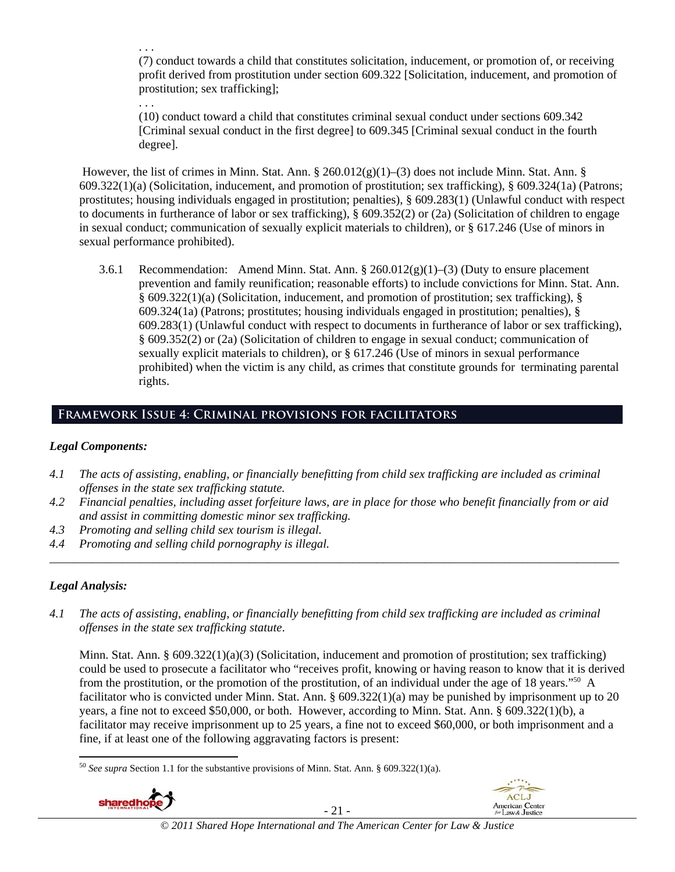. . . (7) conduct towards a child that constitutes solicitation, inducement, or promotion of, or receiving profit derived from prostitution under section 609.322 [Solicitation, inducement, and promotion of prostitution; sex trafficking];

. . . (10) conduct toward a child that constitutes criminal sexual conduct under sections 609.342 [Criminal sexual conduct in the first degree] to 609.345 [Criminal sexual conduct in the fourth degree].

 However, the list of crimes in Minn. Stat. Ann. § 260.012(g)(1)–(3) does not include Minn. Stat. Ann. § 609.322(1)(a) (Solicitation, inducement, and promotion of prostitution; sex trafficking), § 609.324(1a) (Patrons; prostitutes; housing individuals engaged in prostitution; penalties), § 609.283(1) (Unlawful conduct with respect to documents in furtherance of labor or sex trafficking), § 609.352(2) or (2a) (Solicitation of children to engage in sexual conduct; communication of sexually explicit materials to children), or § 617.246 (Use of minors in sexual performance prohibited).

3.6.1 Recommendation: Amend Minn. Stat. Ann.  $\S 260.012(g)(1)$ –(3) (Duty to ensure placement prevention and family reunification; reasonable efforts) to include convictions for Minn. Stat. Ann. § 609.322(1)(a) (Solicitation, inducement, and promotion of prostitution; sex trafficking), § 609.324(1a) (Patrons; prostitutes; housing individuals engaged in prostitution; penalties), § 609.283(1) (Unlawful conduct with respect to documents in furtherance of labor or sex trafficking), § 609.352(2) or (2a) (Solicitation of children to engage in sexual conduct; communication of sexually explicit materials to children), or § 617.246 (Use of minors in sexual performance prohibited) when the victim is any child, as crimes that constitute grounds for terminating parental rights.

# **Framework Issue 4: Criminal provisions for facilitators**

### *Legal Components:*

- *4.1 The acts of assisting, enabling, or financially benefitting from child sex trafficking are included as criminal offenses in the state sex trafficking statute.*
- *4.2 Financial penalties, including asset forfeiture laws, are in place for those who benefit financially from or aid and assist in committing domestic minor sex trafficking.*

*\_\_\_\_\_\_\_\_\_\_\_\_\_\_\_\_\_\_\_\_\_\_\_\_\_\_\_\_\_\_\_\_\_\_\_\_\_\_\_\_\_\_\_\_\_\_\_\_\_\_\_\_\_\_\_\_\_\_\_\_\_\_\_\_\_\_\_\_\_\_\_\_\_\_\_\_\_\_\_\_\_\_\_\_\_\_\_\_\_\_\_\_\_\_* 

- *4.3 Promoting and selling child sex tourism is illegal.*
- *4.4 Promoting and selling child pornography is illegal.*

### *Legal Analysis:*

*4.1 The acts of assisting, enabling, or financially benefitting from child sex trafficking are included as criminal offenses in the state sex trafficking statute*.

Minn. Stat. Ann. § 609.322(1)(a)(3) (Solicitation, inducement and promotion of prostitution; sex trafficking) could be used to prosecute a facilitator who "receives profit, knowing or having reason to know that it is derived from the prostitution, or the promotion of the prostitution, of an individual under the age of 18 years."50 A facilitator who is convicted under Minn. Stat. Ann.  $\S 609.322(1)(a)$  may be punished by imprisonment up to 20 years, a fine not to exceed \$50,000, or both. However, according to Minn. Stat. Ann. § 609.322(1)(b), a facilitator may receive imprisonment up to 25 years, a fine not to exceed \$60,000, or both imprisonment and a fine, if at least one of the following aggravating factors is present:

 <sup>50</sup> *See supra* Section 1.1 for the substantive provisions of Minn. Stat. Ann. § 609.322(1)(a).





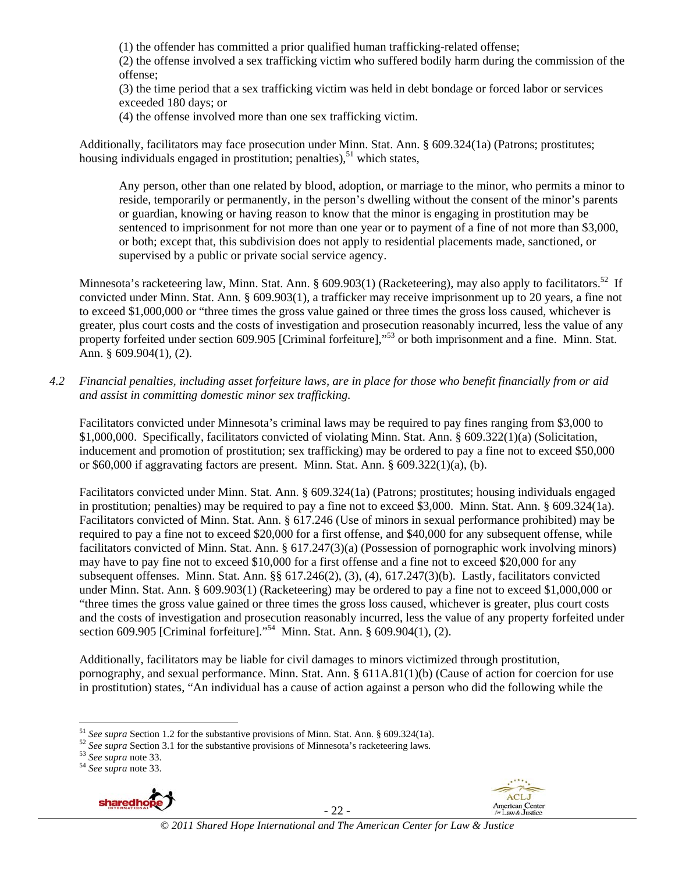(1) the offender has committed a prior qualified human trafficking-related offense;

(2) the offense involved a sex trafficking victim who suffered bodily harm during the commission of the offense;

(3) the time period that a sex trafficking victim was held in debt bondage or forced labor or services exceeded 180 days; or

(4) the offense involved more than one sex trafficking victim.

Additionally, facilitators may face prosecution under Minn. Stat. Ann. § 609.324(1a) (Patrons; prostitutes; housing individuals engaged in prostitution; penalties),  $51$  which states,

Any person, other than one related by blood, adoption, or marriage to the minor, who permits a minor to reside, temporarily or permanently, in the person's dwelling without the consent of the minor's parents or guardian, knowing or having reason to know that the minor is engaging in prostitution may be sentenced to imprisonment for not more than one year or to payment of a fine of not more than \$3,000, or both; except that, this subdivision does not apply to residential placements made, sanctioned, or supervised by a public or private social service agency.

Minnesota's racketeering law, Minn. Stat. Ann. § 609.903(1) (Racketeering), may also apply to facilitators.<sup>52</sup> If convicted under Minn. Stat. Ann. § 609.903(1), a trafficker may receive imprisonment up to 20 years, a fine not to exceed \$1,000,000 or "three times the gross value gained or three times the gross loss caused, whichever is greater, plus court costs and the costs of investigation and prosecution reasonably incurred, less the value of any property forfeited under section 609.905 [Criminal forfeiture],"<sup>53</sup> or both imprisonment and a fine. Minn. Stat. Ann. § 609.904(1), (2).

*4.2 Financial penalties, including asset forfeiture laws, are in place for those who benefit financially from or aid and assist in committing domestic minor sex trafficking.* 

Facilitators convicted under Minnesota's criminal laws may be required to pay fines ranging from \$3,000 to \$1,000,000. Specifically, facilitators convicted of violating Minn. Stat. Ann. § 609.322(1)(a) (Solicitation, inducement and promotion of prostitution; sex trafficking) may be ordered to pay a fine not to exceed \$50,000 or \$60,000 if aggravating factors are present. Minn. Stat. Ann. § 609.322(1)(a), (b).

Facilitators convicted under Minn. Stat. Ann. § 609.324(1a) (Patrons; prostitutes; housing individuals engaged in prostitution; penalties) may be required to pay a fine not to exceed \$3,000. Minn. Stat. Ann. § 609.324(1a). Facilitators convicted of Minn. Stat. Ann. § 617.246 (Use of minors in sexual performance prohibited) may be required to pay a fine not to exceed \$20,000 for a first offense, and \$40,000 for any subsequent offense, while facilitators convicted of Minn. Stat. Ann. § 617.247(3)(a) (Possession of pornographic work involving minors) may have to pay fine not to exceed \$10,000 for a first offense and a fine not to exceed \$20,000 for any subsequent offenses. Minn. Stat. Ann. §§ 617.246(2), (3), (4), 617.247(3)(b). Lastly, facilitators convicted under Minn. Stat. Ann. § 609.903(1) (Racketeering) may be ordered to pay a fine not to exceed \$1,000,000 or "three times the gross value gained or three times the gross loss caused, whichever is greater, plus court costs and the costs of investigation and prosecution reasonably incurred, less the value of any property forfeited under section 609.905 [Criminal forfeiture]."54 Minn. Stat. Ann. § 609.904(1), (2).

Additionally, facilitators may be liable for civil damages to minors victimized through prostitution, pornography, and sexual performance. Minn. Stat. Ann. § 611A.81(1)(b) (Cause of action for coercion for use in prostitution) states, "An individual has a cause of action against a person who did the following while the



- 22 -



<sup>&</sup>lt;sup>51</sup> See supra Section 1.2 for the substantive provisions of Minn. Stat. Ann. § 609.324(1a).

<sup>&</sup>lt;sup>52</sup> See supra Section 3.1 for the substantive provisions of Minnesota's racketeering laws.<br><sup>53</sup> See supra note 33.<br><sup>54</sup> See supra note 33.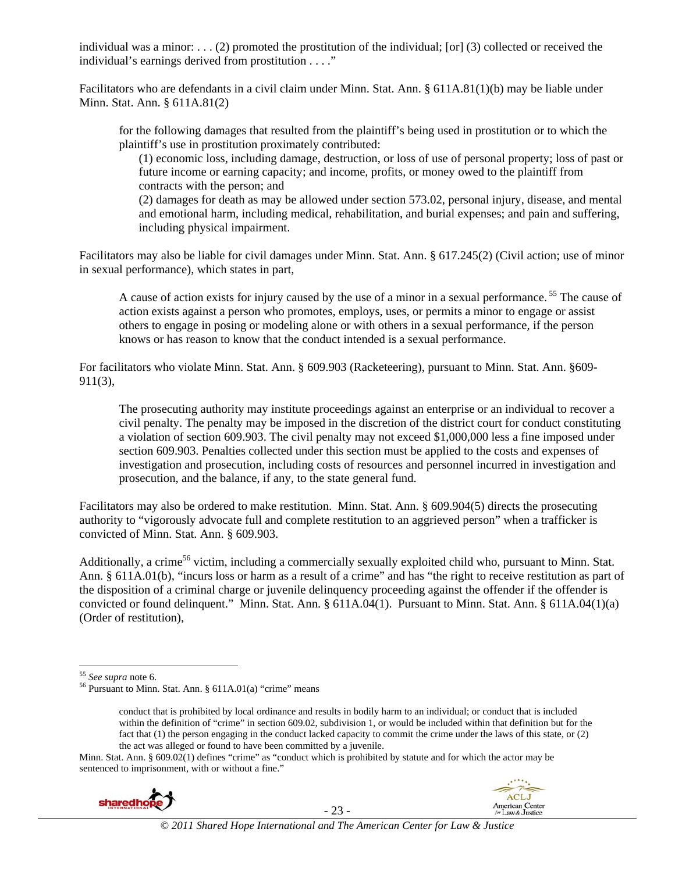individual was a minor: . . . (2) promoted the prostitution of the individual; [or] (3) collected or received the individual's earnings derived from prostitution . . . ."

Facilitators who are defendants in a civil claim under Minn. Stat. Ann. § 611A.81(1)(b) may be liable under Minn. Stat. Ann. § 611A.81(2)

for the following damages that resulted from the plaintiff's being used in prostitution or to which the plaintiff's use in prostitution proximately contributed:

(1) economic loss, including damage, destruction, or loss of use of personal property; loss of past or future income or earning capacity; and income, profits, or money owed to the plaintiff from contracts with the person; and

(2) damages for death as may be allowed under section 573.02, personal injury, disease, and mental and emotional harm, including medical, rehabilitation, and burial expenses; and pain and suffering, including physical impairment.

Facilitators may also be liable for civil damages under Minn. Stat. Ann. § 617.245(2) (Civil action; use of minor in sexual performance), which states in part,

A cause of action exists for injury caused by the use of a minor in a sexual performance.<sup>55</sup> The cause of action exists against a person who promotes, employs, uses, or permits a minor to engage or assist others to engage in posing or modeling alone or with others in a sexual performance, if the person knows or has reason to know that the conduct intended is a sexual performance.

For facilitators who violate Minn. Stat. Ann. § 609.903 (Racketeering), pursuant to Minn. Stat. Ann. §609- 911(3),

The prosecuting authority may institute proceedings against an enterprise or an individual to recover a civil penalty. The penalty may be imposed in the discretion of the district court for conduct constituting a violation of section 609.903. The civil penalty may not exceed \$1,000,000 less a fine imposed under section 609.903. Penalties collected under this section must be applied to the costs and expenses of investigation and prosecution, including costs of resources and personnel incurred in investigation and prosecution, and the balance, if any, to the state general fund.

Facilitators may also be ordered to make restitution. Minn. Stat. Ann. § 609.904(5) directs the prosecuting authority to "vigorously advocate full and complete restitution to an aggrieved person" when a trafficker is convicted of Minn. Stat. Ann. § 609.903.

Additionally, a crime<sup>56</sup> victim, including a commercially sexually exploited child who, pursuant to Minn. Stat. Ann. § 611A.01(b), "incurs loss or harm as a result of a crime" and has "the right to receive restitution as part of the disposition of a criminal charge or juvenile delinquency proceeding against the offender if the offender is convicted or found delinquent." Minn. Stat. Ann. § 611A.04(1). Pursuant to Minn. Stat. Ann. § 611A.04(1)(a) (Order of restitution),

Minn. Stat. Ann. § 609.02(1) defines "crime" as "conduct which is prohibited by statute and for which the actor may be sentenced to imprisonment, with or without a fine."





<sup>&</sup>lt;sup>55</sup> See supra note 6.<br><sup>56</sup> Pursuant to Minn. Stat. Ann. § 611A.01(a) "crime" means

conduct that is prohibited by local ordinance and results in bodily harm to an individual; or conduct that is included within the definition of "crime" in section 609.02, subdivision 1, or would be included within that definition but for the fact that (1) the person engaging in the conduct lacked capacity to commit the crime under the laws of this state, or (2) the act was alleged or found to have been committed by a juvenile.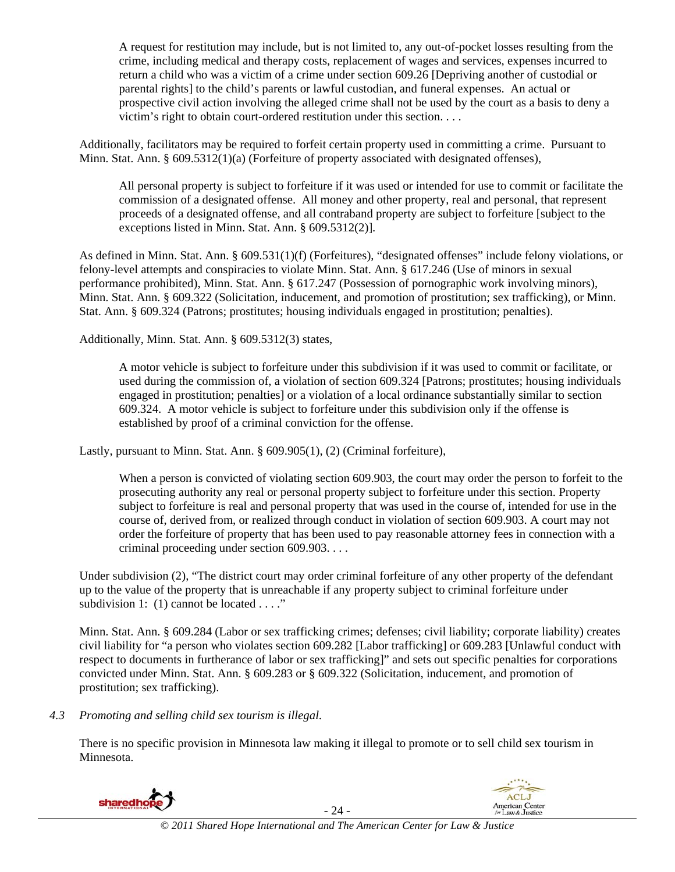A request for restitution may include, but is not limited to, any out-of-pocket losses resulting from the crime, including medical and therapy costs, replacement of wages and services, expenses incurred to return a child who was a victim of a crime under section 609.26 [Depriving another of custodial or parental rights] to the child's parents or lawful custodian, and funeral expenses. An actual or prospective civil action involving the alleged crime shall not be used by the court as a basis to deny a victim's right to obtain court-ordered restitution under this section. . . .

Additionally, facilitators may be required to forfeit certain property used in committing a crime. Pursuant to Minn. Stat. Ann. § 609.5312(1)(a) (Forfeiture of property associated with designated offenses),

All personal property is subject to forfeiture if it was used or intended for use to commit or facilitate the commission of a designated offense. All money and other property, real and personal, that represent proceeds of a designated offense, and all contraband property are subject to forfeiture [subject to the exceptions listed in Minn. Stat. Ann. § 609.5312(2)].

As defined in Minn. Stat. Ann. § 609.531(1)(f) (Forfeitures), "designated offenses" include felony violations, or felony-level attempts and conspiracies to violate Minn. Stat. Ann. § 617.246 (Use of minors in sexual performance prohibited), Minn. Stat. Ann. § 617.247 (Possession of pornographic work involving minors), Minn. Stat. Ann. § 609.322 (Solicitation, inducement, and promotion of prostitution; sex trafficking), or Minn. Stat. Ann. § 609.324 (Patrons; prostitutes; housing individuals engaged in prostitution; penalties).

Additionally, Minn. Stat. Ann. § 609.5312(3) states,

A motor vehicle is subject to forfeiture under this subdivision if it was used to commit or facilitate, or used during the commission of, a violation of section 609.324 [Patrons; prostitutes; housing individuals engaged in prostitution; penalties] or a violation of a local ordinance substantially similar to section 609.324. A motor vehicle is subject to forfeiture under this subdivision only if the offense is established by proof of a criminal conviction for the offense.

Lastly, pursuant to Minn. Stat. Ann. § 609.905(1), (2) (Criminal forfeiture),

When a person is convicted of violating section 609.903, the court may order the person to forfeit to the prosecuting authority any real or personal property subject to forfeiture under this section. Property subject to forfeiture is real and personal property that was used in the course of, intended for use in the course of, derived from, or realized through conduct in violation of section 609.903. A court may not order the forfeiture of property that has been used to pay reasonable attorney fees in connection with a criminal proceeding under section 609.903. . . .

Under subdivision (2), "The district court may order criminal forfeiture of any other property of the defendant up to the value of the property that is unreachable if any property subject to criminal forfeiture under subdivision 1: (1) cannot be located . . . ."

Minn. Stat. Ann. § 609.284 (Labor or sex trafficking crimes; defenses; civil liability; corporate liability) creates civil liability for "a person who violates section 609.282 [Labor trafficking] or 609.283 [Unlawful conduct with respect to documents in furtherance of labor or sex trafficking]" and sets out specific penalties for corporations convicted under Minn. Stat. Ann. § 609.283 or § 609.322 (Solicitation, inducement, and promotion of prostitution; sex trafficking).

#### *4.3 Promoting and selling child sex tourism is illegal*.

There is no specific provision in Minnesota law making it illegal to promote or to sell child sex tourism in Minnesota.

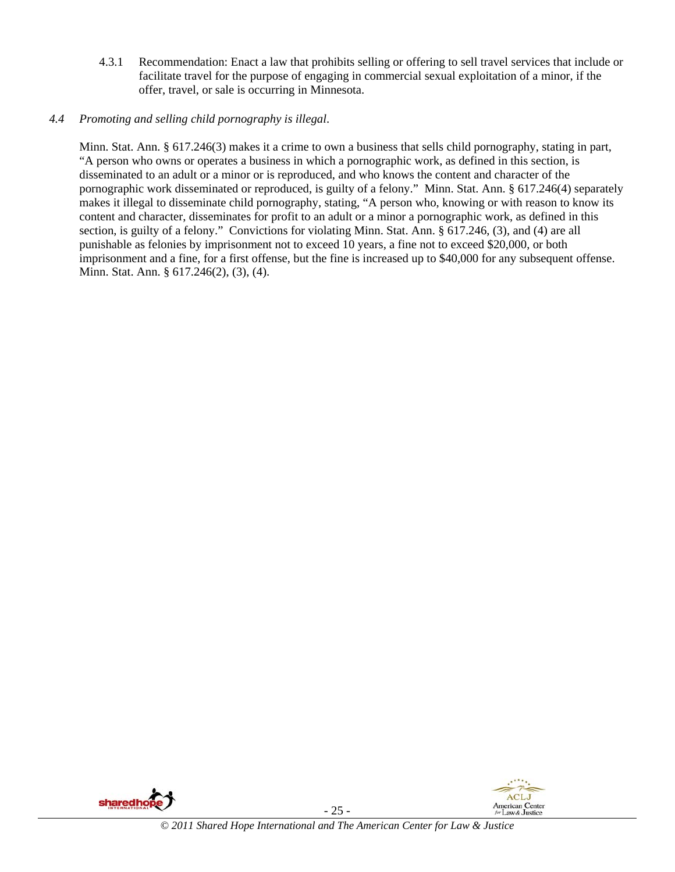4.3.1 Recommendation: Enact a law that prohibits selling or offering to sell travel services that include or facilitate travel for the purpose of engaging in commercial sexual exploitation of a minor, if the offer, travel, or sale is occurring in Minnesota.

# *4.4 Promoting and selling child pornography is illegal*.

Minn. Stat. Ann. § 617.246(3) makes it a crime to own a business that sells child pornography, stating in part, "A person who owns or operates a business in which a pornographic work, as defined in this section, is disseminated to an adult or a minor or is reproduced, and who knows the content and character of the pornographic work disseminated or reproduced, is guilty of a felony." Minn. Stat. Ann. § 617.246(4) separately makes it illegal to disseminate child pornography, stating, "A person who, knowing or with reason to know its content and character, disseminates for profit to an adult or a minor a pornographic work, as defined in this section, is guilty of a felony." Convictions for violating Minn. Stat. Ann. § 617.246, (3), and (4) are all punishable as felonies by imprisonment not to exceed 10 years, a fine not to exceed \$20,000, or both imprisonment and a fine, for a first offense, but the fine is increased up to \$40,000 for any subsequent offense. Minn. Stat. Ann. § 617.246(2), (3), (4).



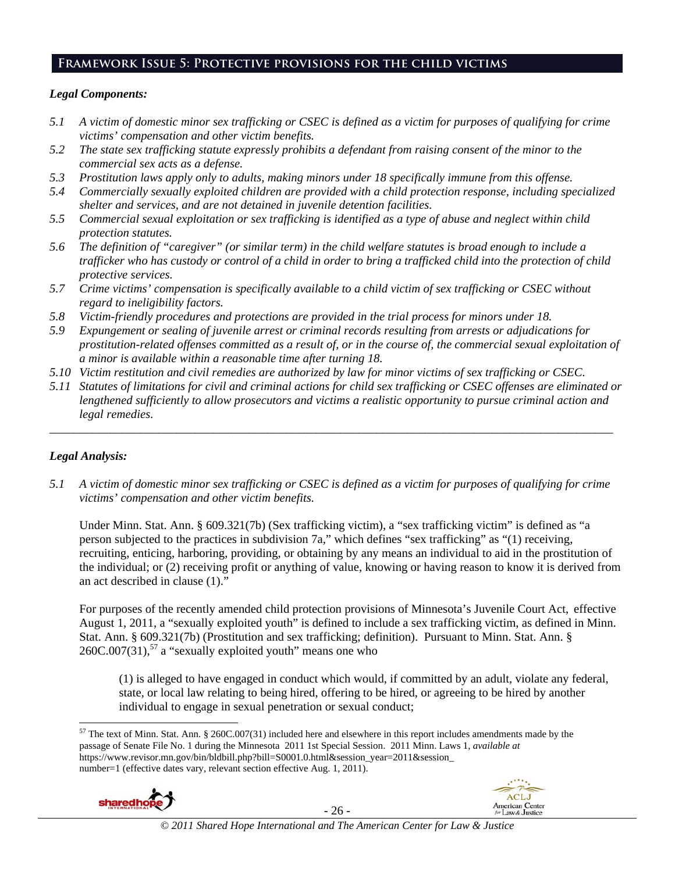# **Framework Issue 5: Protective provisions for the child victims**

#### *Legal Components:*

- *5.1 A victim of domestic minor sex trafficking or CSEC is defined as a victim for purposes of qualifying for crime victims' compensation and other victim benefits.*
- *5.2 The state sex trafficking statute expressly prohibits a defendant from raising consent of the minor to the commercial sex acts as a defense.*
- *5.3 Prostitution laws apply only to adults, making minors under 18 specifically immune from this offense.*
- *5.4 Commercially sexually exploited children are provided with a child protection response, including specialized shelter and services, and are not detained in juvenile detention facilities.*
- *5.5 Commercial sexual exploitation or sex trafficking is identified as a type of abuse and neglect within child protection statutes.*
- *5.6 The definition of "caregiver" (or similar term) in the child welfare statutes is broad enough to include a trafficker who has custody or control of a child in order to bring a trafficked child into the protection of child protective services.*
- *5.7 Crime victims' compensation is specifically available to a child victim of sex trafficking or CSEC without regard to ineligibility factors.*
- *5.8 Victim-friendly procedures and protections are provided in the trial process for minors under 18.*
- *5.9 Expungement or sealing of juvenile arrest or criminal records resulting from arrests or adjudications for prostitution-related offenses committed as a result of, or in the course of, the commercial sexual exploitation of a minor is available within a reasonable time after turning 18.*
- *5.10 Victim restitution and civil remedies are authorized by law for minor victims of sex trafficking or CSEC.*
- *5.11 Statutes of limitations for civil and criminal actions for child sex trafficking or CSEC offenses are eliminated or lengthened sufficiently to allow prosecutors and victims a realistic opportunity to pursue criminal action and legal remedies.*

*\_\_\_\_\_\_\_\_\_\_\_\_\_\_\_\_\_\_\_\_\_\_\_\_\_\_\_\_\_\_\_\_\_\_\_\_\_\_\_\_\_\_\_\_\_\_\_\_\_\_\_\_\_\_\_\_\_\_\_\_\_\_\_\_\_\_\_\_\_\_\_\_\_\_\_\_\_\_\_\_\_\_\_\_\_\_\_\_\_\_\_\_\_* 

### *Legal Analysis:*

*5.1 A victim of domestic minor sex trafficking or CSEC is defined as a victim for purposes of qualifying for crime victims' compensation and other victim benefits.* 

Under Minn. Stat. Ann. § 609.321(7b) (Sex trafficking victim), a "sex trafficking victim" is defined as "a person subjected to the practices in subdivision 7a," which defines "sex trafficking" as "(1) receiving, recruiting, enticing, harboring, providing, or obtaining by any means an individual to aid in the prostitution of the individual; or (2) receiving profit or anything of value, knowing or having reason to know it is derived from an act described in clause (1)."

For purposes of the recently amended child protection provisions of Minnesota's Juvenile Court Act, effective August 1, 2011, a "sexually exploited youth" is defined to include a sex trafficking victim, as defined in Minn. Stat. Ann. § 609.321(7b) (Prostitution and sex trafficking; definition). Pursuant to Minn. Stat. Ann. § 260C.007(31), $57$  a "sexually exploited youth" means one who

(1) is alleged to have engaged in conduct which would, if committed by an adult, violate any federal, state, or local law relating to being hired, offering to be hired, or agreeing to be hired by another individual to engage in sexual penetration or sexual conduct;

 $57$  The text of Minn. Stat. Ann. § 260C.007(31) included here and elsewhere in this report includes amendments made by the passage of Senate File No. 1 during the Minnesota 2011 1st Special Session. 2011 Minn. Laws 1, *available at*  https://www.revisor.mn.gov/bin/bldbill.php?bill=S0001.0.html&session\_year=2011&session\_ number=1 (effective dates vary, relevant section effective Aug. 1, 2011).





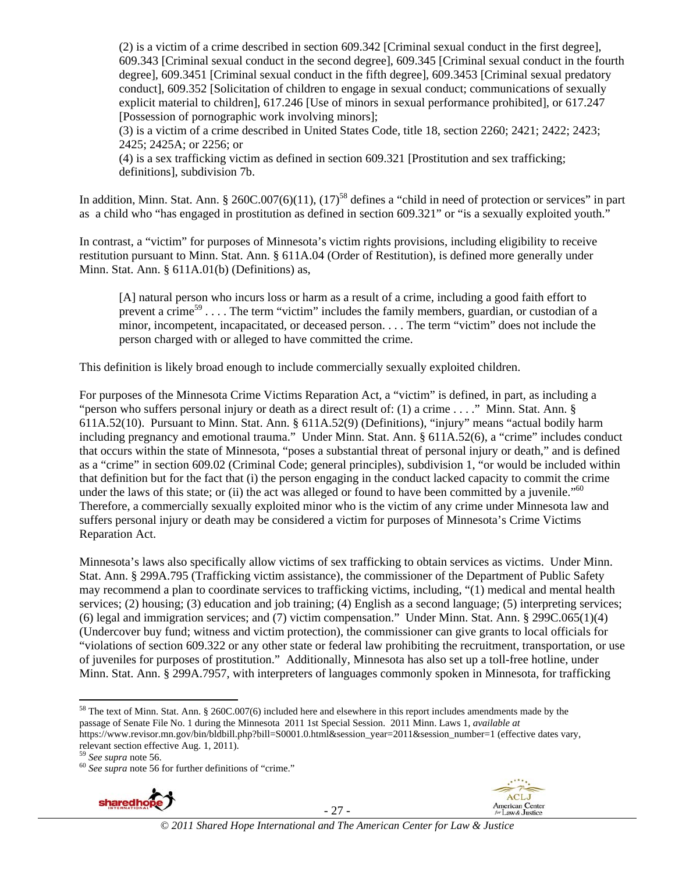(2) is a victim of a crime described in section 609.342 [Criminal sexual conduct in the first degree], 609.343 [Criminal sexual conduct in the second degree], 609.345 [Criminal sexual conduct in the fourth degree], 609.3451 [Criminal sexual conduct in the fifth degree], 609.3453 [Criminal sexual predatory conduct], 609.352 [Solicitation of children to engage in sexual conduct; communications of sexually explicit material to children], 617.246 [Use of minors in sexual performance prohibited], or 617.247 [Possession of pornographic work involving minors];

(3) is a victim of a crime described in United States Code, title 18, section 2260; 2421; 2422; 2423; 2425; 2425A; or 2256; or

(4) is a sex trafficking victim as defined in section 609.321 [Prostitution and sex trafficking; definitions], subdivision 7b.

In addition, Minn. Stat. Ann. § 260C.007(6)(11), (17)<sup>58</sup> defines a "child in need of protection or services" in part as a child who "has engaged in prostitution as defined in section 609.321" or "is a sexually exploited youth."

In contrast, a "victim" for purposes of Minnesota's victim rights provisions, including eligibility to receive restitution pursuant to Minn. Stat. Ann. § 611A.04 (Order of Restitution), is defined more generally under Minn. Stat. Ann. § 611A.01(b) (Definitions) as,

[A] natural person who incurs loss or harm as a result of a crime, including a good faith effort to prevent a crime<sup>59</sup> . . . . The term "victim" includes the family members, guardian, or custodian of a minor, incompetent, incapacitated, or deceased person. . . . The term "victim" does not include the person charged with or alleged to have committed the crime.

This definition is likely broad enough to include commercially sexually exploited children.

For purposes of the Minnesota Crime Victims Reparation Act, a "victim" is defined, in part, as including a "person who suffers personal injury or death as a direct result of: (1) a crime . . . ." Minn. Stat. Ann. § 611A.52(10). Pursuant to Minn. Stat. Ann. § 611A.52(9) (Definitions), "injury" means "actual bodily harm including pregnancy and emotional trauma." Under Minn. Stat. Ann. § 611A.52(6), a "crime" includes conduct that occurs within the state of Minnesota, "poses a substantial threat of personal injury or death," and is defined as a "crime" in section 609.02 (Criminal Code; general principles), subdivision 1, "or would be included within that definition but for the fact that (i) the person engaging in the conduct lacked capacity to commit the crime under the laws of this state; or (ii) the act was alleged or found to have been committed by a juvenile."<sup>60</sup> Therefore, a commercially sexually exploited minor who is the victim of any crime under Minnesota law and suffers personal injury or death may be considered a victim for purposes of Minnesota's Crime Victims Reparation Act.

Minnesota's laws also specifically allow victims of sex trafficking to obtain services as victims. Under Minn. Stat. Ann. § 299A.795 (Trafficking victim assistance), the commissioner of the Department of Public Safety may recommend a plan to coordinate services to trafficking victims, including, "(1) medical and mental health services; (2) housing; (3) education and job training; (4) English as a second language; (5) interpreting services; (6) legal and immigration services; and (7) victim compensation." Under Minn. Stat. Ann. § 299C.065(1)(4) (Undercover buy fund; witness and victim protection), the commissioner can give grants to local officials for "violations of section 609.322 or any other state or federal law prohibiting the recruitment, transportation, or use of juveniles for purposes of prostitution." Additionally, Minnesota has also set up a toll-free hotline, under Minn. Stat. Ann. § 299A.7957, with interpreters of languages commonly spoken in Minnesota, for trafficking



- 27 -



 $58$  The text of Minn. Stat. Ann. § 260C.007(6) included here and elsewhere in this report includes amendments made by the passage of Senate File No. 1 during the Minnesota 2011 1st Special Session. 2011 Minn. Laws 1, *available at*  https://www.revisor.mn.gov/bin/bldbill.php?bill=S0001.0.html&session\_year=2011&session\_number=1 (effective dates vary, relevant section effective Aug. 1, 2011).<br> $^{59}$  See supra note 56.

<sup>59</sup> *See supra* note 56. 60 *See supra* note 56 for further definitions of "crime."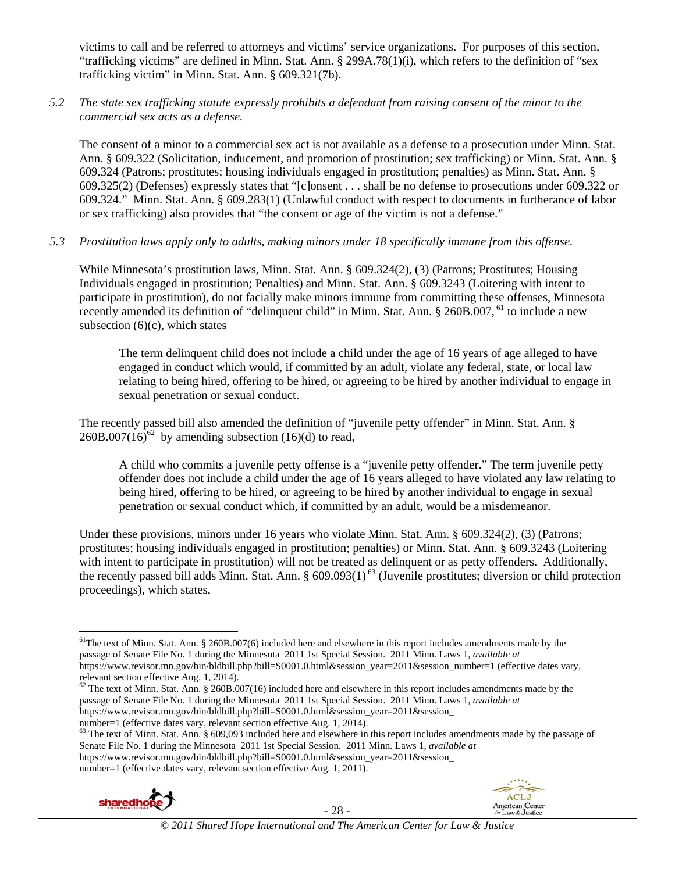victims to call and be referred to attorneys and victims' service organizations. For purposes of this section, "trafficking victims" are defined in Minn. Stat. Ann. § 299A.78(1)(i), which refers to the definition of "sex trafficking victim" in Minn. Stat. Ann. § 609.321(7b).

#### *5.2 The state sex trafficking statute expressly prohibits a defendant from raising consent of the minor to the commercial sex acts as a defense.*

The consent of a minor to a commercial sex act is not available as a defense to a prosecution under Minn. Stat. Ann. § 609.322 (Solicitation, inducement, and promotion of prostitution; sex trafficking) or Minn. Stat. Ann. § 609.324 (Patrons; prostitutes; housing individuals engaged in prostitution; penalties) as Minn. Stat. Ann. § 609.325(2) (Defenses) expressly states that "[c]onsent . . . shall be no defense to prosecutions under 609.322 or 609.324." Minn. Stat. Ann. § 609.283(1) (Unlawful conduct with respect to documents in furtherance of labor or sex trafficking) also provides that "the consent or age of the victim is not a defense."

#### *5.3 Prostitution laws apply only to adults, making minors under 18 specifically immune from this offense.*

While Minnesota's prostitution laws, Minn. Stat. Ann. § 609.324(2), (3) (Patrons; Prostitutes; Housing Individuals engaged in prostitution; Penalties) and Minn. Stat. Ann. § 609.3243 (Loitering with intent to participate in prostitution), do not facially make minors immune from committing these offenses, Minnesota recently amended its definition of "delinquent child" in Minn. Stat. Ann. § 260B.007, <sup>61</sup> to include a new subsection  $(6)(c)$ , which states

The term delinquent child does not include a child under the age of 16 years of age alleged to have engaged in conduct which would, if committed by an adult, violate any federal, state, or local law relating to being hired, offering to be hired, or agreeing to be hired by another individual to engage in sexual penetration or sexual conduct.

The recently passed bill also amended the definition of "juvenile petty offender" in Minn. Stat. Ann. §  $260B.007(16)^{62}$  by amending subsection (16)(d) to read,

A child who commits a juvenile petty offense is a "juvenile petty offender." The term juvenile petty offender does not include a child under the age of 16 years alleged to have violated any law relating to being hired, offering to be hired, or agreeing to be hired by another individual to engage in sexual penetration or sexual conduct which, if committed by an adult, would be a misdemeanor.

Under these provisions, minors under 16 years who violate Minn. Stat. Ann. § 609.324(2), (3) (Patrons; prostitutes; housing individuals engaged in prostitution; penalties) or Minn. Stat. Ann. § 609.3243 (Loitering with intent to participate in prostitution) will not be treated as delinquent or as petty offenders. Additionally, the recently passed bill adds Minn. Stat. Ann. § 609.093(1)<sup>63</sup> (Juvenile prostitutes; diversion or child protection proceedings), which states,

 $62$  The text of Minn. Stat. Ann. § 260B.007(16) included here and elsewhere in this report includes amendments made by the passage of Senate File No. 1 during the Minnesota 2011 1st Special Session. 2011 Minn. Laws 1, *available at*  https://www.revisor.mn.gov/bin/bldbill.php?bill=S0001.0.html&session\_year=2011&session\_

number=1 (effective dates vary, relevant section effective Aug. 1, 2014). <sup>63</sup> The text of Minn. Stat. Ann. § 609,093 included here and elsewhere in this report includes amendments made by the passage of Senate File No. 1 during the Minnesota 2011 1st Special Session. 2011 Minn. Laws 1, *available at*  https://www.revisor.mn.gov/bin/bldbill.php?bill=S0001.0.html&session\_year=2011&session\_ number=1 (effective dates vary, relevant section effective Aug. 1, 2011).



- 28 -



  $<sup>61</sup>$ The text of Minn. Stat. Ann. § 260B.007(6) included here and elsewhere in this report includes amendments made by the</sup> passage of Senate File No. 1 during the Minnesota 2011 1st Special Session. 2011 Minn. Laws 1, *available at*  https://www.revisor.mn.gov/bin/bldbill.php?bill=S0001.0.html&session\_year=2011&session\_number=1 (effective dates vary, relevant section effective Aug. 1, 2014).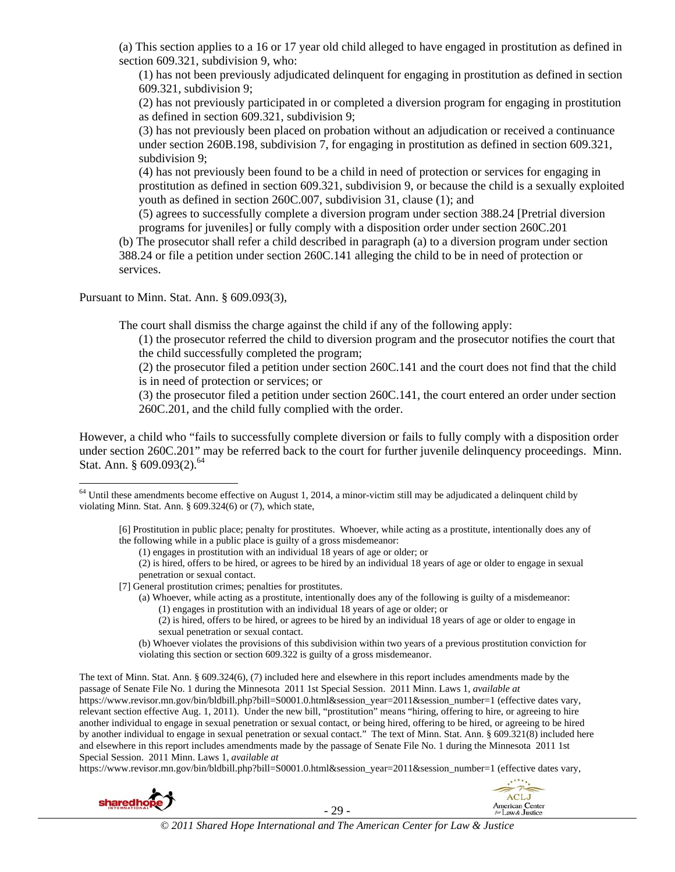(a) This section applies to a 16 or 17 year old child alleged to have engaged in prostitution as defined in section 609.321, subdivision 9, who:

(1) has not been previously adjudicated delinquent for engaging in prostitution as defined in section 609.321, subdivision 9;

(2) has not previously participated in or completed a diversion program for engaging in prostitution as defined in section 609.321, subdivision 9;

(3) has not previously been placed on probation without an adjudication or received a continuance under section 260B.198, subdivision 7, for engaging in prostitution as defined in section 609.321, subdivision 9;

(4) has not previously been found to be a child in need of protection or services for engaging in prostitution as defined in section 609.321, subdivision 9, or because the child is a sexually exploited youth as defined in section 260C.007, subdivision 31, clause (1); and

(5) agrees to successfully complete a diversion program under section 388.24 [Pretrial diversion programs for juveniles] or fully comply with a disposition order under section 260C.201

(b) The prosecutor shall refer a child described in paragraph (a) to a diversion program under section 388.24 or file a petition under section 260C.141 alleging the child to be in need of protection or services.

Pursuant to Minn. Stat. Ann. § 609.093(3),

The court shall dismiss the charge against the child if any of the following apply:

(1) the prosecutor referred the child to diversion program and the prosecutor notifies the court that the child successfully completed the program;

(2) the prosecutor filed a petition under section 260C.141 and the court does not find that the child is in need of protection or services; or

(3) the prosecutor filed a petition under section 260C.141, the court entered an order under section 260C.201, and the child fully complied with the order.

However, a child who "fails to successfully complete diversion or fails to fully comply with a disposition order under section 260C.201" may be referred back to the court for further juvenile delinquency proceedings. Minn. Stat. Ann. §  $609.093(2)$ .<sup>64</sup>

 $64$  Until these amendments become effective on August 1, 2014, a minor-victim still may be adjudicated a delinquent child by violating Minn. Stat. Ann. § 609.324(6) or (7), which state,

[6] Prostitution in public place; penalty for prostitutes. Whoever, while acting as a prostitute, intentionally does any of the following while in a public place is guilty of a gross misdemeanor:

(1) engages in prostitution with an individual 18 years of age or older; or

(2) is hired, offers to be hired, or agrees to be hired by an individual 18 years of age or older to engage in sexual penetration or sexual contact.

#### [7] General prostitution crimes; penalties for prostitutes.

- (a) Whoever, while acting as a prostitute, intentionally does any of the following is guilty of a misdemeanor: (1) engages in prostitution with an individual 18 years of age or older; or
	- (2) is hired, offers to be hired, or agrees to be hired by an individual 18 years of age or older to engage in sexual penetration or sexual contact.
- (b) Whoever violates the provisions of this subdivision within two years of a previous prostitution conviction for violating this section or section 609.322 is guilty of a gross misdemeanor.

The text of Minn. Stat. Ann. § 609.324(6), (7) included here and elsewhere in this report includes amendments made by the passage of Senate File No. 1 during the Minnesota 2011 1st Special Session. 2011 Minn. Laws 1, *available at*  https://www.revisor.mn.gov/bin/bldbill.php?bill=S0001.0.html&session\_year=2011&session\_number=1 (effective dates vary, relevant section effective Aug. 1, 2011). Under the new bill, "prostitution" means "hiring, offering to hire, or agreeing to hire another individual to engage in sexual penetration or sexual contact, or being hired, offering to be hired, or agreeing to be hired by another individual to engage in sexual penetration or sexual contact." The text of Minn. Stat. Ann. § 609.321(8) included here and elsewhere in this report includes amendments made by the passage of Senate File No. 1 during the Minnesota 2011 1st Special Session. 2011 Minn. Laws 1, *available at* 

https://www.revisor.mn.gov/bin/bldbill.php?bill=S0001.0.html&session\_year=2011&session\_number=1 (effective dates vary,



- 29 -

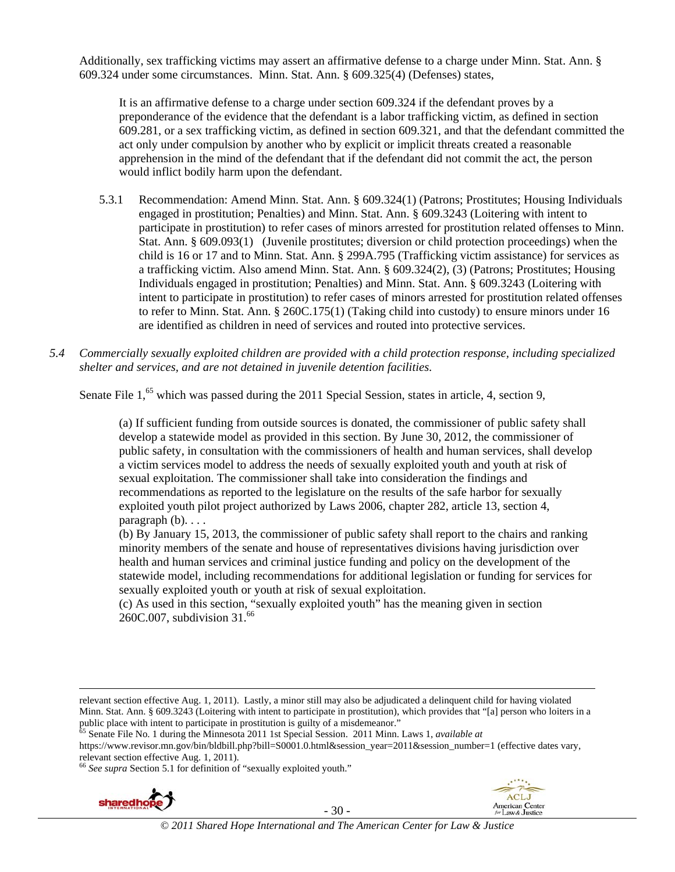Additionally, sex trafficking victims may assert an affirmative defense to a charge under Minn. Stat. Ann. § 609.324 under some circumstances. Minn. Stat. Ann. § 609.325(4) (Defenses) states,

It is an affirmative defense to a charge under section 609.324 if the defendant proves by a preponderance of the evidence that the defendant is a labor trafficking victim, as defined in section 609.281, or a sex trafficking victim, as defined in section 609.321, and that the defendant committed the act only under compulsion by another who by explicit or implicit threats created a reasonable apprehension in the mind of the defendant that if the defendant did not commit the act, the person would inflict bodily harm upon the defendant.

- 5.3.1 Recommendation: Amend Minn. Stat. Ann. § 609.324(1) (Patrons; Prostitutes; Housing Individuals engaged in prostitution; Penalties) and Minn. Stat. Ann. § 609.3243 (Loitering with intent to participate in prostitution) to refer cases of minors arrested for prostitution related offenses to Minn. Stat. Ann. § 609.093(1) (Juvenile prostitutes; diversion or child protection proceedings) when the child is 16 or 17 and to Minn. Stat. Ann. § 299A.795 (Trafficking victim assistance) for services as a trafficking victim. Also amend Minn. Stat. Ann. § 609.324(2), (3) (Patrons; Prostitutes; Housing Individuals engaged in prostitution; Penalties) and Minn. Stat. Ann. § 609.3243 (Loitering with intent to participate in prostitution) to refer cases of minors arrested for prostitution related offenses to refer to Minn. Stat. Ann. § 260C.175(1) (Taking child into custody) to ensure minors under 16 are identified as children in need of services and routed into protective services.
- *5.4 Commercially sexually exploited children are provided with a child protection response, including specialized shelter and services, and are not detained in juvenile detention facilities.*

Senate File 1,<sup>65</sup> which was passed during the 2011 Special Session, states in article, 4, section 9,

(a) If sufficient funding from outside sources is donated, the commissioner of public safety shall develop a statewide model as provided in this section. By June 30, 2012, the commissioner of public safety, in consultation with the commissioners of health and human services, shall develop a victim services model to address the needs of sexually exploited youth and youth at risk of sexual exploitation. The commissioner shall take into consideration the findings and recommendations as reported to the legislature on the results of the safe harbor for sexually exploited youth pilot project authorized by Laws 2006, chapter 282, article 13, section 4, paragraph  $(b)$ ...

(b) By January 15, 2013, the commissioner of public safety shall report to the chairs and ranking minority members of the senate and house of representatives divisions having jurisdiction over health and human services and criminal justice funding and policy on the development of the statewide model, including recommendations for additional legislation or funding for services for sexually exploited youth or youth at risk of sexual exploitation.

(c) As used in this section, "sexually exploited youth" has the meaning given in section 260C.007, subdivision 31.66

<u> 1989 - Johann Stoff, fransk politik (d. 1989)</u>

https://www.revisor.mn.gov/bin/bldbill.php?bill=S0001.0.html&session\_year=2011&session\_number=1 (effective dates vary, relevant section effective Aug. 1, 2011).

<sup>66</sup> *See supra* Section 5.1 for definition of "sexually exploited youth."





relevant section effective Aug. 1, 2011). Lastly, a minor still may also be adjudicated a delinquent child for having violated Minn. Stat. Ann. § 609.3243 (Loitering with intent to participate in prostitution), which provides that "[a] person who loiters in a public place with intent to participate in prostitution is guilty of a misdemeanor."<br><sup>65</sup> Senate File No. 1 during the Minnesota 2011 1st Special Session. 2011 Minn. Laws 1, *available at*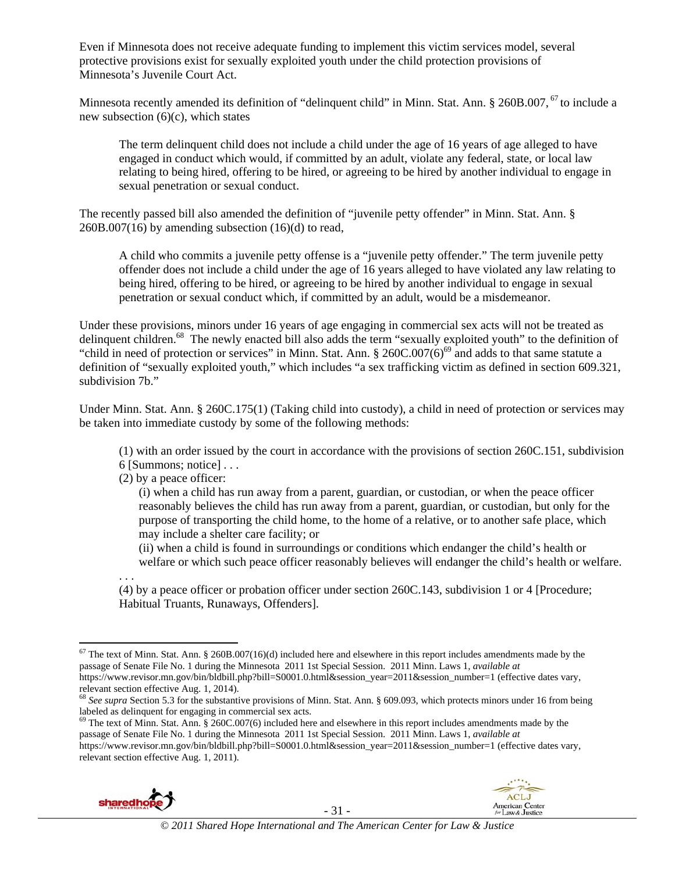Even if Minnesota does not receive adequate funding to implement this victim services model, several protective provisions exist for sexually exploited youth under the child protection provisions of Minnesota's Juvenile Court Act.

Minnesota recently amended its definition of "delinquent child" in Minn. Stat. Ann. § 260B.007,<sup>67</sup> to include a new subsection (6)(c), which states

The term delinquent child does not include a child under the age of 16 years of age alleged to have engaged in conduct which would, if committed by an adult, violate any federal, state, or local law relating to being hired, offering to be hired, or agreeing to be hired by another individual to engage in sexual penetration or sexual conduct.

The recently passed bill also amended the definition of "juvenile petty offender" in Minn. Stat. Ann. §  $260B.007(16)$  by amending subsection  $(16)(d)$  to read,

A child who commits a juvenile petty offense is a "juvenile petty offender." The term juvenile petty offender does not include a child under the age of 16 years alleged to have violated any law relating to being hired, offering to be hired, or agreeing to be hired by another individual to engage in sexual penetration or sexual conduct which, if committed by an adult, would be a misdemeanor.

Under these provisions, minors under 16 years of age engaging in commercial sex acts will not be treated as delinquent children.<sup>68</sup> The newly enacted bill also adds the term "sexually exploited youth" to the definition of "child in need of protection or services" in Minn. Stat. Ann.  $\S 260C.007(6)^{69}$  and adds to that same statute a definition of "sexually exploited youth," which includes "a sex trafficking victim as defined in section 609.321, subdivision 7b."

Under Minn. Stat. Ann. § 260C.175(1) (Taking child into custody), a child in need of protection or services may be taken into immediate custody by some of the following methods:

(1) with an order issued by the court in accordance with the provisions of section 260C.151, subdivision 6 [Summons; notice] . . .

(2) by a peace officer:

(i) when a child has run away from a parent, guardian, or custodian, or when the peace officer reasonably believes the child has run away from a parent, guardian, or custodian, but only for the purpose of transporting the child home, to the home of a relative, or to another safe place, which may include a shelter care facility; or

(ii) when a child is found in surroundings or conditions which endanger the child's health or welfare or which such peace officer reasonably believes will endanger the child's health or welfare.

. . . (4) by a peace officer or probation officer under section 260C.143, subdivision 1 or 4 [Procedure; Habitual Truants, Runaways, Offenders].

 $^{69}$  The text of Minn. Stat. Ann. § 260C.007(6) included here and elsewhere in this report includes amendments made by the passage of Senate File No. 1 during the Minnesota 2011 1st Special Session. 2011 Minn. Laws 1, *available at*  https://www.revisor.mn.gov/bin/bldbill.php?bill=S0001.0.html&session\_year=2011&session\_number=1 (effective dates vary, relevant section effective Aug. 1, 2011).





  $67$  The text of Minn. Stat. Ann. § 260B.007(16)(d) included here and elsewhere in this report includes amendments made by the passage of Senate File No. 1 during the Minnesota 2011 1st Special Session. 2011 Minn. Laws 1, *available at*  https://www.revisor.mn.gov/bin/bldbill.php?bill=S0001.0.html&session\_year=2011&session\_number=1 (effective dates vary, relevant section effective Aug. 1, 2014).

<sup>68</sup> *See supra* Section 5.3 for the substantive provisions of Minn. Stat. Ann. § 609.093, which protects minors under 16 from being labeled as delinquent for engaging in commercial sex acts.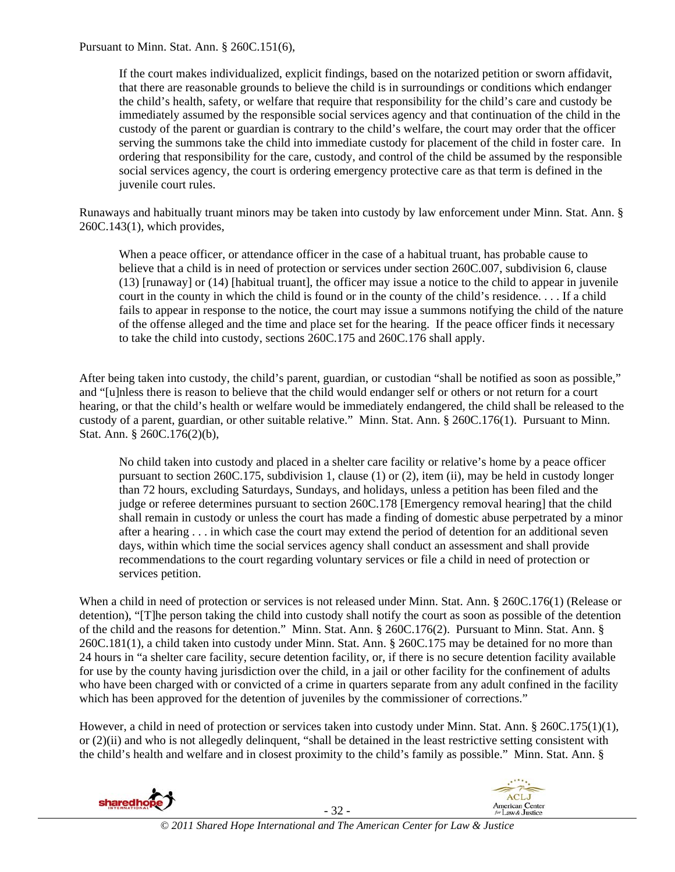Pursuant to Minn. Stat. Ann. § 260C.151(6),

If the court makes individualized, explicit findings, based on the notarized petition or sworn affidavit, that there are reasonable grounds to believe the child is in surroundings or conditions which endanger the child's health, safety, or welfare that require that responsibility for the child's care and custody be immediately assumed by the responsible social services agency and that continuation of the child in the custody of the parent or guardian is contrary to the child's welfare, the court may order that the officer serving the summons take the child into immediate custody for placement of the child in foster care. In ordering that responsibility for the care, custody, and control of the child be assumed by the responsible social services agency, the court is ordering emergency protective care as that term is defined in the juvenile court rules.

Runaways and habitually truant minors may be taken into custody by law enforcement under Minn. Stat. Ann. § 260C.143(1), which provides,

When a peace officer, or attendance officer in the case of a habitual truant, has probable cause to believe that a child is in need of protection or services under section 260C.007, subdivision 6, clause (13) [runaway] or (14) [habitual truant], the officer may issue a notice to the child to appear in juvenile court in the county in which the child is found or in the county of the child's residence. . . . If a child fails to appear in response to the notice, the court may issue a summons notifying the child of the nature of the offense alleged and the time and place set for the hearing. If the peace officer finds it necessary to take the child into custody, sections 260C.175 and 260C.176 shall apply.

After being taken into custody, the child's parent, guardian, or custodian "shall be notified as soon as possible," and "[u]nless there is reason to believe that the child would endanger self or others or not return for a court hearing, or that the child's health or welfare would be immediately endangered, the child shall be released to the custody of a parent, guardian, or other suitable relative." Minn. Stat. Ann. § 260C.176(1). Pursuant to Minn. Stat. Ann. § 260C.176(2)(b),

No child taken into custody and placed in a shelter care facility or relative's home by a peace officer pursuant to section 260C.175, subdivision 1, clause (1) or (2), item (ii), may be held in custody longer than 72 hours, excluding Saturdays, Sundays, and holidays, unless a petition has been filed and the judge or referee determines pursuant to section 260C.178 [Emergency removal hearing] that the child shall remain in custody or unless the court has made a finding of domestic abuse perpetrated by a minor after a hearing . . . in which case the court may extend the period of detention for an additional seven days, within which time the social services agency shall conduct an assessment and shall provide recommendations to the court regarding voluntary services or file a child in need of protection or services petition.

When a child in need of protection or services is not released under Minn. Stat. Ann. § 260C.176(1) (Release or detention), "[T]he person taking the child into custody shall notify the court as soon as possible of the detention of the child and the reasons for detention." Minn. Stat. Ann. § 260C.176(2). Pursuant to Minn. Stat. Ann. § 260C.181(1), a child taken into custody under Minn. Stat. Ann. § 260C.175 may be detained for no more than 24 hours in "a shelter care facility, secure detention facility, or, if there is no secure detention facility available for use by the county having jurisdiction over the child, in a jail or other facility for the confinement of adults who have been charged with or convicted of a crime in quarters separate from any adult confined in the facility which has been approved for the detention of juveniles by the commissioner of corrections."

However, a child in need of protection or services taken into custody under Minn. Stat. Ann. § 260C.175(1)(1), or (2)(ii) and who is not allegedly delinquent, "shall be detained in the least restrictive setting consistent with the child's health and welfare and in closest proximity to the child's family as possible." Minn. Stat. Ann. §

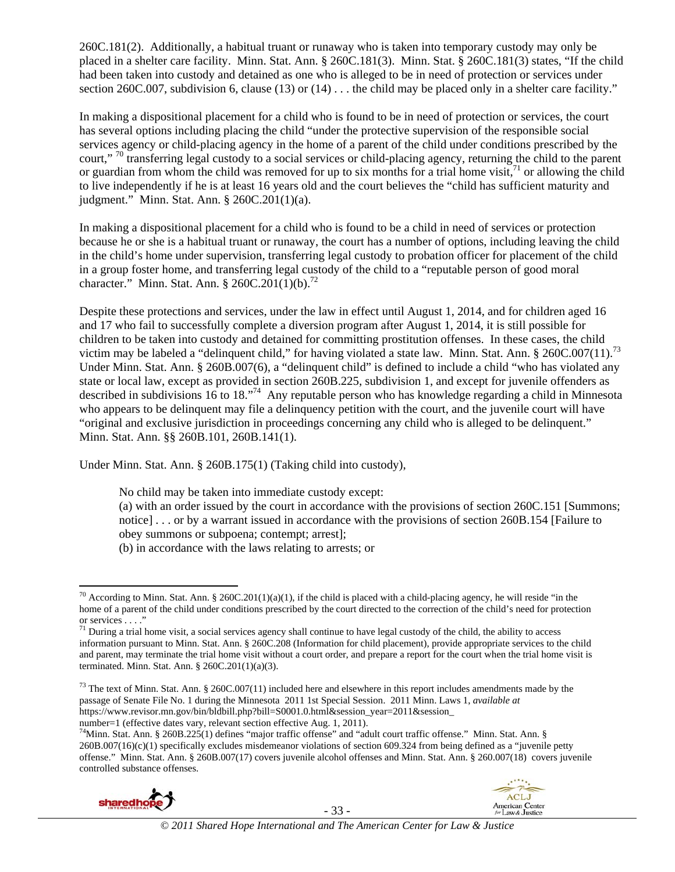260C.181(2). Additionally, a habitual truant or runaway who is taken into temporary custody may only be placed in a shelter care facility. Minn. Stat. Ann. § 260C.181(3). Minn. Stat. § 260C.181(3) states, "If the child had been taken into custody and detained as one who is alleged to be in need of protection or services under section 260C.007, subdivision 6, clause (13) or (14) . . . the child may be placed only in a shelter care facility."

In making a dispositional placement for a child who is found to be in need of protection or services, the court has several options including placing the child "under the protective supervision of the responsible social services agency or child-placing agency in the home of a parent of the child under conditions prescribed by the court," <sup>70</sup> transferring legal custody to a social services or child-placing agency, returning the child to the parent or guardian from whom the child was removed for up to six months for a trial home visit,  $^{71}$  or allowing the child to live independently if he is at least 16 years old and the court believes the "child has sufficient maturity and judgment." Minn. Stat. Ann. § 260C.201(1)(a).

In making a dispositional placement for a child who is found to be a child in need of services or protection because he or she is a habitual truant or runaway, the court has a number of options, including leaving the child in the child's home under supervision, transferring legal custody to probation officer for placement of the child in a group foster home, and transferring legal custody of the child to a "reputable person of good moral character." Minn. Stat. Ann. § 260C.201(1)(b).<sup>72</sup>

Despite these protections and services, under the law in effect until August 1, 2014, and for children aged 16 and 17 who fail to successfully complete a diversion program after August 1, 2014, it is still possible for children to be taken into custody and detained for committing prostitution offenses. In these cases, the child victim may be labeled a "delinquent child," for having violated a state law. Minn. Stat. Ann. § 260C.007(11).<sup>73</sup> Under Minn. Stat. Ann. § 260B.007(6), a "delinquent child" is defined to include a child "who has violated any state or local law, except as provided in section 260B.225, subdivision 1, and except for juvenile offenders as described in subdivisions 16 to 18."74 Any reputable person who has knowledge regarding a child in Minnesota who appears to be delinquent may file a delinquency petition with the court, and the juvenile court will have "original and exclusive jurisdiction in proceedings concerning any child who is alleged to be delinquent." Minn. Stat. Ann. §§ 260B.101, 260B.141(1).

Under Minn. Stat. Ann. § 260B.175(1) (Taking child into custody),

No child may be taken into immediate custody except:

(a) with an order issued by the court in accordance with the provisions of section 260C.151 [Summons; notice] . . . or by a warrant issued in accordance with the provisions of section 260B.154 [Failure to obey summons or subpoena; contempt; arrest];

(b) in accordance with the laws relating to arrests; or

 $^{73}$  The text of Minn. Stat. Ann. § 260C.007(11) included here and elsewhere in this report includes amendments made by the passage of Senate File No. 1 during the Minnesota 2011 1st Special Session. 2011 Minn. Laws 1, *available at*  https://www.revisor.mn.gov/bin/bldbill.php?bill=S0001.0.html&session\_year=2011&session\_

number=1 (effective dates vary, relevant section effective Aug. 1, 2011).<br><sup>74</sup>Minn. Stat. Ann. § 260B.225(1) defines "major traffic offense" and "adult court traffic offense." Minn. Stat. Ann. § 260B.007(16)(c)(1) specifically excludes misdemeanor violations of section 609.324 from being defined as a "juvenile petty offense." Minn. Stat. Ann. § 260B.007(17) covers juvenile alcohol offenses and Minn. Stat. Ann. § 260.007(18) covers juvenile controlled substance offenses.





 <sup>70</sup> According to Minn. Stat. Ann. § 260C.201(1)(a)(1), if the child is placed with a child-placing agency, he will reside "in the home of a parent of the child under conditions prescribed by the court directed to the correction of the child's need for protection or services . . . ."

 $<sup>71</sup>$  During a trial home visit, a social services agency shall continue to have legal custody of the child, the ability to access</sup> information pursuant to Minn. Stat. Ann. § 260C.208 (Information for child placement), provide appropriate services to the child and parent, may terminate the trial home visit without a court order, and prepare a report for the court when the trial home visit is terminated. Minn. Stat. Ann. § 260C.201(1)(a)(3).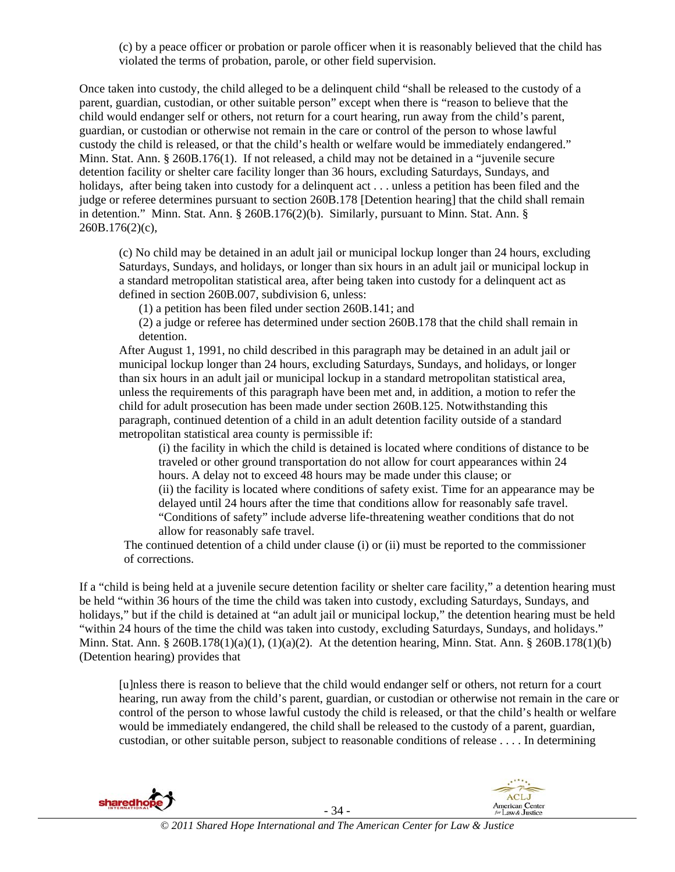(c) by a peace officer or probation or parole officer when it is reasonably believed that the child has violated the terms of probation, parole, or other field supervision.

Once taken into custody, the child alleged to be a delinquent child "shall be released to the custody of a parent, guardian, custodian, or other suitable person" except when there is "reason to believe that the child would endanger self or others, not return for a court hearing, run away from the child's parent, guardian, or custodian or otherwise not remain in the care or control of the person to whose lawful custody the child is released, or that the child's health or welfare would be immediately endangered." Minn. Stat. Ann. § 260B.176(1). If not released, a child may not be detained in a "juvenile secure detention facility or shelter care facility longer than 36 hours, excluding Saturdays, Sundays, and holidays, after being taken into custody for a delinquent act . . . unless a petition has been filed and the judge or referee determines pursuant to section 260B.178 [Detention hearing] that the child shall remain in detention." Minn. Stat. Ann. § 260B.176(2)(b). Similarly, pursuant to Minn. Stat. Ann. § 260B.176(2)(c),

(c) No child may be detained in an adult jail or municipal lockup longer than 24 hours, excluding Saturdays, Sundays, and holidays, or longer than six hours in an adult jail or municipal lockup in a standard metropolitan statistical area, after being taken into custody for a delinquent act as defined in section 260B.007, subdivision 6, unless:

(1) a petition has been filed under section 260B.141; and

(2) a judge or referee has determined under section 260B.178 that the child shall remain in detention.

After August 1, 1991, no child described in this paragraph may be detained in an adult jail or municipal lockup longer than 24 hours, excluding Saturdays, Sundays, and holidays, or longer than six hours in an adult jail or municipal lockup in a standard metropolitan statistical area, unless the requirements of this paragraph have been met and, in addition, a motion to refer the child for adult prosecution has been made under section 260B.125. Notwithstanding this paragraph, continued detention of a child in an adult detention facility outside of a standard metropolitan statistical area county is permissible if:

(i) the facility in which the child is detained is located where conditions of distance to be traveled or other ground transportation do not allow for court appearances within 24 hours. A delay not to exceed 48 hours may be made under this clause; or (ii) the facility is located where conditions of safety exist. Time for an appearance may be delayed until 24 hours after the time that conditions allow for reasonably safe travel. "Conditions of safety" include adverse life-threatening weather conditions that do not allow for reasonably safe travel.

The continued detention of a child under clause (i) or (ii) must be reported to the commissioner of corrections.

If a "child is being held at a juvenile secure detention facility or shelter care facility," a detention hearing must be held "within 36 hours of the time the child was taken into custody, excluding Saturdays, Sundays, and holidays," but if the child is detained at "an adult jail or municipal lockup," the detention hearing must be held "within 24 hours of the time the child was taken into custody, excluding Saturdays, Sundays, and holidays." Minn. Stat. Ann. § 260B.178(1)(a)(1), (1)(a)(2). At the detention hearing, Minn. Stat. Ann. § 260B.178(1)(b) (Detention hearing) provides that

[u]nless there is reason to believe that the child would endanger self or others, not return for a court hearing, run away from the child's parent, guardian, or custodian or otherwise not remain in the care or control of the person to whose lawful custody the child is released, or that the child's health or welfare would be immediately endangered, the child shall be released to the custody of a parent, guardian, custodian, or other suitable person, subject to reasonable conditions of release . . . . In determining

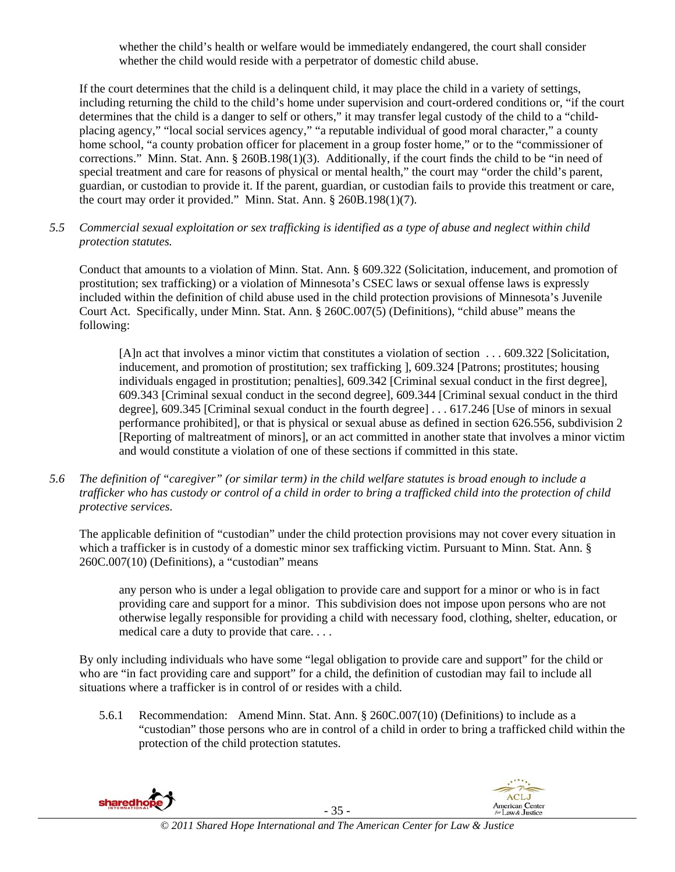whether the child's health or welfare would be immediately endangered, the court shall consider whether the child would reside with a perpetrator of domestic child abuse.

If the court determines that the child is a delinquent child, it may place the child in a variety of settings, including returning the child to the child's home under supervision and court-ordered conditions or, "if the court determines that the child is a danger to self or others," it may transfer legal custody of the child to a "childplacing agency," "local social services agency," "a reputable individual of good moral character," a county home school, "a county probation officer for placement in a group foster home," or to the "commissioner of corrections." Minn. Stat. Ann. § 260B.198(1)(3). Additionally, if the court finds the child to be "in need of special treatment and care for reasons of physical or mental health," the court may "order the child's parent, guardian, or custodian to provide it. If the parent, guardian, or custodian fails to provide this treatment or care, the court may order it provided." Minn. Stat. Ann. § 260B.198(1)(7).

*5.5 Commercial sexual exploitation or sex trafficking is identified as a type of abuse and neglect within child protection statutes.* 

Conduct that amounts to a violation of Minn. Stat. Ann. § 609.322 (Solicitation, inducement, and promotion of prostitution; sex trafficking) or a violation of Minnesota's CSEC laws or sexual offense laws is expressly included within the definition of child abuse used in the child protection provisions of Minnesota's Juvenile Court Act. Specifically, under Minn. Stat. Ann. § 260C.007(5) (Definitions), "child abuse" means the following:

[A]n act that involves a minor victim that constitutes a violation of section . . . 609.322 [Solicitation, inducement, and promotion of prostitution; sex trafficking ], 609.324 [Patrons; prostitutes; housing individuals engaged in prostitution; penalties], 609.342 [Criminal sexual conduct in the first degree], 609.343 [Criminal sexual conduct in the second degree], 609.344 [Criminal sexual conduct in the third degree], 609.345 [Criminal sexual conduct in the fourth degree] . . . 617.246 [Use of minors in sexual performance prohibited], or that is physical or sexual abuse as defined in section 626.556, subdivision 2 [Reporting of maltreatment of minors], or an act committed in another state that involves a minor victim and would constitute a violation of one of these sections if committed in this state.

*5.6 The definition of "caregiver" (or similar term) in the child welfare statutes is broad enough to include a trafficker who has custody or control of a child in order to bring a trafficked child into the protection of child protective services.* 

The applicable definition of "custodian" under the child protection provisions may not cover every situation in which a trafficker is in custody of a domestic minor sex trafficking victim. Pursuant to Minn. Stat. Ann. § 260C.007(10) (Definitions), a "custodian" means

any person who is under a legal obligation to provide care and support for a minor or who is in fact providing care and support for a minor. This subdivision does not impose upon persons who are not otherwise legally responsible for providing a child with necessary food, clothing, shelter, education, or medical care a duty to provide that care. . . .

By only including individuals who have some "legal obligation to provide care and support" for the child or who are "in fact providing care and support" for a child, the definition of custodian may fail to include all situations where a trafficker is in control of or resides with a child.

5.6.1 Recommendation: Amend Minn. Stat. Ann. § 260C.007(10) (Definitions) to include as a "custodian" those persons who are in control of a child in order to bring a trafficked child within the protection of the child protection statutes.

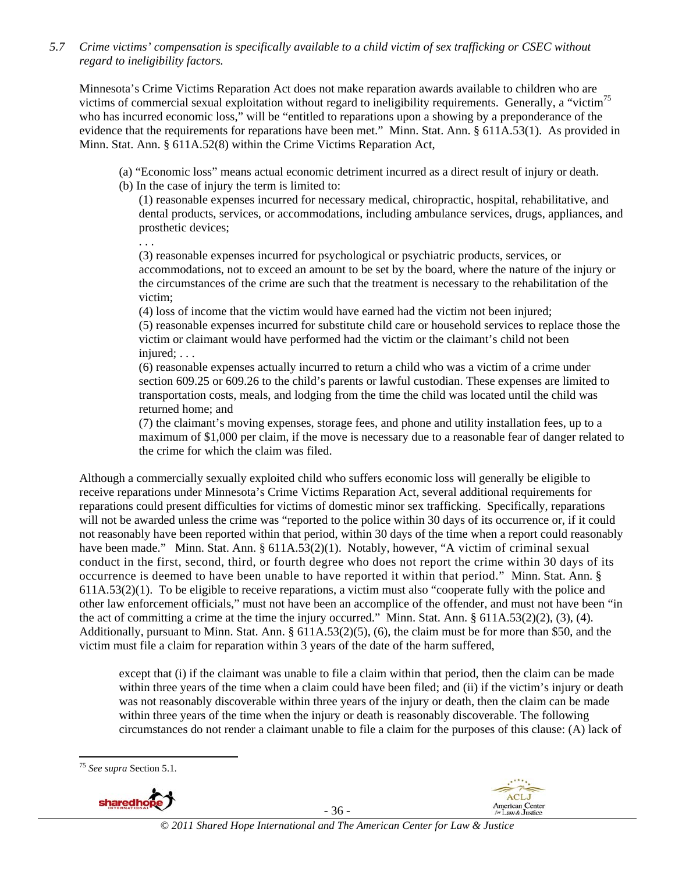*5.7 Crime victims' compensation is specifically available to a child victim of sex trafficking or CSEC without regard to ineligibility factors.* 

Minnesota's Crime Victims Reparation Act does not make reparation awards available to children who are victims of commercial sexual exploitation without regard to ineligibility requirements. Generally, a "victim<sup>75</sup> who has incurred economic loss," will be "entitled to reparations upon a showing by a preponderance of the evidence that the requirements for reparations have been met." Minn. Stat. Ann. § 611A.53(1). As provided in Minn. Stat. Ann. § 611A.52(8) within the Crime Victims Reparation Act,

- (a) "Economic loss" means actual economic detriment incurred as a direct result of injury or death.
- (b) In the case of injury the term is limited to:

(1) reasonable expenses incurred for necessary medical, chiropractic, hospital, rehabilitative, and dental products, services, or accommodations, including ambulance services, drugs, appliances, and prosthetic devices;

. . . (3) reasonable expenses incurred for psychological or psychiatric products, services, or accommodations, not to exceed an amount to be set by the board, where the nature of the injury or the circumstances of the crime are such that the treatment is necessary to the rehabilitation of the victim;

(4) loss of income that the victim would have earned had the victim not been injured; (5) reasonable expenses incurred for substitute child care or household services to replace those the victim or claimant would have performed had the victim or the claimant's child not been injured; . . .

(6) reasonable expenses actually incurred to return a child who was a victim of a crime under section 609.25 or 609.26 to the child's parents or lawful custodian. These expenses are limited to transportation costs, meals, and lodging from the time the child was located until the child was returned home; and

(7) the claimant's moving expenses, storage fees, and phone and utility installation fees, up to a maximum of \$1,000 per claim, if the move is necessary due to a reasonable fear of danger related to the crime for which the claim was filed.

Although a commercially sexually exploited child who suffers economic loss will generally be eligible to receive reparations under Minnesota's Crime Victims Reparation Act, several additional requirements for reparations could present difficulties for victims of domestic minor sex trafficking. Specifically, reparations will not be awarded unless the crime was "reported to the police within 30 days of its occurrence or, if it could not reasonably have been reported within that period, within 30 days of the time when a report could reasonably have been made." Minn. Stat. Ann. § 611A.53(2)(1). Notably, however, "A victim of criminal sexual conduct in the first, second, third, or fourth degree who does not report the crime within 30 days of its occurrence is deemed to have been unable to have reported it within that period." Minn. Stat. Ann. § 611A.53(2)(1). To be eligible to receive reparations, a victim must also "cooperate fully with the police and other law enforcement officials," must not have been an accomplice of the offender, and must not have been "in the act of committing a crime at the time the injury occurred." Minn. Stat. Ann. § 611A.53(2)(2), (3), (4). Additionally, pursuant to Minn. Stat. Ann. § 611A.53(2)(5), (6), the claim must be for more than \$50, and the victim must file a claim for reparation within 3 years of the date of the harm suffered,

except that (i) if the claimant was unable to file a claim within that period, then the claim can be made within three years of the time when a claim could have been filed; and (ii) if the victim's injury or death was not reasonably discoverable within three years of the injury or death, then the claim can be made within three years of the time when the injury or death is reasonably discoverable. The following circumstances do not render a claimant unable to file a claim for the purposes of this clause: (A) lack of





- 36 -

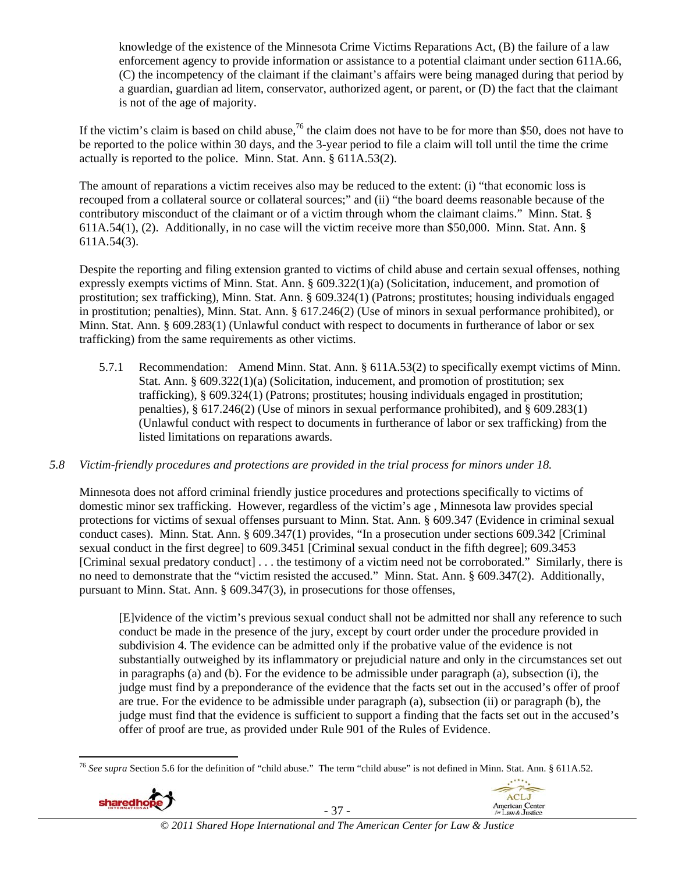knowledge of the existence of the Minnesota Crime Victims Reparations Act, (B) the failure of a law enforcement agency to provide information or assistance to a potential claimant under section 611A.66, (C) the incompetency of the claimant if the claimant's affairs were being managed during that period by a guardian, guardian ad litem, conservator, authorized agent, or parent, or (D) the fact that the claimant is not of the age of majority.

If the victim's claim is based on child abuse,<sup>76</sup> the claim does not have to be for more than \$50, does not have to be reported to the police within 30 days, and the 3-year period to file a claim will toll until the time the crime actually is reported to the police. Minn. Stat. Ann. § 611A.53(2).

The amount of reparations a victim receives also may be reduced to the extent: (i) "that economic loss is recouped from a collateral source or collateral sources;" and (ii) "the board deems reasonable because of the contributory misconduct of the claimant or of a victim through whom the claimant claims." Minn. Stat. § 611A.54(1), (2). Additionally, in no case will the victim receive more than \$50,000. Minn. Stat. Ann. § 611A.54(3).

Despite the reporting and filing extension granted to victims of child abuse and certain sexual offenses, nothing expressly exempts victims of Minn. Stat. Ann. § 609.322(1)(a) (Solicitation, inducement, and promotion of prostitution; sex trafficking), Minn. Stat. Ann. § 609.324(1) (Patrons; prostitutes; housing individuals engaged in prostitution; penalties), Minn. Stat. Ann. § 617.246(2) (Use of minors in sexual performance prohibited), or Minn. Stat. Ann. § 609.283(1) (Unlawful conduct with respect to documents in furtherance of labor or sex trafficking) from the same requirements as other victims.

5.7.1 Recommendation: Amend Minn. Stat. Ann. § 611A.53(2) to specifically exempt victims of Minn. Stat. Ann. § 609.322(1)(a) (Solicitation, inducement, and promotion of prostitution; sex trafficking), § 609.324(1) (Patrons; prostitutes; housing individuals engaged in prostitution; penalties), § 617.246(2) (Use of minors in sexual performance prohibited), and § 609.283(1) (Unlawful conduct with respect to documents in furtherance of labor or sex trafficking) from the listed limitations on reparations awards.

### *5.8 Victim-friendly procedures and protections are provided in the trial process for minors under 18.*

Minnesota does not afford criminal friendly justice procedures and protections specifically to victims of domestic minor sex trafficking. However, regardless of the victim's age , Minnesota law provides special protections for victims of sexual offenses pursuant to Minn. Stat. Ann. § 609.347 (Evidence in criminal sexual conduct cases). Minn. Stat. Ann. § 609.347(1) provides, "In a prosecution under sections 609.342 [Criminal sexual conduct in the first degree] to 609.3451 [Criminal sexual conduct in the fifth degree]; 609.3453 [Criminal sexual predatory conduct] . . . the testimony of a victim need not be corroborated." Similarly, there is no need to demonstrate that the "victim resisted the accused." Minn. Stat. Ann. § 609.347(2). Additionally, pursuant to Minn. Stat. Ann. § 609.347(3), in prosecutions for those offenses,

[E]vidence of the victim's previous sexual conduct shall not be admitted nor shall any reference to such conduct be made in the presence of the jury, except by court order under the procedure provided in subdivision 4. The evidence can be admitted only if the probative value of the evidence is not substantially outweighed by its inflammatory or prejudicial nature and only in the circumstances set out in paragraphs (a) and (b). For the evidence to be admissible under paragraph (a), subsection (i), the judge must find by a preponderance of the evidence that the facts set out in the accused's offer of proof are true. For the evidence to be admissible under paragraph (a), subsection (ii) or paragraph (b), the judge must find that the evidence is sufficient to support a finding that the facts set out in the accused's offer of proof are true, as provided under Rule 901 of the Rules of Evidence.

 <sup>76</sup> *See supra* Section 5.6 for the definition of "child abuse." The term "child abuse" is not defined in Minn. Stat. Ann. § 611A.52.



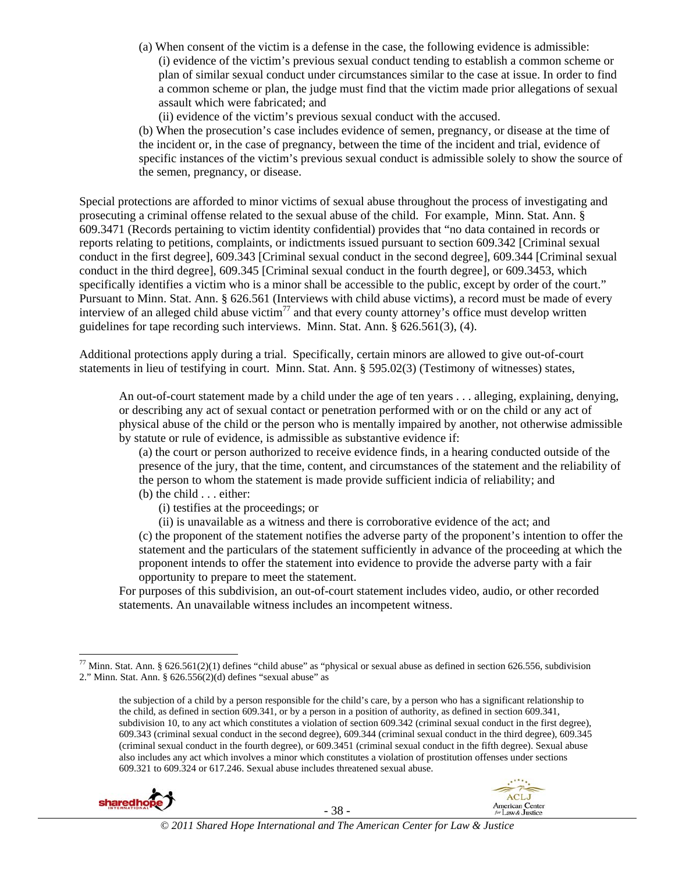- (a) When consent of the victim is a defense in the case, the following evidence is admissible: (i) evidence of the victim's previous sexual conduct tending to establish a common scheme or plan of similar sexual conduct under circumstances similar to the case at issue. In order to find a common scheme or plan, the judge must find that the victim made prior allegations of sexual assault which were fabricated; and
	- (ii) evidence of the victim's previous sexual conduct with the accused.

(b) When the prosecution's case includes evidence of semen, pregnancy, or disease at the time of the incident or, in the case of pregnancy, between the time of the incident and trial, evidence of specific instances of the victim's previous sexual conduct is admissible solely to show the source of the semen, pregnancy, or disease.

Special protections are afforded to minor victims of sexual abuse throughout the process of investigating and prosecuting a criminal offense related to the sexual abuse of the child. For example, Minn. Stat. Ann. § 609.3471 (Records pertaining to victim identity confidential) provides that "no data contained in records or reports relating to petitions, complaints, or indictments issued pursuant to section 609.342 [Criminal sexual conduct in the first degree], 609.343 [Criminal sexual conduct in the second degree], 609.344 [Criminal sexual conduct in the third degree], 609.345 [Criminal sexual conduct in the fourth degree], or 609.3453, which specifically identifies a victim who is a minor shall be accessible to the public, except by order of the court." Pursuant to Minn. Stat. Ann. § 626.561 (Interviews with child abuse victims), a record must be made of every interview of an alleged child abuse victim<sup>77</sup> and that every county attorney's office must develop written guidelines for tape recording such interviews. Minn. Stat. Ann. § 626.561(3), (4).

Additional protections apply during a trial. Specifically, certain minors are allowed to give out-of-court statements in lieu of testifying in court. Minn. Stat. Ann. § 595.02(3) (Testimony of witnesses) states,

An out-of-court statement made by a child under the age of ten years . . . alleging, explaining, denying, or describing any act of sexual contact or penetration performed with or on the child or any act of physical abuse of the child or the person who is mentally impaired by another, not otherwise admissible by statute or rule of evidence, is admissible as substantive evidence if:

(a) the court or person authorized to receive evidence finds, in a hearing conducted outside of the presence of the jury, that the time, content, and circumstances of the statement and the reliability of the person to whom the statement is made provide sufficient indicia of reliability; and

- (b) the child . . . either:
	- (i) testifies at the proceedings; or
	- (ii) is unavailable as a witness and there is corroborative evidence of the act; and

(c) the proponent of the statement notifies the adverse party of the proponent's intention to offer the statement and the particulars of the statement sufficiently in advance of the proceeding at which the proponent intends to offer the statement into evidence to provide the adverse party with a fair opportunity to prepare to meet the statement.

For purposes of this subdivision, an out-of-court statement includes video, audio, or other recorded statements. An unavailable witness includes an incompetent witness.

the subjection of a child by a person responsible for the child's care, by a person who has a significant relationship to the child, as defined in section 609.341, or by a person in a position of authority, as defined in section 609.341, subdivision 10, to any act which constitutes a violation of section 609.342 (criminal sexual conduct in the first degree), 609.343 (criminal sexual conduct in the second degree), 609.344 (criminal sexual conduct in the third degree), 609.345 (criminal sexual conduct in the fourth degree), or 609.3451 (criminal sexual conduct in the fifth degree). Sexual abuse also includes any act which involves a minor which constitutes a violation of prostitution offenses under sections 609.321 to 609.324 or 617.246. Sexual abuse includes threatened sexual abuse.





**ACLJ** 



  $^{77}$  Minn. Stat. Ann. § 626.561(2)(1) defines "child abuse" as "physical or sexual abuse as defined in section 626.556, subdivision 2." Minn. Stat. Ann. § 626.556(2)(d) defines "sexual abuse" as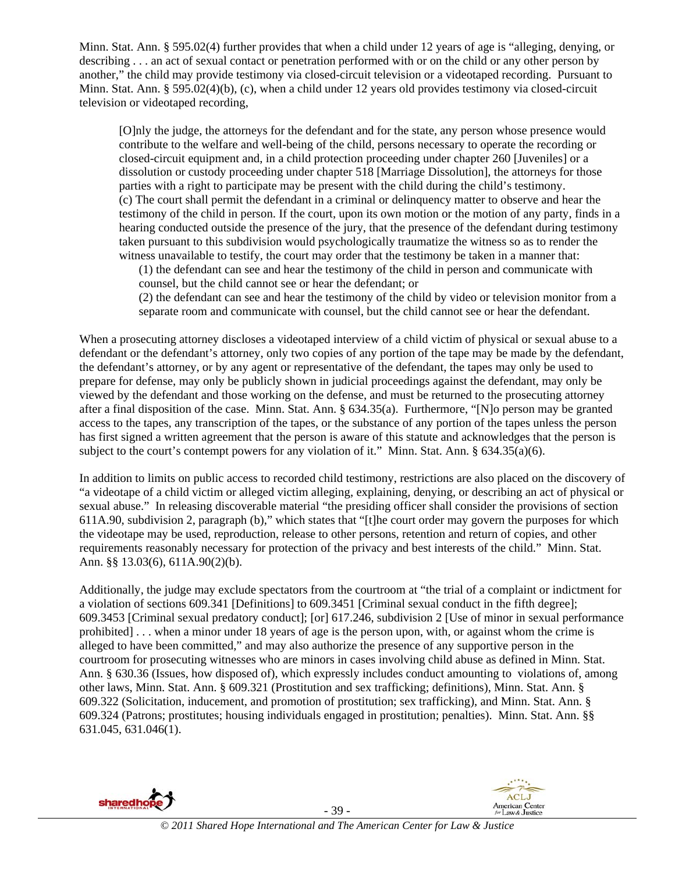Minn. Stat. Ann. § 595.02(4) further provides that when a child under 12 years of age is "alleging, denying, or describing . . . an act of sexual contact or penetration performed with or on the child or any other person by another," the child may provide testimony via closed-circuit television or a videotaped recording. Pursuant to Minn. Stat. Ann. § 595.02(4)(b), (c), when a child under 12 years old provides testimony via closed-circuit television or videotaped recording,

[O]nly the judge, the attorneys for the defendant and for the state, any person whose presence would contribute to the welfare and well-being of the child, persons necessary to operate the recording or closed-circuit equipment and, in a child protection proceeding under chapter 260 [Juveniles] or a dissolution or custody proceeding under chapter 518 [Marriage Dissolution], the attorneys for those parties with a right to participate may be present with the child during the child's testimony. (c) The court shall permit the defendant in a criminal or delinquency matter to observe and hear the testimony of the child in person. If the court, upon its own motion or the motion of any party, finds in a hearing conducted outside the presence of the jury, that the presence of the defendant during testimony taken pursuant to this subdivision would psychologically traumatize the witness so as to render the witness unavailable to testify, the court may order that the testimony be taken in a manner that:

(1) the defendant can see and hear the testimony of the child in person and communicate with counsel, but the child cannot see or hear the defendant; or

(2) the defendant can see and hear the testimony of the child by video or television monitor from a separate room and communicate with counsel, but the child cannot see or hear the defendant.

When a prosecuting attorney discloses a videotaped interview of a child victim of physical or sexual abuse to a defendant or the defendant's attorney, only two copies of any portion of the tape may be made by the defendant, the defendant's attorney, or by any agent or representative of the defendant, the tapes may only be used to prepare for defense, may only be publicly shown in judicial proceedings against the defendant, may only be viewed by the defendant and those working on the defense, and must be returned to the prosecuting attorney after a final disposition of the case. Minn. Stat. Ann. § 634.35(a). Furthermore, "[N]o person may be granted access to the tapes, any transcription of the tapes, or the substance of any portion of the tapes unless the person has first signed a written agreement that the person is aware of this statute and acknowledges that the person is subject to the court's contempt powers for any violation of it." Minn. Stat. Ann.  $\S 634.35(a)(6)$ .

In addition to limits on public access to recorded child testimony, restrictions are also placed on the discovery of "a videotape of a child victim or alleged victim alleging, explaining, denying, or describing an act of physical or sexual abuse." In releasing discoverable material "the presiding officer shall consider the provisions of section 611A.90, subdivision 2, paragraph (b)," which states that "[t]he court order may govern the purposes for which the videotape may be used, reproduction, release to other persons, retention and return of copies, and other requirements reasonably necessary for protection of the privacy and best interests of the child." Minn. Stat. Ann. §§ 13.03(6), 611A.90(2)(b).

Additionally, the judge may exclude spectators from the courtroom at "the trial of a complaint or indictment for a violation of sections 609.341 [Definitions] to 609.3451 [Criminal sexual conduct in the fifth degree]; 609.3453 [Criminal sexual predatory conduct]; [or] 617.246, subdivision 2 [Use of minor in sexual performance prohibited] . . . when a minor under 18 years of age is the person upon, with, or against whom the crime is alleged to have been committed," and may also authorize the presence of any supportive person in the courtroom for prosecuting witnesses who are minors in cases involving child abuse as defined in Minn. Stat. Ann. § 630.36 (Issues, how disposed of), which expressly includes conduct amounting to violations of, among other laws, Minn. Stat. Ann. § 609.321 (Prostitution and sex trafficking; definitions), Minn. Stat. Ann. § 609.322 (Solicitation, inducement, and promotion of prostitution; sex trafficking), and Minn. Stat. Ann. § 609.324 (Patrons; prostitutes; housing individuals engaged in prostitution; penalties). Minn. Stat. Ann. §§ 631.045, 631.046(1).

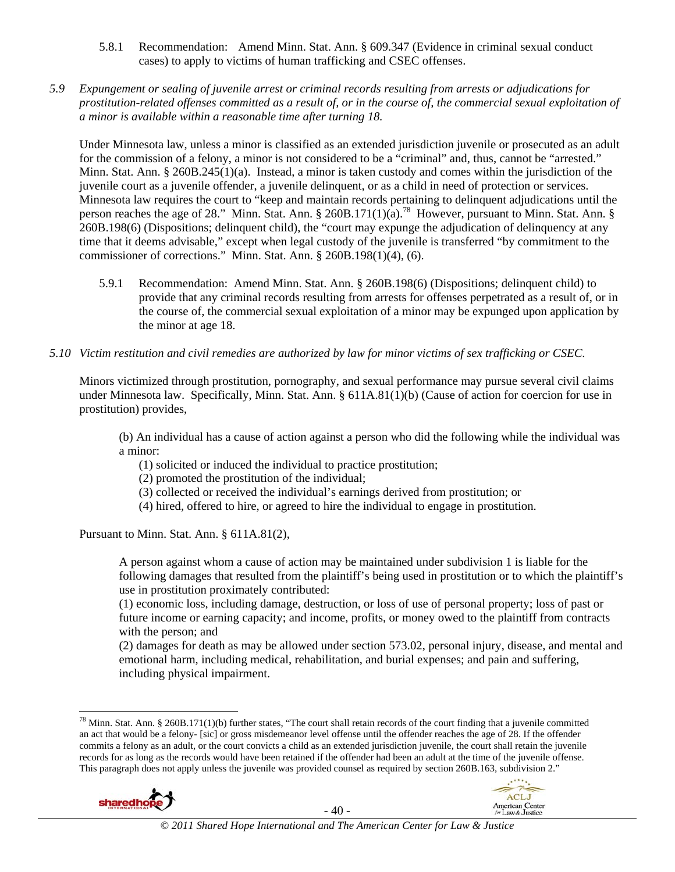- 5.8.1 Recommendation: Amend Minn. Stat. Ann. § 609.347 (Evidence in criminal sexual conduct cases) to apply to victims of human trafficking and CSEC offenses.
- *5.9 Expungement or sealing of juvenile arrest or criminal records resulting from arrests or adjudications for prostitution-related offenses committed as a result of, or in the course of, the commercial sexual exploitation of a minor is available within a reasonable time after turning 18.*

Under Minnesota law, unless a minor is classified as an extended jurisdiction juvenile or prosecuted as an adult for the commission of a felony, a minor is not considered to be a "criminal" and, thus, cannot be "arrested." Minn. Stat. Ann. § 260B.245(1)(a). Instead, a minor is taken custody and comes within the jurisdiction of the juvenile court as a juvenile offender, a juvenile delinquent, or as a child in need of protection or services. Minnesota law requires the court to "keep and maintain records pertaining to delinquent adjudications until the person reaches the age of 28." Minn. Stat. Ann. § 260B.171(1)(a).<sup>78</sup> However, pursuant to Minn. Stat. Ann. § 260B.198(6) (Dispositions; delinquent child), the "court may expunge the adjudication of delinquency at any time that it deems advisable," except when legal custody of the juvenile is transferred "by commitment to the commissioner of corrections." Minn. Stat. Ann. § 260B.198(1)(4), (6).

- 5.9.1 Recommendation: Amend Minn. Stat. Ann. § 260B.198(6) (Dispositions; delinquent child) to provide that any criminal records resulting from arrests for offenses perpetrated as a result of, or in the course of, the commercial sexual exploitation of a minor may be expunged upon application by the minor at age 18.
- *5.10 Victim restitution and civil remedies are authorized by law for minor victims of sex trafficking or CSEC.*

Minors victimized through prostitution, pornography, and sexual performance may pursue several civil claims under Minnesota law. Specifically, Minn. Stat. Ann. § 611A.81(1)(b) (Cause of action for coercion for use in prostitution) provides,

(b) An individual has a cause of action against a person who did the following while the individual was a minor:

- (1) solicited or induced the individual to practice prostitution;
- (2) promoted the prostitution of the individual;
- (3) collected or received the individual's earnings derived from prostitution; or
- (4) hired, offered to hire, or agreed to hire the individual to engage in prostitution.

Pursuant to Minn. Stat. Ann. § 611A.81(2),

A person against whom a cause of action may be maintained under subdivision 1 is liable for the following damages that resulted from the plaintiff's being used in prostitution or to which the plaintiff's use in prostitution proximately contributed:

(1) economic loss, including damage, destruction, or loss of use of personal property; loss of past or future income or earning capacity; and income, profits, or money owed to the plaintiff from contracts with the person; and

(2) damages for death as may be allowed under section 573.02, personal injury, disease, and mental and emotional harm, including medical, rehabilitation, and burial expenses; and pain and suffering, including physical impairment.

 $^{78}$  Minn. Stat. Ann. § 260B.171(1)(b) further states, "The court shall retain records of the court finding that a juvenile committed an act that would be a felony- [sic] or gross misdemeanor level offense until the offender reaches the age of 28. If the offender commits a felony as an adult, or the court convicts a child as an extended jurisdiction juvenile, the court shall retain the juvenile records for as long as the records would have been retained if the offender had been an adult at the time of the juvenile offense. This paragraph does not apply unless the juvenile was provided counsel as required by section 260B.163, subdivision 2."





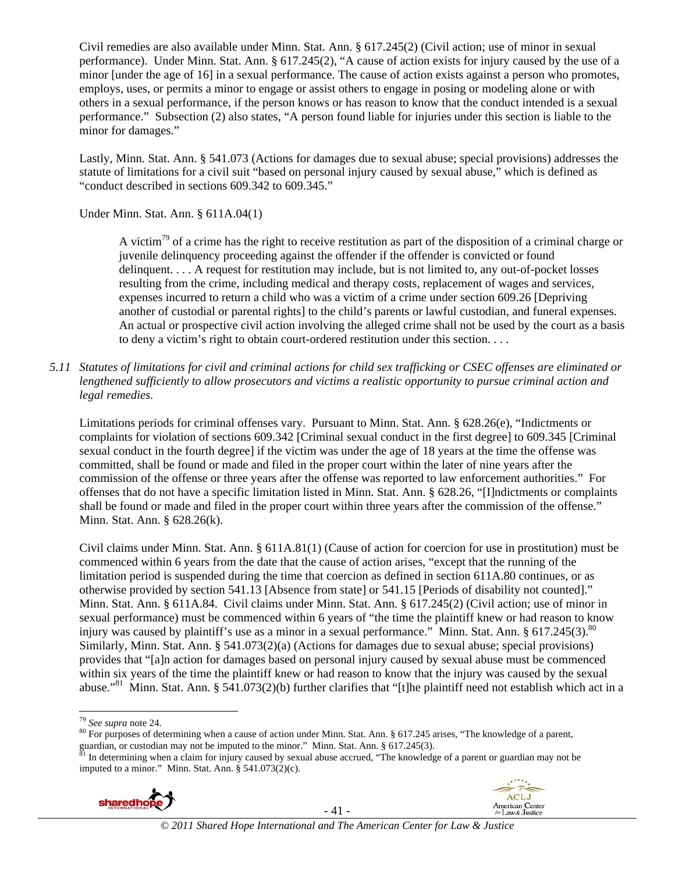Civil remedies are also available under Minn. Stat. Ann. § 617.245(2) (Civil action; use of minor in sexual performance). Under Minn. Stat. Ann. § 617.245(2), "A cause of action exists for injury caused by the use of a minor [under the age of 16] in a sexual performance. The cause of action exists against a person who promotes, employs, uses, or permits a minor to engage or assist others to engage in posing or modeling alone or with others in a sexual performance, if the person knows or has reason to know that the conduct intended is a sexual performance." Subsection (2) also states, "A person found liable for injuries under this section is liable to the minor for damages."

Lastly, Minn. Stat. Ann. § 541.073 (Actions for damages due to sexual abuse; special provisions) addresses the statute of limitations for a civil suit "based on personal injury caused by sexual abuse," which is defined as "conduct described in sections 609.342 to 609.345."

Under Minn. Stat. Ann. § 611A.04(1)

A victim<sup>79</sup> of a crime has the right to receive restitution as part of the disposition of a criminal charge or juvenile delinquency proceeding against the offender if the offender is convicted or found delinquent. . . . A request for restitution may include, but is not limited to, any out-of-pocket losses resulting from the crime, including medical and therapy costs, replacement of wages and services, expenses incurred to return a child who was a victim of a crime under section 609.26 [Depriving another of custodial or parental rights] to the child's parents or lawful custodian, and funeral expenses. An actual or prospective civil action involving the alleged crime shall not be used by the court as a basis to deny a victim's right to obtain court-ordered restitution under this section. . . .

*5.11 Statutes of limitations for civil and criminal actions for child sex trafficking or CSEC offenses are eliminated or lengthened sufficiently to allow prosecutors and victims a realistic opportunity to pursue criminal action and legal remedies.* 

Limitations periods for criminal offenses vary. Pursuant to Minn. Stat. Ann. § 628.26(e), "Indictments or complaints for violation of sections 609.342 [Criminal sexual conduct in the first degree] to 609.345 [Criminal sexual conduct in the fourth degree] if the victim was under the age of 18 years at the time the offense was committed, shall be found or made and filed in the proper court within the later of nine years after the commission of the offense or three years after the offense was reported to law enforcement authorities." For offenses that do not have a specific limitation listed in Minn. Stat. Ann. § 628.26, "[I]ndictments or complaints shall be found or made and filed in the proper court within three years after the commission of the offense." Minn. Stat. Ann. § 628.26(k).

Civil claims under Minn. Stat. Ann. § 611A.81(1) (Cause of action for coercion for use in prostitution) must be commenced within 6 years from the date that the cause of action arises, "except that the running of the limitation period is suspended during the time that coercion as defined in section 611A.80 continues, or as otherwise provided by section 541.13 [Absence from state] or 541.15 [Periods of disability not counted]." Minn. Stat. Ann. § 611A.84. Civil claims under Minn. Stat. Ann. § 617.245(2) (Civil action; use of minor in sexual performance) must be commenced within 6 years of "the time the plaintiff knew or had reason to know injury was caused by plaintiff's use as a minor in a sexual performance." Minn. Stat. Ann.  $\S 617.245(3).^{80}$ Similarly, Minn. Stat. Ann. § 541.073(2)(a) (Actions for damages due to sexual abuse; special provisions) provides that "[a]n action for damages based on personal injury caused by sexual abuse must be commenced within six years of the time the plaintiff knew or had reason to know that the injury was caused by the sexual abuse."<sup>81</sup> Minn. Stat. Ann. § 541.073(2)(b) further clarifies that "[t]he plaintiff need not establish which act in a

imputed to a minor." Minn. Stat. Ann. § 541.073(2)(c).





<sup>&</sup>lt;sup>79</sup> See supra note 24.<br><sup>80</sup> For purposes of determining when a cause of action under Minn. Stat. Ann. § 617.245 arises, "The knowledge of a parent, guardian, or custodian may not be imputed to the minor." Minn. Stat. Ann. § 617.245(3).<br><sup>81</sup> In determining when a claim for injury caused by sexual abuse accrued, "The knowledge of a parent or guardian may not be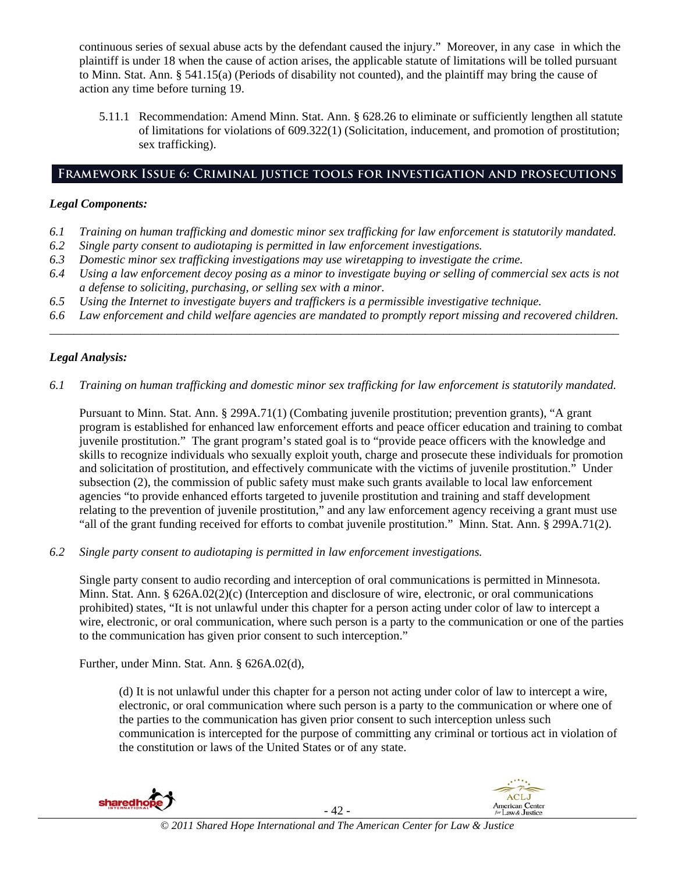continuous series of sexual abuse acts by the defendant caused the injury." Moreover, in any case in which the plaintiff is under 18 when the cause of action arises, the applicable statute of limitations will be tolled pursuant to Minn. Stat. Ann. § 541.15(a) (Periods of disability not counted), and the plaintiff may bring the cause of action any time before turning 19.

5.11.1 Recommendation: Amend Minn. Stat. Ann. § 628.26 to eliminate or sufficiently lengthen all statute of limitations for violations of 609.322(1) (Solicitation, inducement, and promotion of prostitution; sex trafficking).

# **Framework Issue 6: Criminal justice tools for investigation and prosecutions**

# *Legal Components:*

- *6.1 Training on human trafficking and domestic minor sex trafficking for law enforcement is statutorily mandated.*
- *6.2 Single party consent to audiotaping is permitted in law enforcement investigations.*
- *6.3 Domestic minor sex trafficking investigations may use wiretapping to investigate the crime.*
- *6.4 Using a law enforcement decoy posing as a minor to investigate buying or selling of commercial sex acts is not a defense to soliciting, purchasing, or selling sex with a minor.*
- *6.5 Using the Internet to investigate buyers and traffickers is a permissible investigative technique.*
- *6.6 Law enforcement and child welfare agencies are mandated to promptly report missing and recovered children. \_\_\_\_\_\_\_\_\_\_\_\_\_\_\_\_\_\_\_\_\_\_\_\_\_\_\_\_\_\_\_\_\_\_\_\_\_\_\_\_\_\_\_\_\_\_\_\_\_\_\_\_\_\_\_\_\_\_\_\_\_\_\_\_\_\_\_\_\_\_\_\_\_\_\_\_\_\_\_\_\_\_\_\_\_\_\_\_\_\_\_\_\_\_*

# *Legal Analysis:*

*6.1 Training on human trafficking and domestic minor sex trafficking for law enforcement is statutorily mandated.*

Pursuant to Minn. Stat. Ann. § 299A.71(1) (Combating juvenile prostitution; prevention grants), "A grant program is established for enhanced law enforcement efforts and peace officer education and training to combat juvenile prostitution." The grant program's stated goal is to "provide peace officers with the knowledge and skills to recognize individuals who sexually exploit youth, charge and prosecute these individuals for promotion and solicitation of prostitution, and effectively communicate with the victims of juvenile prostitution." Under subsection (2), the commission of public safety must make such grants available to local law enforcement agencies "to provide enhanced efforts targeted to juvenile prostitution and training and staff development relating to the prevention of juvenile prostitution," and any law enforcement agency receiving a grant must use "all of the grant funding received for efforts to combat juvenile prostitution." Minn. Stat. Ann. § 299A.71(2).

*6.2 Single party consent to audiotaping is permitted in law enforcement investigations.* 

Single party consent to audio recording and interception of oral communications is permitted in Minnesota. Minn. Stat. Ann. § 626A.02(2)(c) (Interception and disclosure of wire, electronic, or oral communications prohibited) states, "It is not unlawful under this chapter for a person acting under color of law to intercept a wire, electronic, or oral communication, where such person is a party to the communication or one of the parties to the communication has given prior consent to such interception."

Further, under Minn. Stat. Ann. § 626A.02(d),

(d) It is not unlawful under this chapter for a person not acting under color of law to intercept a wire, electronic, or oral communication where such person is a party to the communication or where one of the parties to the communication has given prior consent to such interception unless such communication is intercepted for the purpose of committing any criminal or tortious act in violation of the constitution or laws of the United States or of any state.

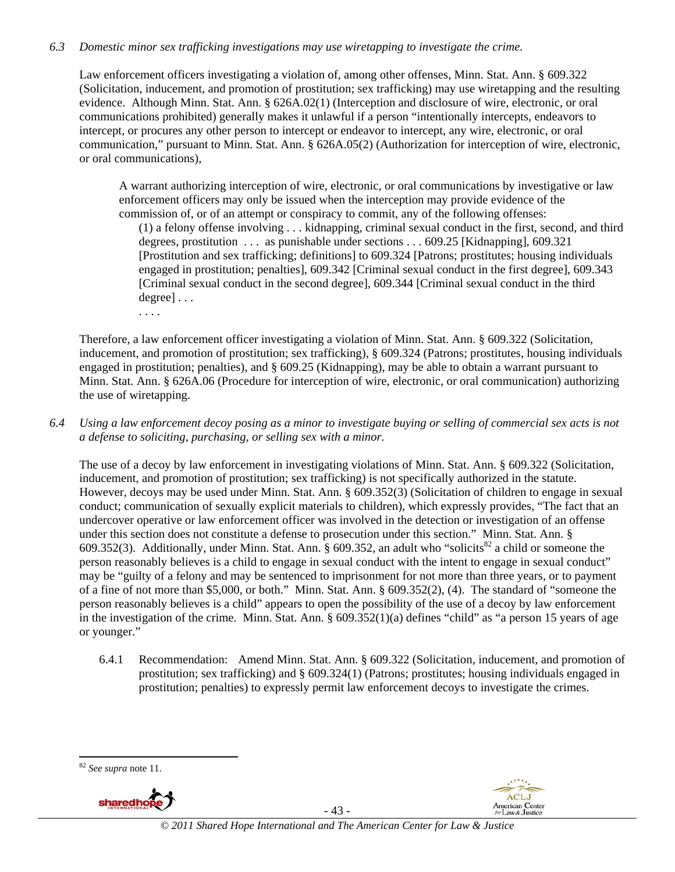#### *6.3 Domestic minor sex trafficking investigations may use wiretapping to investigate the crime.*

Law enforcement officers investigating a violation of, among other offenses, Minn. Stat. Ann. § 609.322 (Solicitation, inducement, and promotion of prostitution; sex trafficking) may use wiretapping and the resulting evidence. Although Minn. Stat. Ann. § 626A.02(1) (Interception and disclosure of wire, electronic, or oral communications prohibited) generally makes it unlawful if a person "intentionally intercepts, endeavors to intercept, or procures any other person to intercept or endeavor to intercept, any wire, electronic, or oral communication," pursuant to Minn. Stat. Ann. § 626A.05(2) (Authorization for interception of wire, electronic, or oral communications),

A warrant authorizing interception of wire, electronic, or oral communications by investigative or law enforcement officers may only be issued when the interception may provide evidence of the commission of, or of an attempt or conspiracy to commit, any of the following offenses:

(1) a felony offense involving . . . kidnapping, criminal sexual conduct in the first, second, and third degrees, prostitution . . . as punishable under sections . . . 609.25 [Kidnapping], 609.321 [Prostitution and sex trafficking; definitions] to 609.324 [Patrons; prostitutes; housing individuals engaged in prostitution; penalties], 609.342 [Criminal sexual conduct in the first degree], 609.343 [Criminal sexual conduct in the second degree], 609.344 [Criminal sexual conduct in the third degree] . . .

. . . .

Therefore, a law enforcement officer investigating a violation of Minn. Stat. Ann. § 609.322 (Solicitation, inducement, and promotion of prostitution; sex trafficking), § 609.324 (Patrons; prostitutes, housing individuals engaged in prostitution; penalties), and § 609.25 (Kidnapping), may be able to obtain a warrant pursuant to Minn. Stat. Ann. § 626A.06 (Procedure for interception of wire, electronic, or oral communication) authorizing the use of wiretapping.

*6.4 Using a law enforcement decoy posing as a minor to investigate buying or selling of commercial sex acts is not a defense to soliciting, purchasing, or selling sex with a minor.* 

The use of a decoy by law enforcement in investigating violations of Minn. Stat. Ann. § 609.322 (Solicitation, inducement, and promotion of prostitution; sex trafficking) is not specifically authorized in the statute. However, decoys may be used under Minn. Stat. Ann. § 609.352(3) (Solicitation of children to engage in sexual conduct; communication of sexually explicit materials to children), which expressly provides, "The fact that an undercover operative or law enforcement officer was involved in the detection or investigation of an offense under this section does not constitute a defense to prosecution under this section." Minn. Stat. Ann. § 609.352(3). Additionally, under Minn. Stat. Ann.  $\S$  609.352, an adult who "solicits<sup>82</sup> a child or someone the person reasonably believes is a child to engage in sexual conduct with the intent to engage in sexual conduct" may be "guilty of a felony and may be sentenced to imprisonment for not more than three years, or to payment of a fine of not more than \$5,000, or both." Minn. Stat. Ann. § 609.352(2), (4). The standard of "someone the person reasonably believes is a child" appears to open the possibility of the use of a decoy by law enforcement in the investigation of the crime. Minn. Stat. Ann. § 609.352(1)(a) defines "child" as "a person 15 years of age or younger."

6.4.1 Recommendation: Amend Minn. Stat. Ann. § 609.322 (Solicitation, inducement, and promotion of prostitution; sex trafficking) and § 609.324(1) (Patrons; prostitutes; housing individuals engaged in prostitution; penalties) to expressly permit law enforcement decoys to investigate the crimes.





- 43 -

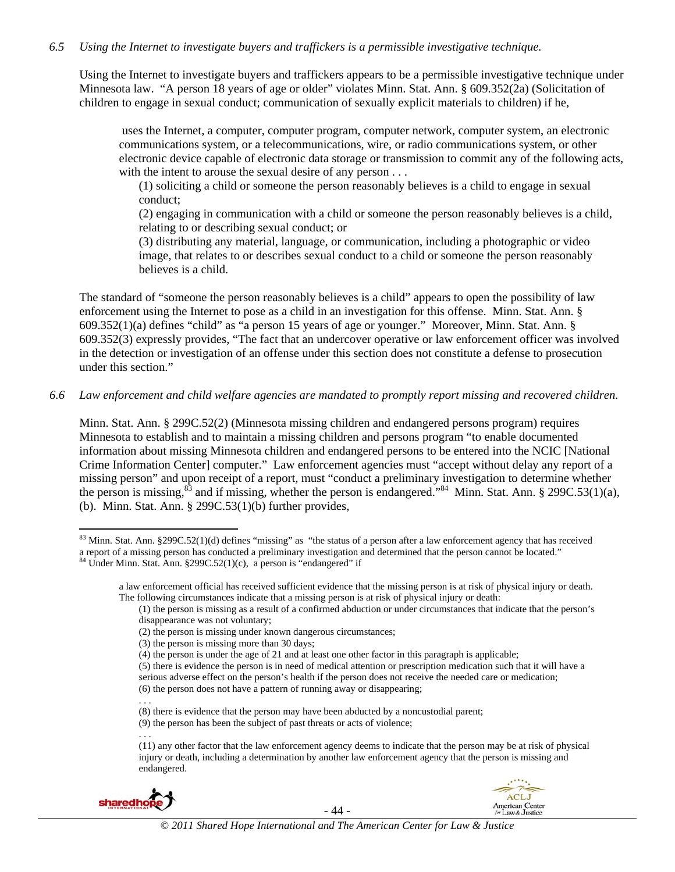#### *6.5 Using the Internet to investigate buyers and traffickers is a permissible investigative technique.*

Using the Internet to investigate buyers and traffickers appears to be a permissible investigative technique under Minnesota law. "A person 18 years of age or older" violates Minn. Stat. Ann. § 609.352(2a) (Solicitation of children to engage in sexual conduct; communication of sexually explicit materials to children) if he,

 uses the Internet, a computer, computer program, computer network, computer system, an electronic communications system, or a telecommunications, wire, or radio communications system, or other electronic device capable of electronic data storage or transmission to commit any of the following acts, with the intent to arouse the sexual desire of any person . . .

(1) soliciting a child or someone the person reasonably believes is a child to engage in sexual conduct;

(2) engaging in communication with a child or someone the person reasonably believes is a child, relating to or describing sexual conduct; or

(3) distributing any material, language, or communication, including a photographic or video image, that relates to or describes sexual conduct to a child or someone the person reasonably believes is a child.

The standard of "someone the person reasonably believes is a child" appears to open the possibility of law enforcement using the Internet to pose as a child in an investigation for this offense. Minn. Stat. Ann. § 609.352(1)(a) defines "child" as "a person 15 years of age or younger." Moreover, Minn. Stat. Ann. § 609.352(3) expressly provides, "The fact that an undercover operative or law enforcement officer was involved in the detection or investigation of an offense under this section does not constitute a defense to prosecution under this section."

*6.6 Law enforcement and child welfare agencies are mandated to promptly report missing and recovered children.* 

Minn. Stat. Ann. § 299C.52(2) (Minnesota missing children and endangered persons program) requires Minnesota to establish and to maintain a missing children and persons program "to enable documented information about missing Minnesota children and endangered persons to be entered into the NCIC [National Crime Information Center] computer." Law enforcement agencies must "accept without delay any report of a missing person" and upon receipt of a report, must "conduct a preliminary investigation to determine whether the person is missing, $^{83}$  and if missing, whether the person is endangered." $^{84}$  Minn. Stat. Ann. § 299C.53(1)(a), (b). Minn. Stat. Ann. § 299C.53(1)(b) further provides,

<sup>(11)</sup> any other factor that the law enforcement agency deems to indicate that the person may be at risk of physical injury or death, including a determination by another law enforcement agency that the person is missing and endangered.



. . .



 $83$  Minn. Stat. Ann.  $8299C.52(1)(d)$  defines "missing" as "the status of a person after a law enforcement agency that has received a report of a missing person has conducted a preliminary investigation and determined that the person cannot be located."<br><sup>84</sup> Under Minn. Stat. Ann. §299C.52(1)(c), a person is "endangered" if

a law enforcement official has received sufficient evidence that the missing person is at risk of physical injury or death. The following circumstances indicate that a missing person is at risk of physical injury or death:

<sup>(1)</sup> the person is missing as a result of a confirmed abduction or under circumstances that indicate that the person's disappearance was not voluntary;

<sup>(2)</sup> the person is missing under known dangerous circumstances;

<sup>(3)</sup> the person is missing more than 30 days;

<sup>(4)</sup> the person is under the age of 21 and at least one other factor in this paragraph is applicable;

<sup>(5)</sup> there is evidence the person is in need of medical attention or prescription medication such that it will have a serious adverse effect on the person's health if the person does not receive the needed care or medication;

<sup>(6)</sup> the person does not have a pattern of running away or disappearing; . . .

<sup>(8)</sup> there is evidence that the person may have been abducted by a noncustodial parent;

<sup>(9)</sup> the person has been the subject of past threats or acts of violence;